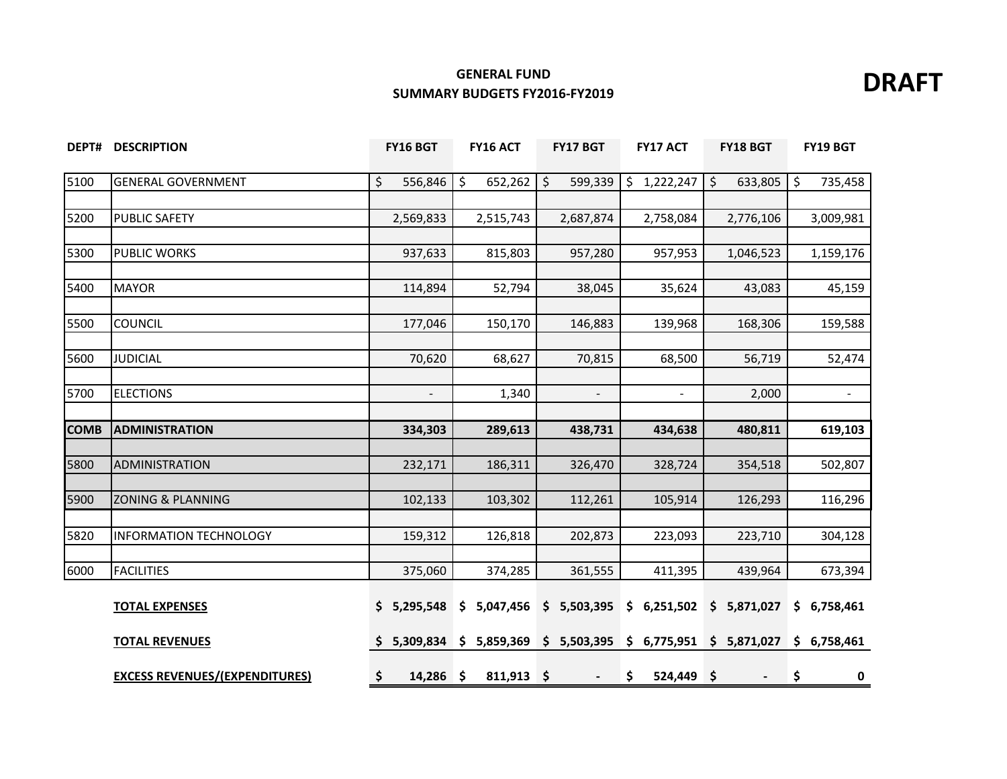### **GENERAL FUND SUMMARY BUDGETS FY2016-FY2019 SUMMARY BUDGETS FY2016-FY2019**



|             | <b>DEPT# DESCRIPTION</b>              | FY16 BGT                 | FY16 ACT                   | <b>FY17 BGT</b>          | <b>FY17 ACT</b>    | <b>FY18 BGT</b>           | FY19 BGT          |
|-------------|---------------------------------------|--------------------------|----------------------------|--------------------------|--------------------|---------------------------|-------------------|
| 5100        | <b>GENERAL GOVERNMENT</b>             | \$<br>556,846            | \$<br>652,262              | \$<br>599,339            | \$1,222,247        | \$<br>633,805             | \$<br>735,458     |
|             |                                       |                          |                            |                          |                    |                           |                   |
| 5200        | <b>PUBLIC SAFETY</b>                  | 2,569,833                | 2,515,743                  | 2,687,874                | 2,758,084          | 2,776,106                 | 3,009,981         |
|             |                                       |                          |                            |                          |                    |                           |                   |
| 5300        | <b>PUBLIC WORKS</b>                   | 937,633                  | 815,803                    | 957,280                  | 957,953            | 1,046,523                 | 1,159,176         |
| 5400        | <b>MAYOR</b>                          | 114,894                  | 52,794                     | 38,045                   | 35,624             | 43,083                    | 45,159            |
| 5500        | <b>COUNCIL</b>                        | 177,046                  | 150,170                    | 146,883                  | 139,968            | 168,306                   | 159,588           |
|             |                                       |                          |                            |                          |                    |                           |                   |
| 5600        | <b>JUDICIAL</b>                       | 70,620                   | 68,627                     | 70,815                   | 68,500             | 56,719                    | 52,474            |
|             |                                       |                          |                            |                          |                    |                           |                   |
| 5700        | <b>ELECTIONS</b>                      | $\overline{\phantom{a}}$ | 1,340                      | $\overline{\phantom{a}}$ | $\blacksquare$     | 2,000                     | $\blacksquare$    |
| <b>COMB</b> | <b>ADMINISTRATION</b>                 | 334,303                  | 289,613                    | 438,731                  | 434,638            | 480,811                   | 619,103           |
|             |                                       |                          |                            |                          |                    |                           |                   |
| 5800        | ADMINISTRATION                        | 232,171                  | 186,311                    | 326,470                  | 328,724            | 354,518                   | 502,807           |
|             |                                       |                          |                            |                          |                    |                           |                   |
| 5900        | <b>ZONING &amp; PLANNING</b>          | 102,133                  | 103,302                    | 112,261                  | 105,914            | 126,293                   | 116,296           |
| 5820        | <b>INFORMATION TECHNOLOGY</b>         | 159,312                  | 126,818                    | 202,873                  | 223,093            | 223,710                   | 304,128           |
|             |                                       |                          |                            |                          |                    |                           |                   |
| 6000        | <b>FACILITIES</b>                     | 375,060                  | 374,285                    | 361,555                  | 411,395            | 439,964                   | 673,394           |
|             | <b>TOTAL EXPENSES</b>                 | \$5,295,548              | \$5,047,456                | \$5,503,395              | \$6,251,502        | \$5,871,027               | \$6,758,461       |
|             | <b>TOTAL REVENUES</b>                 | 5,309,834                | 5,859,369<br>$\frac{1}{2}$ | \$5,503,395              |                    | $$6,775,951 \ $5,871,027$ | \$6,758,461       |
|             | <b>EXCESS REVENUES/(EXPENDITURES)</b> | \$<br>$14,286$ \$        | $811,913$ \$               | $\overline{\phantom{a}}$ | \$<br>$524,449$ \$ | $\blacksquare$            | \$<br>$\mathbf 0$ |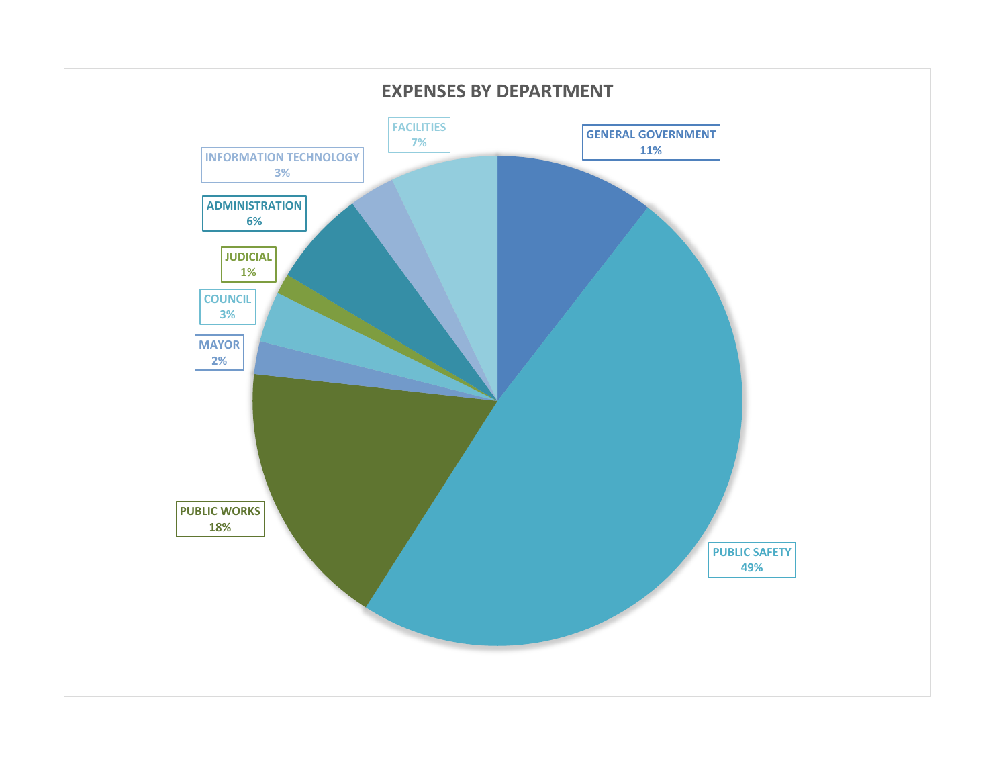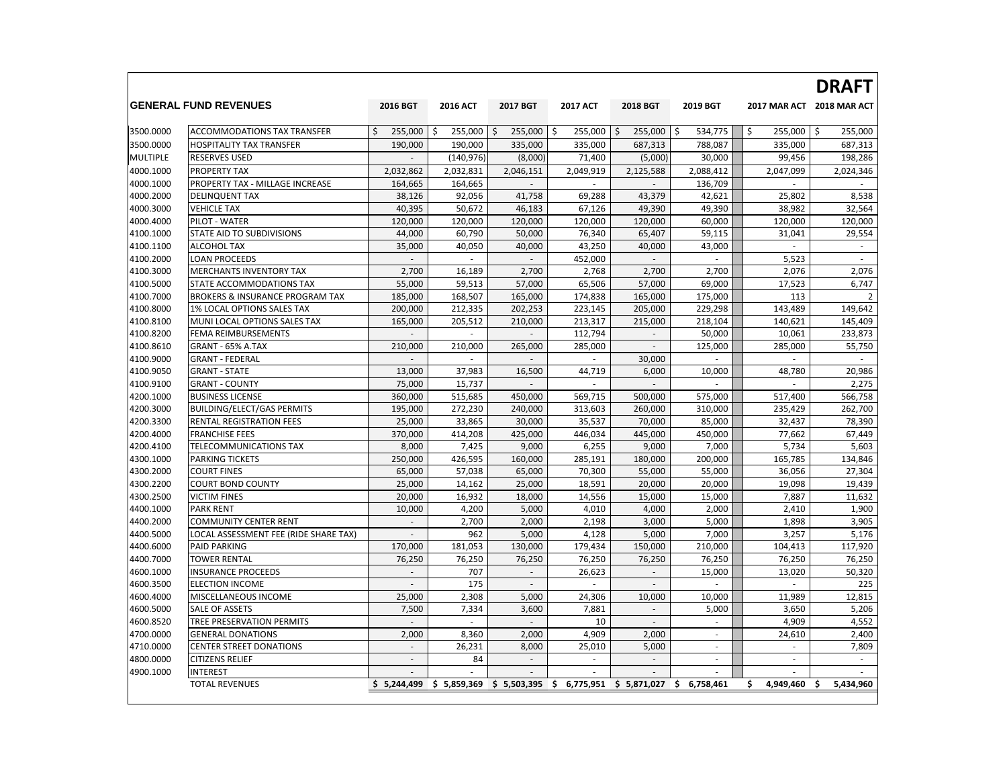|                 |                                       |                          |                 |                           |                 |                          |                          |                          | <b>DRAFT</b>              |
|-----------------|---------------------------------------|--------------------------|-----------------|---------------------------|-----------------|--------------------------|--------------------------|--------------------------|---------------------------|
|                 | <b>IGENERAL FUND REVENUES</b>         | 2016 BGT                 | <b>2016 ACT</b> | <b>2017 BGT</b>           | <b>2017 ACT</b> | <b>2018 BGT</b>          | 2019 BGT                 |                          | 2017 MAR ACT 2018 MAR ACT |
| 3500.0000       | <b>ACCOMMODATIONS TAX TRANSFER</b>    | Ś<br>255,000             | 255,000<br>\$.  | \$<br>255,000             | \$<br>255,000   | 255,000<br>\$            | 534,775<br>\$            | \$<br>255,000            | \$<br>255,000             |
| 3500.0000       | <b>HOSPITALITY TAX TRANSFER</b>       | 190,000                  | 190,000         | 335,000                   | 335,000         | 687,313                  | 788,087                  | 335,000                  | 687,313                   |
| <b>MULTIPLE</b> | <b>RESERVES USED</b>                  |                          | (140, 976)      | (8,000)                   | 71,400          | (5,000)                  | 30,000                   | 99,456                   | 198,286                   |
| 4000.1000       | <b>PROPERTY TAX</b>                   | 2,032,862                | 2,032,831       | 2,046,151                 | 2,049,919       | 2,125,588                | 2,088,412                | 2,047,099                | 2,024,346                 |
| 4000.1000       | PROPERTY TAX - MILLAGE INCREASE       | 164,665                  | 164,665         |                           | $\sim$          | $\overline{a}$           | 136,709                  | ×.                       | $\sim$                    |
| 4000.2000       | <b>DELINQUENT TAX</b>                 | 38.126                   | 92,056          | 41,758                    | 69,288          | 43.379                   | 42.621                   | 25,802                   | 8,538                     |
| 4000.3000       | <b>VEHICLE TAX</b>                    | 40,395                   | 50,672          | 46,183                    | 67,126          | 49,390                   | 49,390                   | 38,982                   | 32,564                    |
| 4000.4000       | PILOT - WATER                         | 120,000                  | 120,000         | 120,000                   | 120,000         | 120,000                  | 60,000                   | 120,000                  | 120,000                   |
| 4100.1000       | STATE AID TO SUBDIVISIONS             | 44,000                   | 60,790          | 50,000                    | 76,340          | 65,407                   | 59,115                   | 31,041                   | 29,554                    |
| 4100.1100       | ALCOHOL TAX                           | 35,000                   | 40,050          | 40,000                    | 43,250          | 40,000                   | 43,000                   | $\mathcal{L}$            | $\sim$                    |
| 4100.2000       | <b>LOAN PROCEEDS</b>                  | $\overline{a}$           | $\sim$          | $\sim$                    | 452,000         | $\sim$                   | $\sim$                   | 5,523                    | $\sim$                    |
| 4100.3000       | MERCHANTS INVENTORY TAX               | 2,700                    | 16,189          | 2,700                     | 2.768           | 2,700                    | 2,700                    | 2,076                    | 2,076                     |
| 4100.5000       | STATE ACCOMMODATIONS TAX              | 55,000                   | 59,513          | 57,000                    | 65,506          | 57,000                   | 69,000                   | 17,523                   | 6,747                     |
| 4100.7000       | BROKERS & INSURANCE PROGRAM TAX       | 185,000                  | 168,507         | 165,000                   | 174,838         | 165,000                  | 175,000                  | 113                      | $\overline{2}$            |
| 4100.8000       | 1% LOCAL OPTIONS SALES TAX            | 200,000                  | 212,335         | 202,253                   | 223,145         | 205,000                  | 229,298                  | 143,489                  | 149,642                   |
| 4100.8100       | MUNI LOCAL OPTIONS SALES TAX          | 165,000                  | 205,512         | 210,000                   | 213,317         | 215,000                  | 218,104                  | 140,621                  | 145,409                   |
| 4100.8200       | FEMA REIMBURSEMENTS                   | ÷                        | $\sim$          | $\sim$                    | 112,794         | $\sim$                   | 50,000                   | 10,061                   | 233,873                   |
| 4100.8610       | GRANT - 65% A.TAX                     | 210,000                  | 210,000         | 265,000                   | 285,000         | $\bar{a}$                | 125,000                  | 285,000                  | 55,750                    |
| 4100.9000       | <b>GRANT - FEDERAL</b>                | $\overline{a}$           | ٠               | $\sim$                    | ٠               | 30,000                   | $\overline{\phantom{a}}$ | $\sim$                   | $\sim$                    |
| 4100.9050       | <b>GRANT - STATE</b>                  | 13,000                   | 37,983          | 16,500                    | 44,719          | 6,000                    | 10,000                   | 48,780                   | 20,986                    |
| 4100.9100       | <b>GRANT - COUNTY</b>                 | 75,000                   | 15,737          | $\sim$                    | $\sim$          | ÷                        | $\overline{a}$           | $\sim$                   | 2,275                     |
| 4200.1000       | <b>BUSINESS LICENSE</b>               | 360,000                  | 515,685         | 450,000                   | 569,715         | 500,000                  | 575,000                  | 517,400                  | 566,758                   |
| 4200.3000       | <b>BUILDING/ELECT/GAS PERMITS</b>     | 195,000                  | 272,230         | 240,000                   | 313,603         | 260,000                  | 310,000                  | 235,429                  | 262,700                   |
| 4200.3300       | RENTAL REGISTRATION FEES              | 25,000                   | 33,865          | 30,000                    | 35,537          | 70,000                   | 85,000                   | 32,437                   | 78,390                    |
| 4200.4000       | <b>FRANCHISE FEES</b>                 | 370,000                  | 414,208         | 425,000                   | 446,034         | 445,000                  | 450,000                  | 77,662                   | 67,449                    |
| 4200.4100       | TELECOMMUNICATIONS TAX                | 8,000                    | 7,425           | 9,000                     | 6,255           | 9,000                    | 7,000                    | 5,734                    | 5,603                     |
| 4300.1000       | <b>PARKING TICKETS</b>                | 250,000                  | 426,595         | 160,000                   | 285,191         | 180,000                  | 200,000                  | 165,785                  | 134,846                   |
| 4300.2000       | <b>COURT FINES</b>                    | 65,000                   | 57,038          | 65,000                    | 70,300          | 55,000                   | 55,000                   | 36,056                   | 27,304                    |
| 4300.2200       | <b>COURT BOND COUNTY</b>              | 25,000                   | 14,162          | 25,000                    | 18,591          | 20,000                   | 20,000                   | 19,098                   | 19,439                    |
| 4300.2500       | <b>VICTIM FINES</b>                   | 20,000                   | 16,932          | 18,000                    | 14,556          | 15,000                   | 15,000                   | 7,887                    | 11,632                    |
| 4400.1000       | <b>PARK RENT</b>                      | 10,000                   | 4,200           | 5,000                     | 4,010           | 4,000                    | 2,000                    | 2,410                    | 1,900                     |
| 4400.2000       | <b>COMMUNITY CENTER RENT</b>          | ÷.                       | 2,700           | 2,000                     | 2,198           | 3,000                    | 5,000                    | 1,898                    | 3,905                     |
| 4400.5000       | LOCAL ASSESSMENT FEE (RIDE SHARE TAX) | $\overline{\phantom{a}}$ | 962             | 5,000                     | 4,128           | 5,000                    | 7,000                    | 3,257                    | 5,176                     |
| 4400.6000       | <b>PAID PARKING</b>                   | 170,000                  | 181,053         | 130,000                   | 179,434         | 150,000                  | 210,000                  | 104,413                  | 117,920                   |
| 4400.7000       | <b>TOWER RENTAL</b>                   | 76,250                   | 76,250          | 76,250                    | 76,250          | 76,250                   | 76,250                   | 76,250                   | 76,250                    |
| 4600.1000       | <b>INSURANCE PROCEEDS</b>             | $\sim$                   | 707             | $\overline{\phantom{a}}$  | 26,623          | $\sim$                   | 15,000                   | 13,020                   | 50,320                    |
| 4600.3500       | <b>ELECTION INCOME</b>                | $\overline{\phantom{a}}$ | 175             | $\sim$                    |                 | $\overline{\phantom{a}}$ |                          |                          | 225                       |
| 4600.4000       | MISCELLANEOUS INCOME                  | 25,000                   | 2,308           | 5,000                     | 24,306          | 10,000                   | 10,000                   | 11,989                   | 12,815                    |
| 4600.5000       | SALE OF ASSETS                        | 7,500                    | 7,334           | 3,600                     | 7,881           | $\overline{a}$           | 5,000                    | 3,650                    | 5,206                     |
| 4600.8520       | TREE PRESERVATION PERMITS             | $\frac{1}{2}$            | $\sim$          | $\overline{\phantom{a}}$  | 10              | $\overline{a}$           | $\sim$                   | 4,909                    | 4,552                     |
| 4700.0000       | <b>GENERAL DONATIONS</b>              | 2,000                    | 8,360           | 2,000                     | 4,909           | 2,000                    | $\sim$                   | 24,610                   | 2,400                     |
| 4710.0000       | <b>CENTER STREET DONATIONS</b>        | $\overline{\phantom{a}}$ | 26,231          | 8,000                     | 25,010          | 5,000                    | ÷.                       | $\sim$                   | 7,809                     |
| 4800.0000       | <b>CITIZENS RELIEF</b>                | $\overline{\phantom{a}}$ | 84              | $\overline{\phantom{a}}$  | $\sim$          | $\overline{\phantom{a}}$ | $\overline{\phantom{a}}$ | $\overline{\phantom{a}}$ | $\sim$                    |
| 4900.1000       | <b>INTEREST</b>                       |                          |                 |                           |                 |                          |                          |                          |                           |
|                 | <b>TOTAL REVENUES</b>                 | \$5.244.499              |                 | $$5,859,369$ $$5,503,395$ | \$<br>6,775,951 | \$5,871,027              | 6,758,461<br>\$          | 4.949.460<br>\$          | 5,434,960<br>\$           |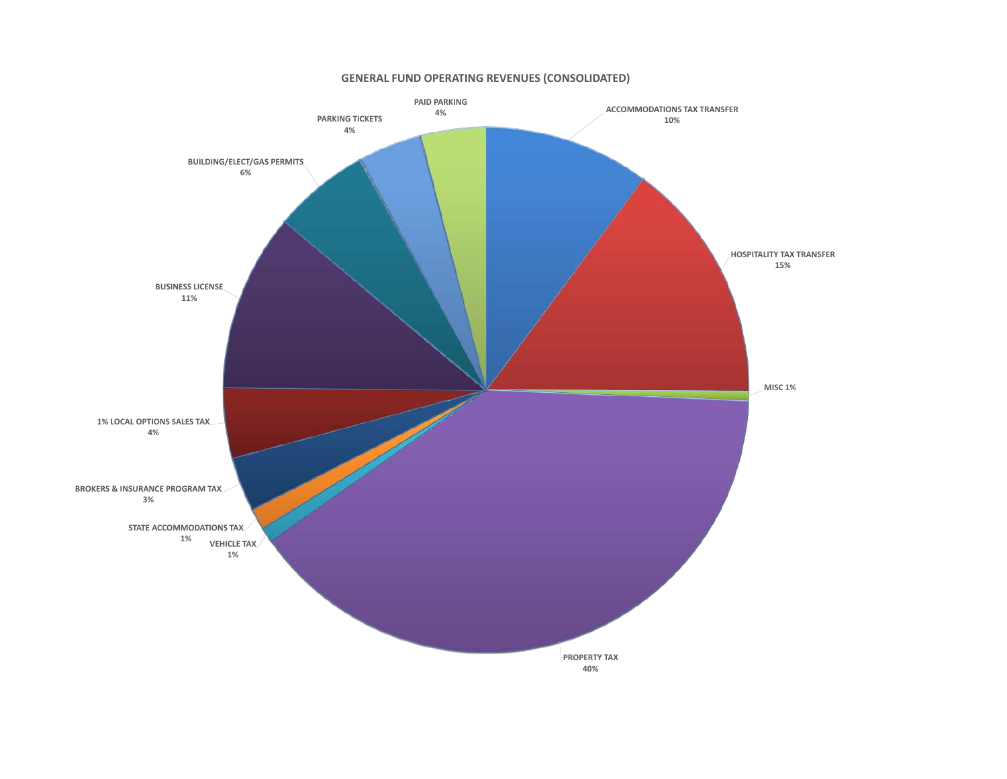

### **GENERAL FUND OPERATING REVENUES (CONSOLIDATED)**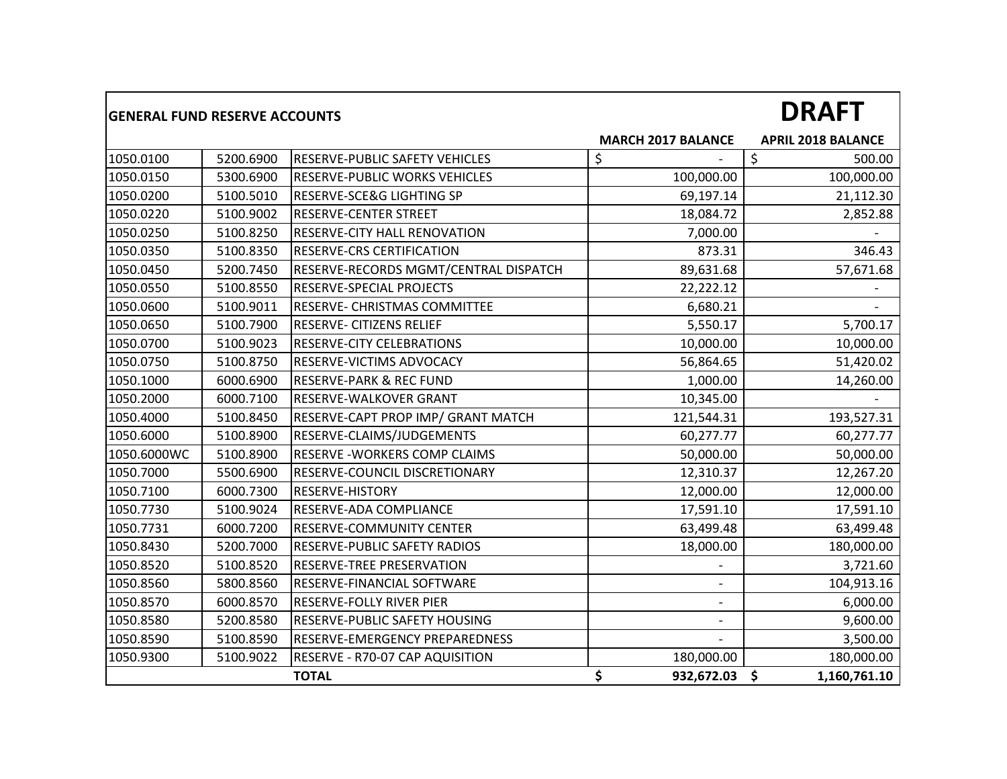| <b>GENERAL FUND RESERVE ACCOUNTS</b> |           |                                       |                           | <b>DRAFT</b>              |
|--------------------------------------|-----------|---------------------------------------|---------------------------|---------------------------|
|                                      |           |                                       | <b>MARCH 2017 BALANCE</b> | <b>APRIL 2018 BALANCE</b> |
| 1050.0100                            | 5200.6900 | <b>RESERVE-PUBLIC SAFETY VEHICLES</b> | \$                        | \$<br>500.00              |
| 1050.0150                            | 5300.6900 | <b>RESERVE-PUBLIC WORKS VEHICLES</b>  | 100,000.00                | 100,000.00                |
| 1050.0200                            | 5100.5010 | RESERVE-SCE&G LIGHTING SP             | 69,197.14                 | 21,112.30                 |
| 1050.0220                            | 5100.9002 | <b>RESERVE-CENTER STREET</b>          | 18,084.72                 | 2,852.88                  |
| 1050.0250                            | 5100.8250 | <b>RESERVE-CITY HALL RENOVATION</b>   | 7,000.00                  |                           |
| 1050.0350                            | 5100.8350 | RESERVE-CRS CERTIFICATION             | 873.31                    | 346.43                    |
| 1050.0450                            | 5200.7450 | RESERVE-RECORDS MGMT/CENTRAL DISPATCH | 89,631.68                 | 57,671.68                 |
| 1050.0550                            | 5100.8550 | RESERVE-SPECIAL PROJECTS              | 22,222.12                 |                           |
| 1050.0600                            | 5100.9011 | <b>RESERVE- CHRISTMAS COMMITTEE</b>   | 6,680.21                  |                           |
| 1050.0650                            | 5100.7900 | <b>RESERVE- CITIZENS RELIEF</b>       | 5,550.17                  | 5,700.17                  |
| 1050.0700                            | 5100.9023 | RESERVE-CITY CELEBRATIONS             | 10,000.00                 | 10,000.00                 |
| 1050.0750                            | 5100.8750 | RESERVE-VICTIMS ADVOCACY              | 56,864.65                 | 51,420.02                 |
| 1050.1000                            | 6000.6900 | <b>RESERVE-PARK &amp; REC FUND</b>    | 1,000.00                  | 14,260.00                 |
| 1050.2000                            | 6000.7100 | <b>RESERVE-WALKOVER GRANT</b>         | 10,345.00                 |                           |
| 1050.4000                            | 5100.8450 | RESERVE-CAPT PROP IMP/ GRANT MATCH    | 121,544.31                | 193,527.31                |
| 1050.6000                            | 5100.8900 | RESERVE-CLAIMS/JUDGEMENTS             | 60,277.77                 | 60,277.77                 |
| 1050.6000WC                          | 5100.8900 | RESERVE - WORKERS COMP CLAIMS         | 50,000.00                 | 50,000.00                 |
| 1050.7000                            | 5500.6900 | RESERVE-COUNCIL DISCRETIONARY         | 12,310.37                 | 12,267.20                 |
| 1050.7100                            | 6000.7300 | RESERVE-HISTORY                       | 12,000.00                 | 12,000.00                 |
| 1050.7730                            | 5100.9024 | RESERVE-ADA COMPLIANCE                | 17,591.10                 | 17,591.10                 |
| 1050.7731                            | 6000.7200 | <b>RESERVE-COMMUNITY CENTER</b>       | 63,499.48                 | 63,499.48                 |
| 1050.8430                            | 5200.7000 | <b>RESERVE-PUBLIC SAFETY RADIOS</b>   | 18,000.00                 | 180,000.00                |
| 1050.8520                            | 5100.8520 | RESERVE-TREE PRESERVATION             |                           | 3,721.60                  |
| 1050.8560                            | 5800.8560 | RESERVE-FINANCIAL SOFTWARE            |                           | 104,913.16                |
| 1050.8570                            | 6000.8570 | RESERVE-FOLLY RIVER PIER              | $\overline{\phantom{a}}$  | 6,000.00                  |
| 1050.8580                            | 5200.8580 | <b>RESERVE-PUBLIC SAFETY HOUSING</b>  |                           | 9,600.00                  |
| 1050.8590                            | 5100.8590 | <b>RESERVE-EMERGENCY PREPAREDNESS</b> |                           | 3,500.00                  |
| 1050.9300                            | 5100.9022 | RESERVE - R70-07 CAP AQUISITION       | 180,000.00                | 180,000.00                |
|                                      |           | <b>TOTAL</b>                          | \$<br>932,672.03          | \$<br>1,160,761.10        |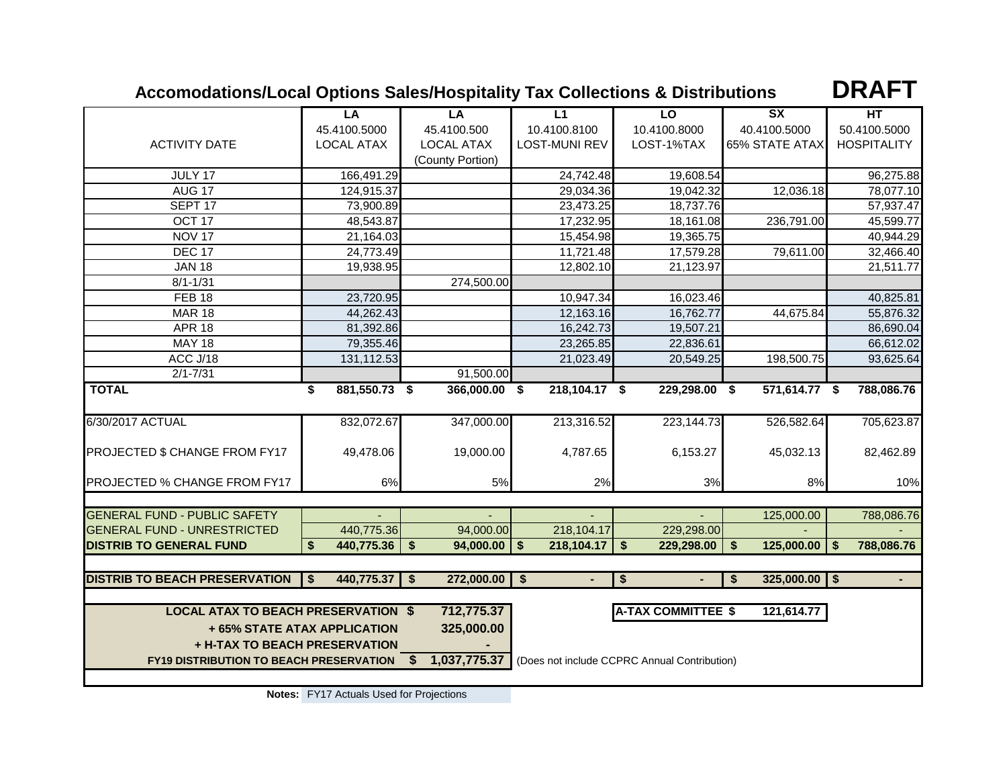### **Accomodations/Local Options Sales/Hospitality Tax Collections & Distributions**

**DRAFT**

|                                                                                                                        | LA                           | LA                | L1                              | LO                        | SX               | HT                 |  |
|------------------------------------------------------------------------------------------------------------------------|------------------------------|-------------------|---------------------------------|---------------------------|------------------|--------------------|--|
|                                                                                                                        | 45.4100.5000                 | 45.4100.500       | 10.4100.8100                    | 10.4100.8000              | 40.4100.5000     | 50.4100.5000       |  |
| <b>ACTIVITY DATE</b>                                                                                                   | <b>LOCAL ATAX</b>            | <b>LOCAL ATAX</b> | <b>LOST-MUNI REV</b>            | LOST-1%TAX                | 65% STATE ATAX   | <b>HOSPITALITY</b> |  |
|                                                                                                                        |                              | (County Portion)  |                                 |                           |                  |                    |  |
| JULY 17                                                                                                                | 166,491.29                   |                   | 24,742.48                       | 19,608.54                 |                  | 96,275.88          |  |
| AUG <sub>17</sub>                                                                                                      | 124,915.37                   |                   | 29,034.36                       | 19,042.32                 | 12,036.18        | 78,077.10          |  |
| SEPT <sub>17</sub>                                                                                                     | 73,900.89                    |                   | 23,473.25                       | 18,737.76                 |                  | 57,937.47          |  |
| OCT <sub>17</sub>                                                                                                      | 48,543.87                    |                   | 17,232.95                       | 18,161.08                 | 236,791.00       | 45,599.77          |  |
| <b>NOV 17</b>                                                                                                          | 21,164.03                    |                   | 15,454.98                       | 19,365.75                 |                  | 40,944.29          |  |
| <b>DEC 17</b>                                                                                                          | 24,773.49                    |                   | 11,721.48                       | 17,579.28                 | 79,611.00        | 32,466.40          |  |
| <b>JAN 18</b>                                                                                                          | 19,938.95                    |                   | 12,802.10                       | 21,123.97                 |                  | 21,511.77          |  |
| $8/1 - 1/31$                                                                                                           |                              | 274,500.00        |                                 |                           |                  |                    |  |
| <b>FEB 18</b>                                                                                                          | 23,720.95                    |                   | 10,947.34                       | 16,023.46                 |                  | 40,825.81          |  |
| <b>MAR 18</b>                                                                                                          | 44,262.43                    |                   | 12,163.16                       | 16,762.77                 | 44,675.84        | 55,876.32          |  |
| <b>APR 18</b>                                                                                                          | 81,392.86                    |                   | 16,242.73                       | 19,507.21                 |                  | 86,690.04          |  |
| <b>MAY 18</b>                                                                                                          | 79,355.46                    |                   | 23,265.85                       | 22,836.61                 |                  | 66,612.02          |  |
| ACC J/18                                                                                                               | 131,112.53                   |                   | 21,023.49                       | 20,549.25                 | 198,500.75       | 93,625.64          |  |
| $2/1 - 7/31$                                                                                                           |                              | 91,500.00         |                                 |                           |                  |                    |  |
| <b>TOTAL</b>                                                                                                           | 881,550.73 \$<br>\$          | 366,000.00 \$     | 218,104.17 \$                   | 229,298.00 \$             | 571,614.77 \$    | 788,086.76         |  |
|                                                                                                                        |                              |                   |                                 |                           |                  |                    |  |
| 6/30/2017 ACTUAL                                                                                                       | 832,072.67                   | 347,000.00        | 213,316.52                      | 223,144.73                | 526,582.64       | 705,623.87         |  |
|                                                                                                                        |                              |                   |                                 |                           |                  |                    |  |
| PROJECTED \$ CHANGE FROM FY17                                                                                          | 49,478.06                    | 19,000.00         | 4,787.65                        | 6,153.27                  | 45,032.13        | 82,462.89          |  |
|                                                                                                                        |                              |                   |                                 |                           |                  |                    |  |
| PROJECTED % CHANGE FROM FY17                                                                                           | 6%                           | 5%                | 2%                              | 3%                        | 8%               | 10%                |  |
|                                                                                                                        |                              |                   |                                 |                           |                  |                    |  |
| <b>GENERAL FUND - PUBLIC SAFETY</b>                                                                                    |                              |                   |                                 |                           | 125,000.00       | 788,086.76         |  |
| <b>GENERAL FUND - UNRESTRICTED</b>                                                                                     | 440,775.36                   | 94,000.00         | 218,104.17                      | 229,298.00                |                  |                    |  |
| <b>DISTRIB TO GENERAL FUND</b>                                                                                         | 440,775.36<br>\$             | \$<br>94,000.00   | $\mathbf{s}$<br>218,104.17      | \$<br>$229,298.00$ \$     | 125,000.00       | 788,086.76<br>l \$ |  |
|                                                                                                                        |                              |                   |                                 |                           |                  |                    |  |
| <b>DISTRIB TO BEACH PRESERVATION</b>                                                                                   | 440,775.37<br>\$             | 272,000.00<br>\$  | $\sqrt[6]{2}$<br>$\blacksquare$ | \$                        | 325,000.00<br>\$ | $\sqrt{5}$         |  |
|                                                                                                                        |                              |                   |                                 |                           |                  |                    |  |
|                                                                                                                        |                              |                   |                                 |                           |                  |                    |  |
| <b>LOCAL ATAX TO BEACH PRESERVATION \$</b>                                                                             |                              | 712,775.37        |                                 | <b>A-TAX COMMITTEE \$</b> | 121,614.77       |                    |  |
|                                                                                                                        | + 65% STATE ATAX APPLICATION | 325,000.00        |                                 |                           |                  |                    |  |
| + H-TAX TO BEACH PRESERVATION                                                                                          |                              |                   |                                 |                           |                  |                    |  |
| - \$<br>1,037,775.37<br><b>FY19 DISTRIBUTION TO BEACH PRESERVATION</b><br>(Does not include CCPRC Annual Contribution) |                              |                   |                                 |                           |                  |                    |  |
|                                                                                                                        |                              |                   |                                 |                           |                  |                    |  |

**Notes:** FY17 Actuals Used for Projections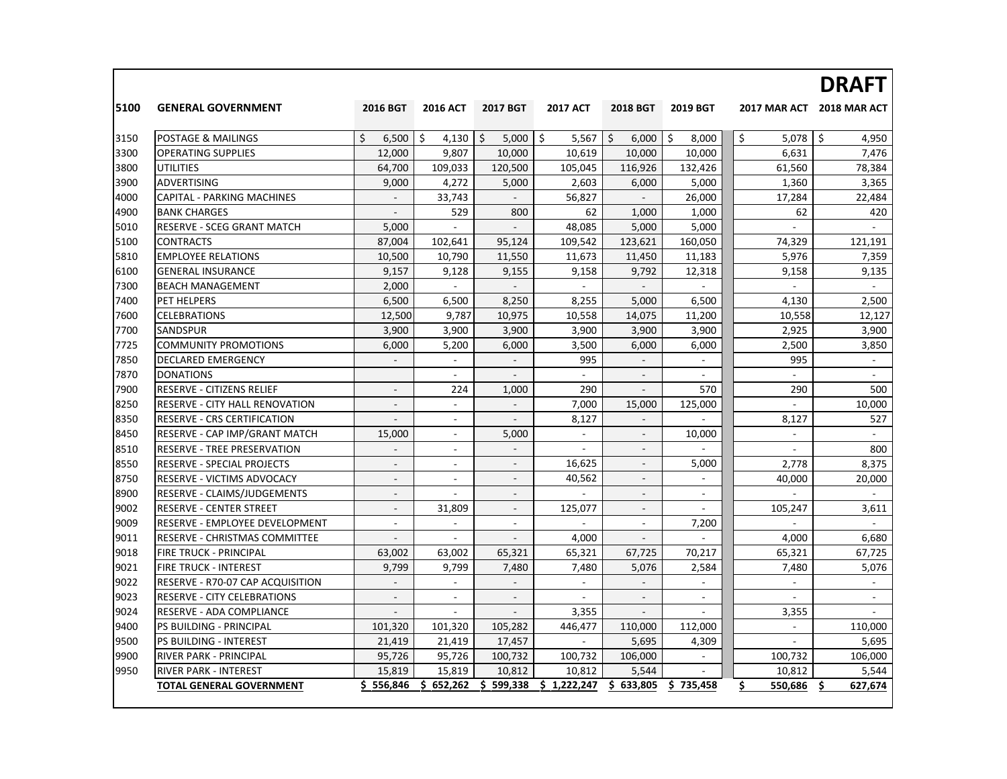|      |                                    |                          |                 |                          |                          |                          |                          |                          | <b>DRAFT</b>             |
|------|------------------------------------|--------------------------|-----------------|--------------------------|--------------------------|--------------------------|--------------------------|--------------------------|--------------------------|
| 5100 | <b>GENERAL GOVERNMENT</b>          | 2016 BGT                 | <b>2016 ACT</b> | 2017 BGT                 | <b>2017 ACT</b>          | <b>2018 BGT</b>          | 2019 BGT                 | <b>2017 MAR ACT</b>      | 2018 MAR ACT             |
| 3150 | <b>POSTAGE &amp; MAILINGS</b>      | Ś.<br>6,500              | \$<br>4,130     | \$<br>5,000              | \$<br>5,567              | \$<br>6,000              | \$<br>8,000              | \$<br>5,078              | \$<br>4,950              |
| 3300 | <b>OPERATING SUPPLIES</b>          | 12,000                   | 9.807           | 10,000                   | 10,619                   | 10,000                   | 10,000                   | 6,631                    | 7,476                    |
| 3800 | UTILITIES                          | 64,700                   | 109,033         | 120,500                  | 105,045                  | 116,926                  | 132,426                  | 61,560                   | 78,384                   |
| 3900 | <b>ADVERTISING</b>                 | 9,000                    | 4,272           | 5,000                    | 2,603                    | 6,000                    | 5,000                    | 1,360                    | 3,365                    |
| 4000 | <b>CAPITAL - PARKING MACHINES</b>  |                          | 33,743          |                          | 56,827                   |                          | 26,000                   | 17,284                   | 22,484                   |
| 4900 | <b>BANK CHARGES</b>                | $\mathbb{Z}^+$           | 529             | 800                      | 62                       | 1,000                    | 1,000                    | 62                       | 420                      |
| 5010 | <b>RESERVE - SCEG GRANT MATCH</b>  | 5,000                    | $\sim$          | $\overline{\phantom{a}}$ | 48,085                   | 5,000                    | 5,000                    | $\overline{\phantom{a}}$ | $\sim$                   |
| 5100 | <b>CONTRACTS</b>                   | 87,004                   | 102,641         | 95,124                   | 109,542                  | 123,621                  | 160,050                  | 74,329                   | 121,191                  |
| 5810 | <b>EMPLOYEE RELATIONS</b>          | 10,500                   | 10,790          | 11,550                   | 11,673                   | 11,450                   | 11,183                   | 5,976                    | 7,359                    |
| 6100 | <b>GENERAL INSURANCE</b>           | 9,157                    | 9,128           | 9,155                    | 9,158                    | 9,792                    | 12,318                   | 9,158                    | 9,135                    |
| 7300 | <b>BEACH MANAGEMENT</b>            | 2,000                    |                 |                          | $\overline{\phantom{a}}$ |                          |                          |                          | $\sim$                   |
| 7400 | PET HELPERS                        | 6,500                    | 6,500           | 8,250                    | 8,255                    | 5,000                    | 6,500                    | 4,130                    | 2,500                    |
| 7600 | <b>CELEBRATIONS</b>                | 12,500                   | 9,787           | 10,975                   | 10,558                   | 14,075                   | 11,200                   | 10,558                   | 12,127                   |
| 7700 | <b>SANDSPUR</b>                    | 3,900                    | 3,900           | 3,900                    | 3,900                    | 3,900                    | 3,900                    | 2,925                    | 3,900                    |
| 7725 | <b>COMMUNITY PROMOTIONS</b>        | 6,000                    | 5,200           | 6,000                    | 3,500                    | 6,000                    | 6,000                    | 2,500                    | 3,850                    |
| 7850 | DECLARED EMERGENCY                 | $\sim$                   | $\sim$          | $\sim$                   | 995                      | $\sim$                   | $\sim$                   | 995                      | $\sim$                   |
| 7870 | <b>DONATIONS</b>                   |                          | $\sim$          |                          |                          | $\overline{\phantom{a}}$ |                          |                          | $\blacksquare$           |
| 7900 | RESERVE - CITIZENS RELIEF          | $\sim$                   | 224             | 1,000                    | 290                      | $\overline{\phantom{a}}$ | 570                      | 290                      | 500                      |
| 8250 | RESERVE - CITY HALL RENOVATION     | $\overline{\phantom{a}}$ | $\sim$          |                          | 7,000                    | 15,000                   | 125,000                  | $\overline{\phantom{a}}$ | 10,000                   |
| 8350 | RESERVE - CRS CERTIFICATION        | $\blacksquare$           | $\sim$          | $\blacksquare$           | 8.127                    | $\sim$                   | ÷                        | 8,127                    | 527                      |
| 8450 | RESERVE - CAP IMP/GRANT MATCH      | 15,000                   | $\blacksquare$  | 5,000                    | $\Box$                   |                          | 10.000                   | $\Box$                   | $\overline{\phantom{a}}$ |
| 8510 | <b>RESERVE - TREE PRESERVATION</b> | $\mathbb{L}^2$           | $\sim$          | $\omega$                 | $\sim$                   | $\sim$                   | $\mathcal{L}$            | $\blacksquare$           | 800                      |
| 8550 | <b>RESERVE - SPECIAL PROJECTS</b>  | $\overline{\phantom{a}}$ | $\sim$          | $\overline{\phantom{a}}$ | 16.625                   | $\blacksquare$           | 5,000                    | 2.778                    | 8,375                    |
| 8750 | RESERVE - VICTIMS ADVOCACY         | $\sim$                   | $\sim$          | $\overline{\phantom{a}}$ | 40.562                   | $\sim$                   | $\sim$                   | 40.000                   | 20,000                   |
| 8900 | RESERVE - CLAIMS/JUDGEMENTS        | $\sim$                   |                 | $\overline{\phantom{a}}$ |                          | $\sim$                   | $\sim$                   |                          |                          |
| 9002 | RESERVE - CENTER STREET            | $\sim$                   | 31,809          | $\blacksquare$           | 125,077                  | $\sim$                   | $\sim$                   | 105,247                  | 3,611                    |
| 9009 | RESERVE - EMPLOYEE DEVELOPMENT     | $\overline{\phantom{a}}$ |                 | $\sim$                   |                          | $\sim$                   | 7,200                    |                          |                          |
| 9011 | RESERVE - CHRISTMAS COMMITTEE      | $\overline{\phantom{a}}$ | $\sim$          | $\overline{\phantom{a}}$ | 4,000                    | $\overline{\phantom{a}}$ | $\sim$                   | 4,000                    | 6,680                    |
| 9018 | FIRE TRUCK - PRINCIPAL             | 63,002                   | 63,002          | 65,321                   | 65,321                   | 67,725                   | 70,217                   | 65,321                   | 67,725                   |
| 9021 | <b>FIRE TRUCK - INTEREST</b>       | 9,799                    | 9,799           | 7,480                    | 7,480                    | 5,076                    | 2,584                    | 7,480                    | 5,076                    |
| 9022 | RESERVE - R70-07 CAP ACQUISITION   |                          |                 | $\overline{\phantom{a}}$ | $\overline{a}$           |                          | $\blacksquare$           | $\overline{\phantom{a}}$ | $\sim$                   |
| 9023 | <b>RESERVE - CITY CELEBRATIONS</b> | $\overline{\phantom{a}}$ | $\sim$          | $\overline{\phantom{a}}$ | $\sim$                   | $\overline{\phantom{a}}$ | $\overline{\phantom{a}}$ | $\sim$                   | $\sim$                   |
| 9024 | RESERVE - ADA COMPLIANCE           | $\mathbb{Z}^2$           | $\sim$          |                          | 3,355                    | $\sim$                   |                          | 3,355                    | $\sim$                   |
| 9400 | PS BUILDING - PRINCIPAL            | 101,320                  | 101,320         | 105,282                  | 446,477                  | 110,000                  | 112,000                  | $\sim$                   | 110,000                  |
| 9500 | PS BUILDING - INTEREST             | 21,419                   | 21,419          | 17,457                   |                          | 5,695                    | 4,309                    |                          | 5,695                    |
| 9900 | RIVER PARK - PRINCIPAL             | 95,726                   | 95,726          | 100,732                  | 100,732                  | 106,000                  | $\overline{\phantom{a}}$ | 100,732                  | 106,000                  |
| 9950 | <b>RIVER PARK - INTEREST</b>       | 15,819                   | 15,819          | 10,812                   | 10,812                   | 5,544                    |                          | 10,812                   | 5,544                    |
|      | <b>TOTAL GENERAL GOVERNMENT</b>    | \$556,846                | \$652,262       | \$599,338                | \$1,222,247              | \$633,805                | \$735,458                | Ś.<br>550,686            | 627,674<br>\$.           |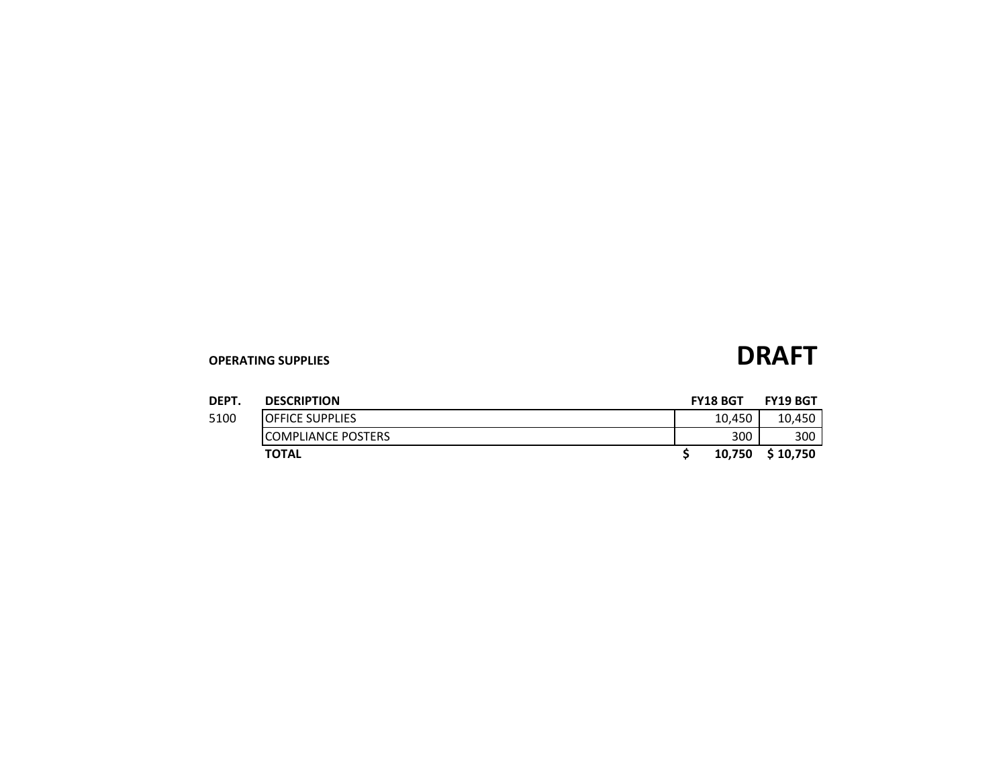| DEPT. | <b>DESCRIPTION</b>      | <b>FY18 BGT</b> |        | <b>FY19 BGT</b> |
|-------|-------------------------|-----------------|--------|-----------------|
| 5100  | <b>IOFFICE SUPPLIES</b> |                 | 10.450 | 10,450          |
|       | ICOMPLIANCE POSTERS     |                 | 300    | 300             |
|       | <b>TOTAL</b>            |                 | 10,750 | \$10.750        |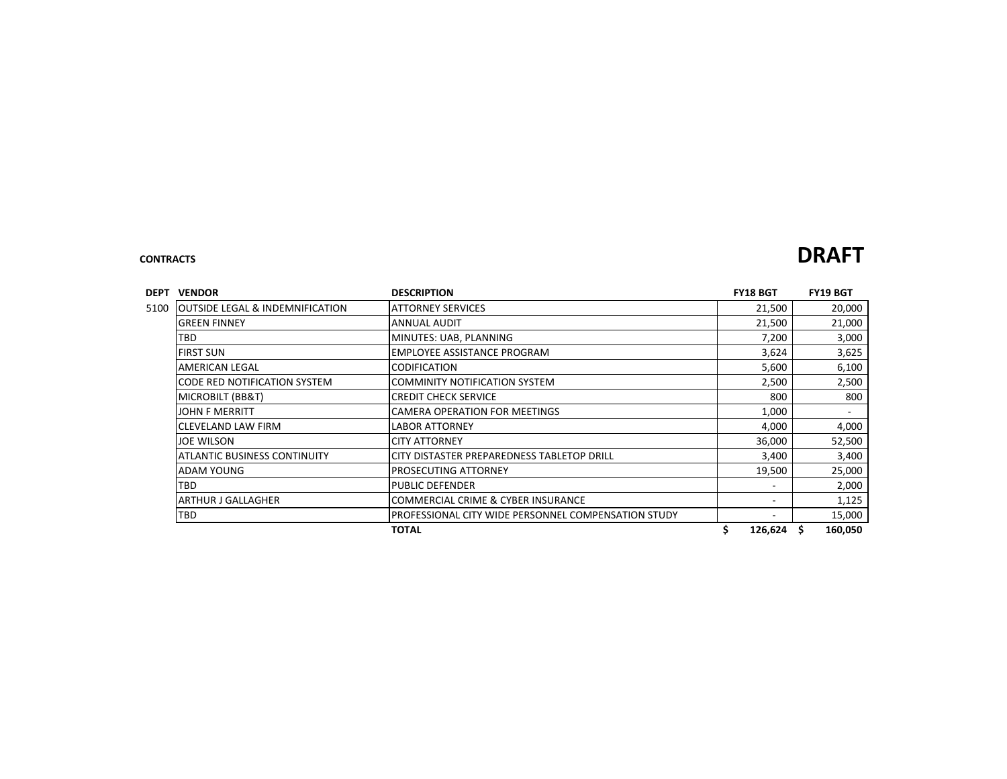### **CONTRACTS DRAFT**

| <b>DEPT</b><br><b>VENDOR</b>                        | <b>DESCRIPTION</b>                                  | <b>FY18 BGT</b> | <b>FY19 BGT</b>          |
|-----------------------------------------------------|-----------------------------------------------------|-----------------|--------------------------|
| <b>JOUTSIDE LEGAL &amp; INDEMNIFICATION</b><br>5100 | <b>ATTORNEY SERVICES</b>                            | 21,500          | 20,000                   |
| IGREEN FINNEY                                       | ANNUAL AUDIT                                        | 21,500          | 21,000                   |
| TBD                                                 | MINUTES: UAB, PLANNING                              | 7,200           | 3,000                    |
| <b>FIRST SUN</b>                                    | <b>EMPLOYEE ASSISTANCE PROGRAM</b>                  | 3,624           | 3,625                    |
| <b>AMERICAN LEGAL</b>                               | <b>CODIFICATION</b>                                 | 5,600           | 6,100                    |
| CODE RED NOTIFICATION SYSTEM                        | <b>COMMINITY NOTIFICATION SYSTEM</b>                | 2,500           | 2,500                    |
| <b>MICROBILT (BB&amp;T)</b>                         | <b>CREDIT CHECK SERVICE</b>                         | 800             | 800                      |
| <b>JOHN F MERRITT</b>                               | <b>CAMERA OPERATION FOR MEETINGS</b>                | 1,000           | $\overline{\phantom{a}}$ |
| ICLEVELAND LAW FIRM                                 | <b>LABOR ATTORNEY</b>                               | 4,000           | 4,000                    |
| <b>JOE WILSON</b>                                   | <b>CITY ATTORNEY</b>                                | 36,000          | 52,500                   |
| <b>ATLANTIC BUSINESS CONTINUITY</b>                 | CITY DISTASTER PREPAREDNESS TABLETOP DRILL          | 3,400           | 3,400                    |
| ADAM YOUNG                                          | <b>PROSECUTING ATTORNEY</b>                         | 19,500          | 25,000                   |
| <b>TBD</b>                                          | <b>PUBLIC DEFENDER</b>                              |                 | 2,000                    |
| IARTHUR J GALLAGHER                                 | <b>COMMERCIAL CRIME &amp; CYBER INSURANCE</b>       |                 | 1,125                    |
| TBD                                                 | PROFESSIONAL CITY WIDE PERSONNEL COMPENSATION STUDY |                 | 15,000                   |
|                                                     | <b>TOTAL</b>                                        | \$<br>126,624   | \$.<br>160,050           |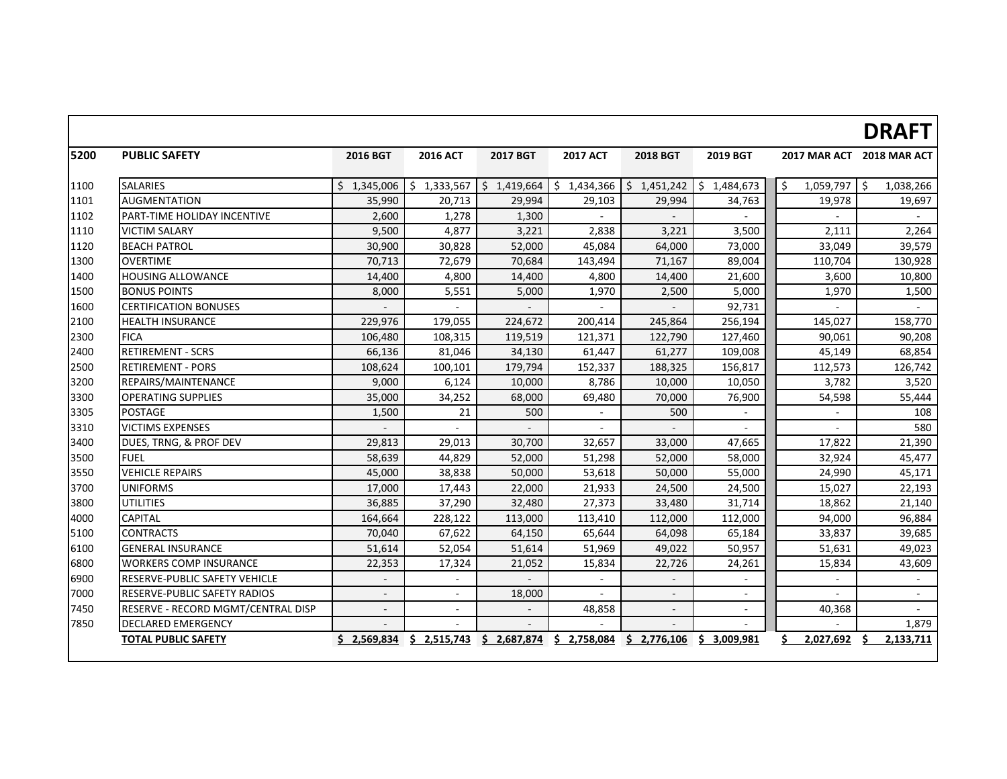|      |                                     |                          |                           |             |                 |                          |                            |                      | <b>DRAFT</b>              |
|------|-------------------------------------|--------------------------|---------------------------|-------------|-----------------|--------------------------|----------------------------|----------------------|---------------------------|
| 5200 | <b>PUBLIC SAFETY</b>                | 2016 BGT                 | <b>2016 ACT</b>           | 2017 BGT    | <b>2017 ACT</b> | <b>2018 BGT</b>          | 2019 BGT                   |                      | 2017 MAR ACT 2018 MAR ACT |
| 1100 | <b>SALARIES</b>                     |                          | $$1,345,006$ $$1,333,567$ | \$1,419,664 | \$1,434,366     | \$1,451,242              | $\frac{1}{2}$ \$ 1,484,673 | Ŝ.<br>$1,059,797$ \$ | 1,038,266                 |
| 1101 | <b>AUGMENTATION</b>                 | 35,990                   | 20,713                    | 29,994      | 29,103          | 29,994                   | 34,763                     | 19,978               | 19,697                    |
| 1102 | PART-TIME HOLIDAY INCENTIVE         | 2,600                    | 1,278                     | 1,300       |                 |                          |                            |                      |                           |
| 1110 | <b>VICTIM SALARY</b>                | 9,500                    | 4,877                     | 3,221       | 2,838           | 3,221                    | 3,500                      | 2,111                | 2,264                     |
| 1120 | <b>BEACH PATROL</b>                 | 30,900                   | 30,828                    | 52,000      | 45,084          | 64,000                   | 73,000                     | 33,049               | 39,579                    |
| 1300 | <b>OVERTIME</b>                     | 70,713                   | 72,679                    | 70,684      | 143,494         | 71,167                   | 89,004                     | 110,704              | 130,928                   |
| 1400 | <b>HOUSING ALLOWANCE</b>            | 14,400                   | 4,800                     | 14,400      | 4,800           | 14,400                   | 21,600                     | 3,600                | 10,800                    |
| 1500 | <b>BONUS POINTS</b>                 | 8,000                    | 5,551                     | 5,000       | 1,970           | 2,500                    | 5,000                      | 1,970                | 1,500                     |
| 1600 | <b>CERTIFICATION BONUSES</b>        |                          |                           |             |                 |                          | 92,731                     |                      |                           |
| 2100 | <b>HEALTH INSURANCE</b>             | 229,976                  | 179,055                   | 224,672     | 200,414         | 245,864                  | 256,194                    | 145,027              | 158,770                   |
| 2300 | <b>FICA</b>                         | 106,480                  | 108,315                   | 119,519     | 121,371         | 122,790                  | 127,460                    | 90,061               | 90,208                    |
| 2400 | <b>RETIREMENT - SCRS</b>            | 66,136                   | 81,046                    | 34,130      | 61,447          | 61,277                   | 109,008                    | 45,149               | 68,854                    |
| 2500 | <b>RETIREMENT - PORS</b>            | 108,624                  | 100,101                   | 179,794     | 152,337         | 188,325                  | 156,817                    | 112,573              | 126,742                   |
| 3200 | REPAIRS/MAINTENANCE                 | 9,000                    | 6,124                     | 10,000      | 8,786           | 10,000                   | 10,050                     | 3,782                | 3,520                     |
| 3300 | <b>OPERATING SUPPLIES</b>           | 35,000                   | 34,252                    | 68,000      | 69,480          | 70,000                   | 76,900                     | 54,598               | 55,444                    |
| 3305 | <b>POSTAGE</b>                      | 1,500                    | 21                        | 500         |                 | 500                      | $\blacksquare$             |                      | 108                       |
| 3310 | <b>VICTIMS EXPENSES</b>             |                          |                           |             |                 |                          |                            |                      | 580                       |
| 3400 | DUES, TRNG, & PROF DEV              | 29,813                   | 29,013                    | 30,700      | 32,657          | 33,000                   | 47,665                     | 17,822               | 21,390                    |
| 3500 | <b>FUEL</b>                         | 58,639                   | 44,829                    | 52,000      | 51,298          | 52,000                   | 58,000                     | 32,924               | 45,477                    |
| 3550 | <b>VEHICLE REPAIRS</b>              | 45,000                   | 38,838                    | 50,000      | 53,618          | 50,000                   | 55,000                     | 24,990               | 45,171                    |
| 3700 | <b>UNIFORMS</b>                     | 17,000                   | 17,443                    | 22,000      | 21,933          | 24,500                   | 24,500                     | 15,027               | 22,193                    |
| 3800 | <b>UTILITIES</b>                    | 36,885                   | 37,290                    | 32,480      | 27,373          | 33,480                   | 31,714                     | 18,862               | 21,140                    |
| 4000 | <b>CAPITAL</b>                      | 164,664                  | 228,122                   | 113,000     | 113,410         | 112,000                  | 112,000                    | 94,000               | 96,884                    |
| 5100 | <b>CONTRACTS</b>                    | 70,040                   | 67,622                    | 64,150      | 65,644          | 64,098                   | 65,184                     | 33,837               | 39,685                    |
| 6100 | <b>GENERAL INSURANCE</b>            | 51,614                   | 52,054                    | 51,614      | 51,969          | 49,022                   | 50,957                     | 51,631               | 49,023                    |
| 6800 | <b>WORKERS COMP INSURANCE</b>       | 22,353                   | 17,324                    | 21,052      | 15,834          | 22,726                   | 24,261                     | 15,834               | 43,609                    |
| 6900 | RESERVE-PUBLIC SAFETY VEHICLE       | $\overline{\phantom{a}}$ | $\sim$                    |             |                 | $\overline{\phantom{a}}$ |                            |                      |                           |
| 7000 | <b>RESERVE-PUBLIC SAFETY RADIOS</b> | $\overline{a}$           |                           | 18,000      |                 | $\sim$                   |                            |                      |                           |
| 7450 | RESERVE - RECORD MGMT/CENTRAL DISP  | $\overline{a}$           |                           |             | 48,858          | $\overline{\phantom{a}}$ |                            | 40,368               |                           |
| 7850 | <b>DECLARED EMERGENCY</b>           |                          |                           |             |                 |                          |                            |                      | 1,879                     |
|      | <b>TOTAL PUBLIC SAFETY</b>          |                          | $$2,569,834 \t$2,515,743$ | \$2,687,874 | \$2,758,084     | \$2,776,106              | \$3,009,981                | Ś.<br>2,027,692      | 2,133,711                 |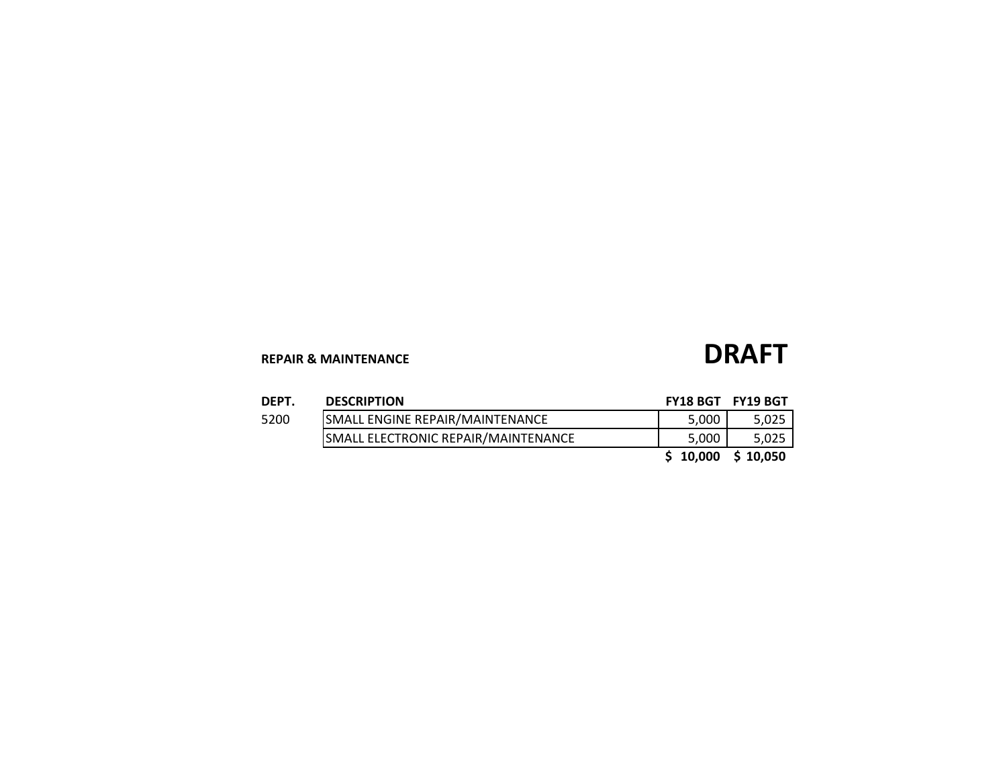# **REPAIR & MAINTENANCE DRAFT**

| DEPT. | <b>DESCRIPTION</b>                         | FY18 BGT FY19 BGT    |       |
|-------|--------------------------------------------|----------------------|-------|
| 5200  | SMALL ENGINE REPAIR/MAINTENANCE            | 5.000                | 5,025 |
|       | <b>SMALL ELECTRONIC REPAIR/MAINTENANCE</b> | 5.000                | 5,025 |
|       |                                            | $$10,000$$ $$10,050$ |       |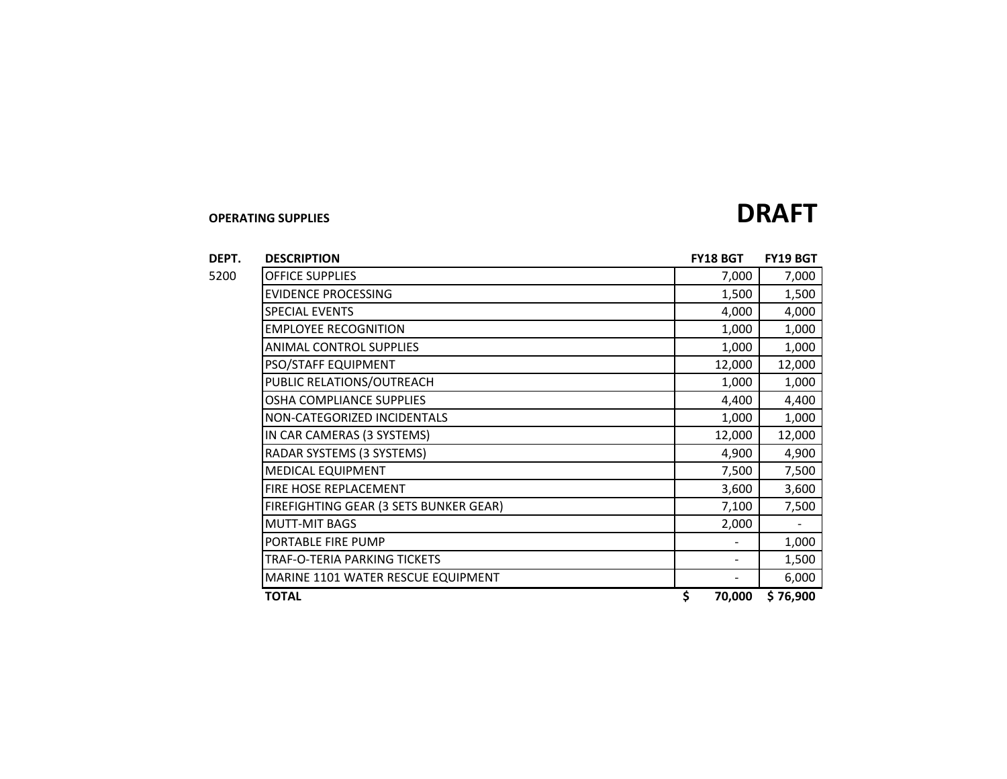### **DEPT. DESCRIPTION FY18 BGT FY19 BGT** 5200 OFFICE SUPPLIES 7,000 7,000 EVIDENCE PROCESSING 1,500 1,500 SPECIAL EVENTS 4,000 4,000 EMPLOYEE RECOGNITION 1,000 1,000 ANIMAL CONTROL SUPPLIES 1,000 1,000 | PSO/STAFF EQUIPMENT | 12,000 | 12,000 | 12,000 | 12,000 | 12,000 | 12,000 | 12,000 | 12,000 | 12,000 | 12,000 PUBLIC RELATIONS/OUTREACH 1,000 1,000 OSHA COMPLIANCE SUPPLIES  $\begin{array}{|c|c|c|c|c|}\n\hline\n&4,400 & 4,400 \\
\hline\n\end{array}$ NON-CATEGORIZED INCIDENTALS 1,000 1,000 1,000 |IN CAR CAMERAS (3 SYSTEMS) | 12,000 | 12,000 12,000 | 12,000 | 12,000 | 12,000 | 12,000 | 12,000 | 12,000 | 12,000 | 12,000 | 12,000 | 12,000 | 12,000 | 12,000 | 12,000 | 12,000 | 12,000 | 12,000 | 12,000 | 12,000 | 12,00 RADAR SYSTEMS (3 SYSTEMS) 4,900 4,900 MEDICAL EQUIPMENT 7,500 7,500 FIRE HOSE REPLACEMENT THE SERIES OF THE STATE STATE STATES AND STATES AND STATES AND STATES AND STATES AND STATES AND STATES AND STATES AND STATES AND STATES AND STATES AND STATES AND STATES AND STATES AND STATES AND STATE FIREFIGHTING GEAR (3 SETS BUNKER GEAR) THE RESOLUTION OF THE RESOLUTION OF THE RESOLUTION OF THE RESOLUTION OF THE RESOLUTION OF THE RESOLUTION OF THE RESOLUTION OF THE RESOLUTION OF THE RESOLUTION OF THE RESOLUTION OF THE MUTT-MIT BAGS 2,000 - PORTABLE FIRE PUMP  $\begin{bmatrix} 1 & 0 & 0 & 0 \\ 0 & 1 & 0 & 0 \\ 0 & 0 & 0 & 1 \end{bmatrix}$ TRAF-O-TERIA PARKING TICKETS - 1,500 MARINE 1101 WATER RESCUE EQUIPMENT FOR THE RESCUE EQUIPMENT THE RESCUE OF A SET OF A SAME RESCUE EQUIPMENT **TOTAL \$ 70,000 76,900\$**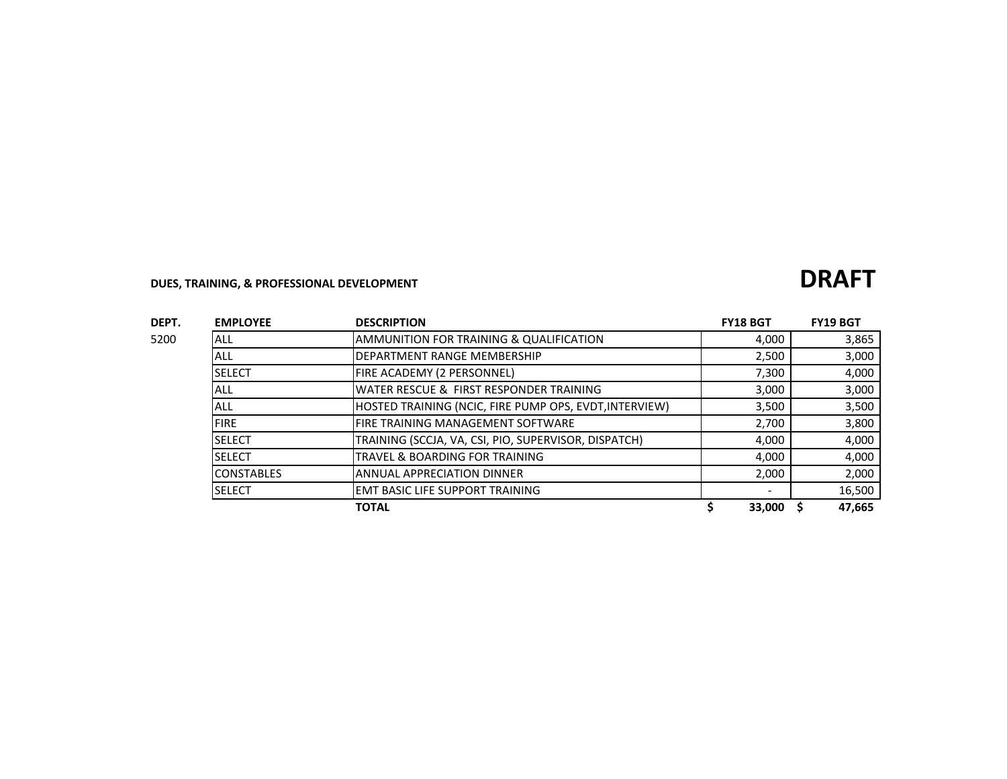# **DUES, TRAINING, & PROFESSIONAL DEVELOPMENT**

| DEPT. | <b>EMPLOYEE</b>   | <b>DESCRIPTION</b>                                     | <b>FY18 BGT</b> | <b>FY19 BGT</b> |
|-------|-------------------|--------------------------------------------------------|-----------------|-----------------|
| 5200  | <b>ALL</b>        | AMMUNITION FOR TRAINING & QUALIFICATION                | 4.000           | 3,865           |
|       | ALL               | <b>DEPARTMENT RANGE MEMBERSHIP</b>                     | 2,500           | 3,000           |
|       | <b>SELECT</b>     | FIRE ACADEMY (2 PERSONNEL)                             | 7,300           | 4,000           |
|       | ALL               | WATER RESCUE & FIRST RESPONDER TRAINING                | 3,000           | 3,000           |
|       | ALL               | HOSTED TRAINING (NCIC, FIRE PUMP OPS, EVDT, INTERVIEW) | 3,500           | 3,500           |
|       | <b>FIRE</b>       | <b>FIRE TRAINING MANAGEMENT SOFTWARE</b>               | 2,700           | 3,800           |
|       | <b>SELECT</b>     | TRAINING (SCCJA, VA, CSI, PIO, SUPERVISOR, DISPATCH)   | 4,000           | 4,000           |
|       | <b>SELECT</b>     | TRAVEL & BOARDING FOR TRAINING                         | 4.000           | 4,000           |
|       | <b>CONSTABLES</b> | <b>ANNUAL APPRECIATION DINNER</b>                      | 2,000           | 2,000           |
|       | <b>SELECT</b>     | <b>EMT BASIC LIFE SUPPORT TRAINING</b>                 |                 | 16,500          |
|       |                   | <b>TOTAL</b>                                           | 33,000          | 47,665          |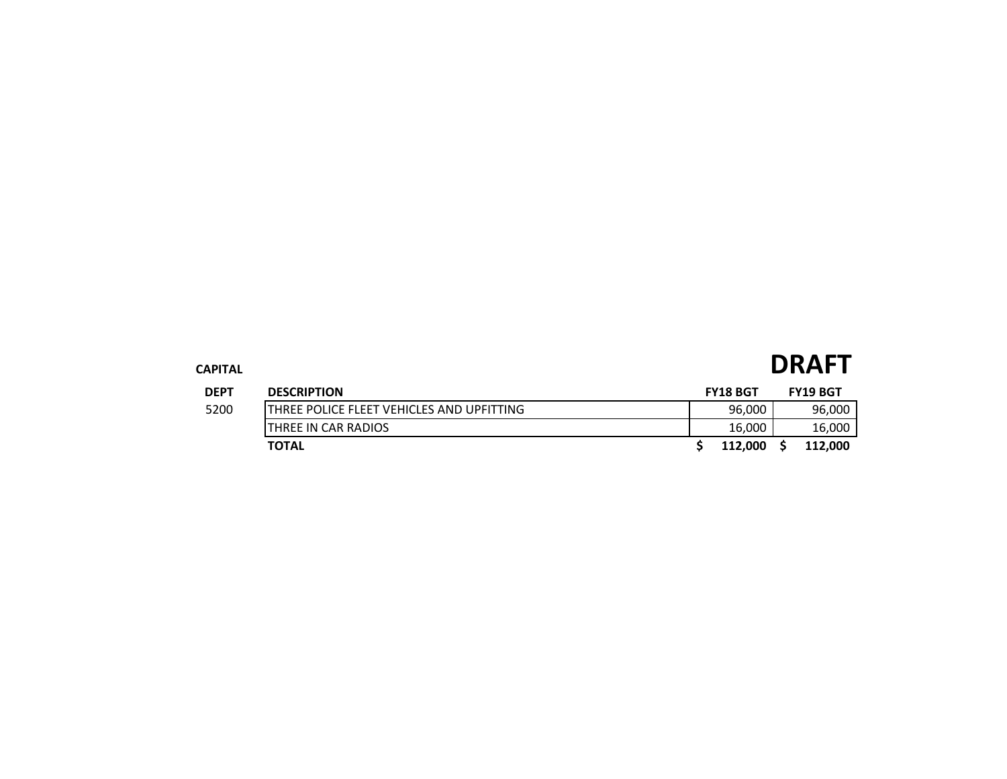| CAPITAL     |                                            |  |                 | <b>DRAFT</b>    |  |  |
|-------------|--------------------------------------------|--|-----------------|-----------------|--|--|
| <b>DEPT</b> | <b>DESCRIPTION</b>                         |  | <b>FY18 BGT</b> | <b>FY19 BGT</b> |  |  |
| 5200        | ITHREE POLICE FLEET VEHICLES AND UPFITTING |  | 96,000          | 96,000          |  |  |
|             | THREE IN CAR RADIOS                        |  | 16,000          | 16,000          |  |  |
|             | <b>TOTAL</b>                               |  | 112.000         | 112,000         |  |  |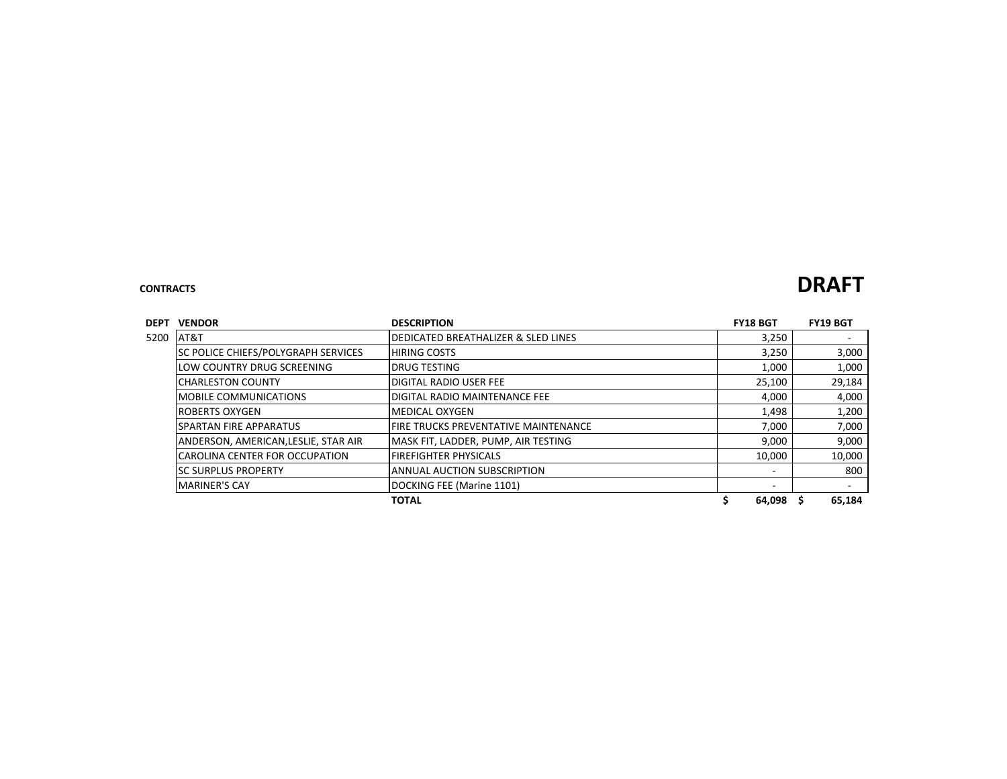### **CONTRACTS DRAFT**

| <b>DEPT</b> | <b>VENDOR</b>                              | <b>DESCRIPTION</b>                    | <b>FY18 BGT</b> | <b>FY19 BGT</b>          |
|-------------|--------------------------------------------|---------------------------------------|-----------------|--------------------------|
| 5200        | AT&T                                       | DEDICATED BREATHALIZER & SLED LINES   | 3,250           | $\overline{\phantom{a}}$ |
|             | <b>SC POLICE CHIEFS/POLYGRAPH SERVICES</b> | <b>HIRING COSTS</b>                   | 3,250           | 3,000                    |
|             | LOW COUNTRY DRUG SCREENING                 | IDRUG TESTING                         | 1,000           | 1,000                    |
|             | <b>ICHARLESTON COUNTY</b>                  | <b>DIGITAL RADIO USER FEE</b>         | 25,100          | 29,184                   |
|             | <b>IMOBILE COMMUNICATIONS</b>              | 4,000                                 | 4,000           |                          |
|             | <b>ROBERTS OXYGEN</b>                      | IMEDICAL OXYGEN                       |                 | 1,200                    |
|             | <b>ISPARTAN FIRE APPARATUS</b>             | IFIRE TRUCKS PREVENTATIVE MAINTENANCE | 7,000           | 7,000                    |
|             | ANDERSON, AMERICAN, LESLIE, STAR AIR       | MASK FIT, LADDER, PUMP, AIR TESTING   | 9,000           | 9,000                    |
|             | ICAROLINA CENTER FOR OCCUPATION            | FIREFIGHTER PHYSICALS                 | 10,000          | 10,000                   |
|             | <b>ISC SURPLUS PROPERTY</b>                | IANNUAL AUCTION SUBSCRIPTION          | -               | 800                      |
|             | <b>MARINER'S CAY</b>                       | DOCKING FEE (Marine 1101)             | ٠               | $\overline{\phantom{a}}$ |
|             |                                            | <b>TOTAL</b>                          | 64,098          | 65,184                   |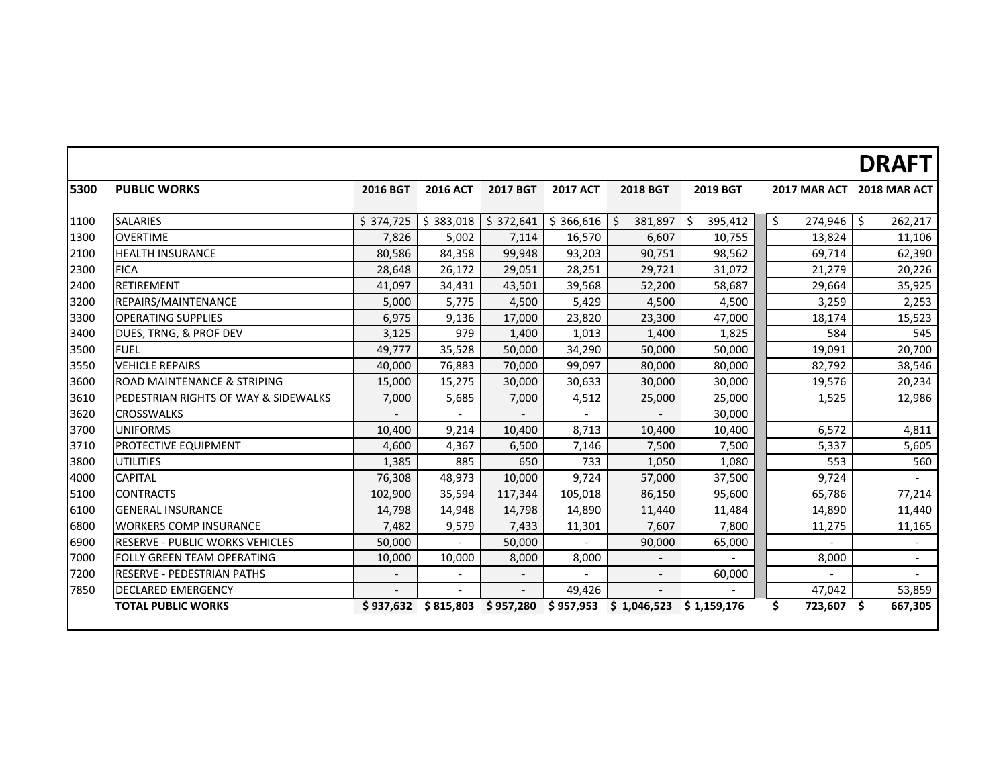## **DRAFT**

| 5300 | <b>PUBLIC WORKS</b>                    | <b>2016 BGT</b> | <b>2016 ACT</b>          | <b>2017 BGT</b> | <b>2017 ACT</b> | <b>2018 BGT</b> | <b>2019 BGT</b> |               | 2017 MAR ACT 2018 MAR ACT |
|------|----------------------------------------|-----------------|--------------------------|-----------------|-----------------|-----------------|-----------------|---------------|---------------------------|
| 1100 | <b>SALARIES</b>                        | \$374,725       | \$383,018                | \$372,641       | \$366,616       | \$<br>381,897   | \$<br>395,412   | \$<br>274,946 | $\zeta$<br>262,217        |
| 1300 | <b>OVERTIME</b>                        | 7,826           | 5,002                    | 7,114           | 16,570          | 6,607           | 10,755          | 13,824        | 11,106                    |
| 2100 | <b>HEALTH INSURANCE</b>                | 80,586          | 84,358                   | 99,948          | 93,203          | 90,751          | 98,562          | 69,714        | 62,390                    |
| 2300 | <b>FICA</b>                            | 28,648          | 26,172                   | 29,051          | 28,251          | 29,721          | 31,072          | 21,279        | 20,226                    |
| 2400 | RETIREMENT                             | 41,097          | 34,431                   | 43,501          | 39,568          | 52,200          | 58,687          | 29,664        | 35,925                    |
| 3200 | REPAIRS/MAINTENANCE                    | 5,000           | 5,775                    | 4,500           | 5,429           | 4,500           | 4,500           | 3,259         | 2,253                     |
| 3300 | <b>OPERATING SUPPLIES</b>              | 6,975           | 9,136                    | 17,000          | 23,820          | 23,300          | 47,000          | 18,174        | 15,523                    |
| 3400 | DUES, TRNG, & PROF DEV                 | 3,125           | 979                      | 1,400           | 1,013           | 1,400           | 1,825           | 584           | 545                       |
| 3500 | <b>FUEL</b>                            | 49,777          | 35,528                   | 50,000          | 34,290          | 50,000          | 50,000          | 19,091        | 20,700                    |
| 3550 | <b>VEHICLE REPAIRS</b>                 | 40,000          | 76,883                   | 70,000          | 99,097          | 80,000          | 80,000          | 82,792        | 38,546                    |
| 3600 | ROAD MAINTENANCE & STRIPING            | 15,000          | 15,275                   | 30,000          | 30,633          | 30,000          | 30,000          | 19,576        | 20,234                    |
| 3610 | PEDESTRIAN RIGHTS OF WAY & SIDEWALKS   | 7,000           | 5,685                    | 7,000           | 4,512           | 25,000          | 25,000          | 1,525         | 12,986                    |
| 3620 | <b>CROSSWALKS</b>                      |                 |                          |                 |                 |                 | 30,000          |               |                           |
| 3700 | <b>UNIFORMS</b>                        | 10,400          | 9,214                    | 10,400          | 8,713           | 10,400          | 10,400          | 6,572         | 4,811                     |
| 3710 | PROTECTIVE EQUIPMENT                   | 4,600           | 4,367                    | 6,500           | 7,146           | 7,500           | 7,500           | 5,337         | 5,605                     |
| 3800 | UTILITIES                              | 1,385           | 885                      | 650             | 733             | 1,050           | 1,080           | 553           | 560                       |
| 4000 | <b>CAPITAL</b>                         | 76,308          | 48,973                   | 10,000          | 9,724           | 57,000          | 37,500          | 9,724         |                           |
| 5100 | <b>CONTRACTS</b>                       | 102,900         | 35,594                   | 117,344         | 105,018         | 86,150          | 95,600          | 65,786        | 77,214                    |
| 6100 | <b>GENERAL INSURANCE</b>               | 14,798          | 14,948                   | 14,798          | 14,890          | 11,440          | 11,484          | 14,890        | 11,440                    |
| 6800 | <b>WORKERS COMP INSURANCE</b>          | 7,482           | 9,579                    | 7,433           | 11,301          | 7,607           | 7,800           | 11,275        | 11,165                    |
| 6900 | <b>RESERVE - PUBLIC WORKS VEHICLES</b> | 50,000          | $\overline{\phantom{0}}$ | 50,000          |                 | 90,000          | 65,000          |               |                           |
| 7000 | FOLLY GREEN TEAM OPERATING             | 10,000          | 10,000                   | 8,000           | 8,000           |                 |                 | 8,000         | $ \,$                     |
| 7200 | <b>RESERVE - PEDESTRIAN PATHS</b>      |                 |                          |                 |                 | $\frac{1}{2}$   | 60,000          |               |                           |
| 7850 | <b>DECLARED EMERGENCY</b>              |                 |                          |                 | 49,426          |                 |                 | 47,042        | 53,859                    |
|      | <b>TOTAL PUBLIC WORKS</b>              | \$937,632       | \$815,803                | \$957,280       | \$957,953       | \$1,046,523     | \$1,159,176     | 723,607       | 667,305                   |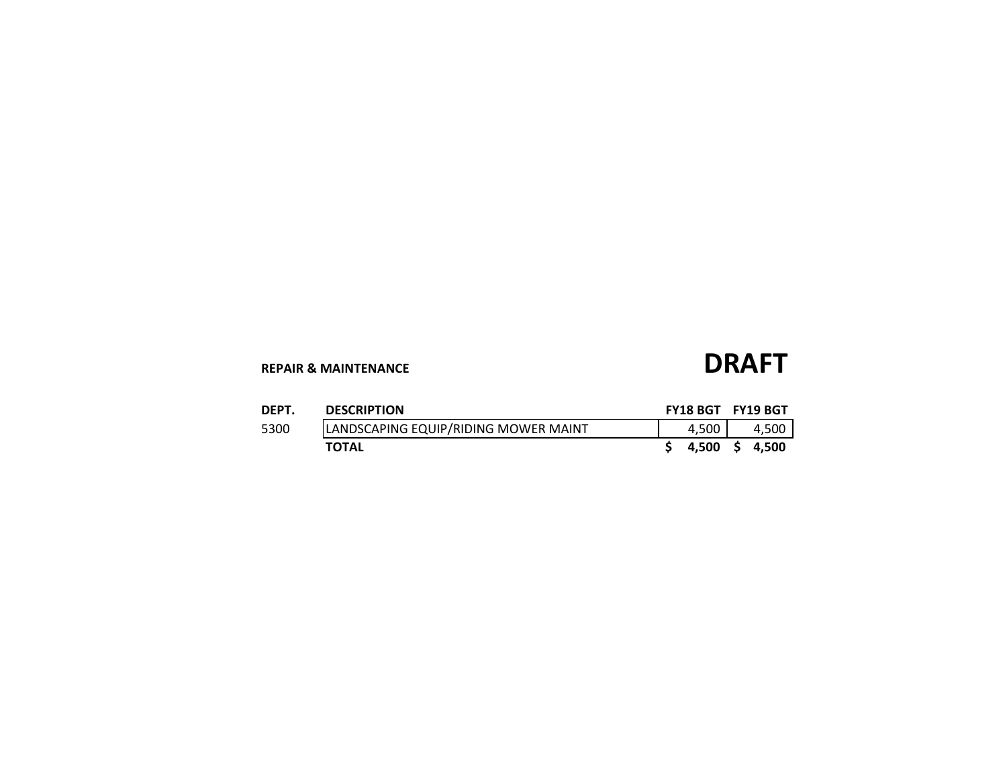# **REPAIR & MAINTENANCE DRAFT**

| DEPT. | <b>DESCRIPTION</b>                   | FY18 BGT FY19 BGT |       |
|-------|--------------------------------------|-------------------|-------|
| 5300  | LANDSCAPING EQUIP/RIDING MOWER MAINT | 4.500             | 4.500 |
|       | <b>TOTAL</b>                         | 4.500 S 4.500     |       |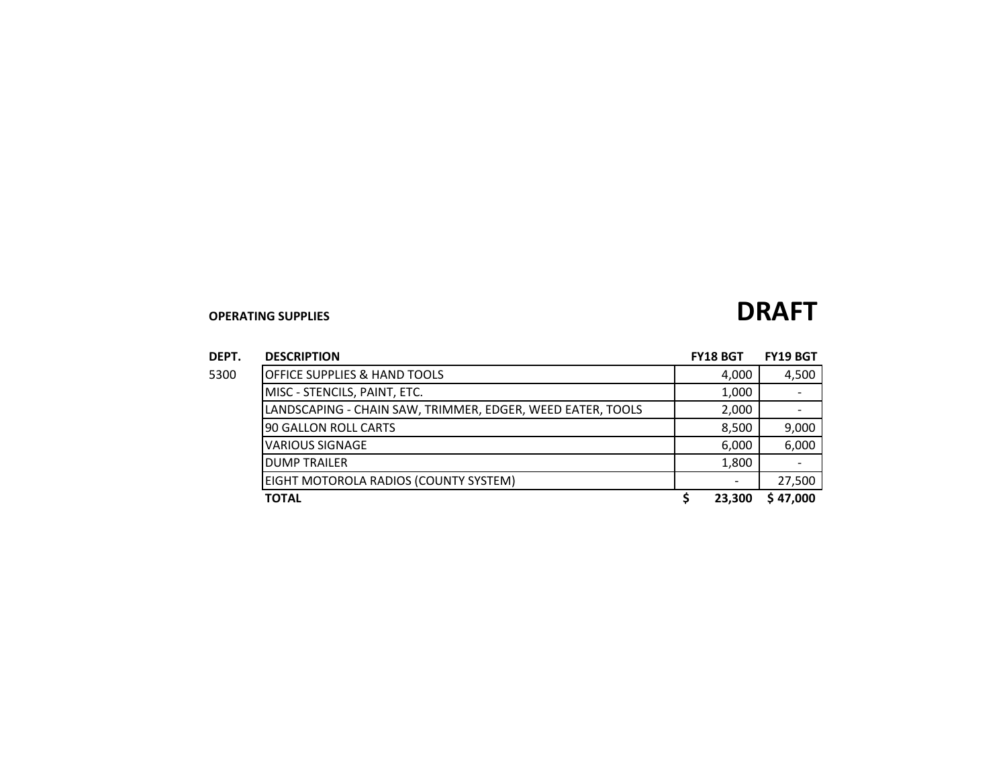| DEPT. | <b>DESCRIPTION</b>                                         | <b>FY18 BGT</b> | <b>FY19 BGT</b> |
|-------|------------------------------------------------------------|-----------------|-----------------|
| 5300  | <b>OFFICE SUPPLIES &amp; HAND TOOLS</b>                    | 4,000           | 4,500           |
|       | MISC - STENCILS, PAINT, ETC.                               | 1,000           |                 |
|       | LANDSCAPING - CHAIN SAW, TRIMMER, EDGER, WEED EATER, TOOLS | 2,000           |                 |
|       | 90 GALLON ROLL CARTS                                       | 8,500           | 9,000           |
|       | <b>VARIOUS SIGNAGE</b>                                     | 6,000           | 6,000           |
|       | <b>DUMP TRAILER</b>                                        | 1,800           |                 |
|       | EIGHT MOTOROLA RADIOS (COUNTY SYSTEM)                      |                 | 27,500          |
|       | <b>TOTAL</b>                                               | 23.300          | \$47,000        |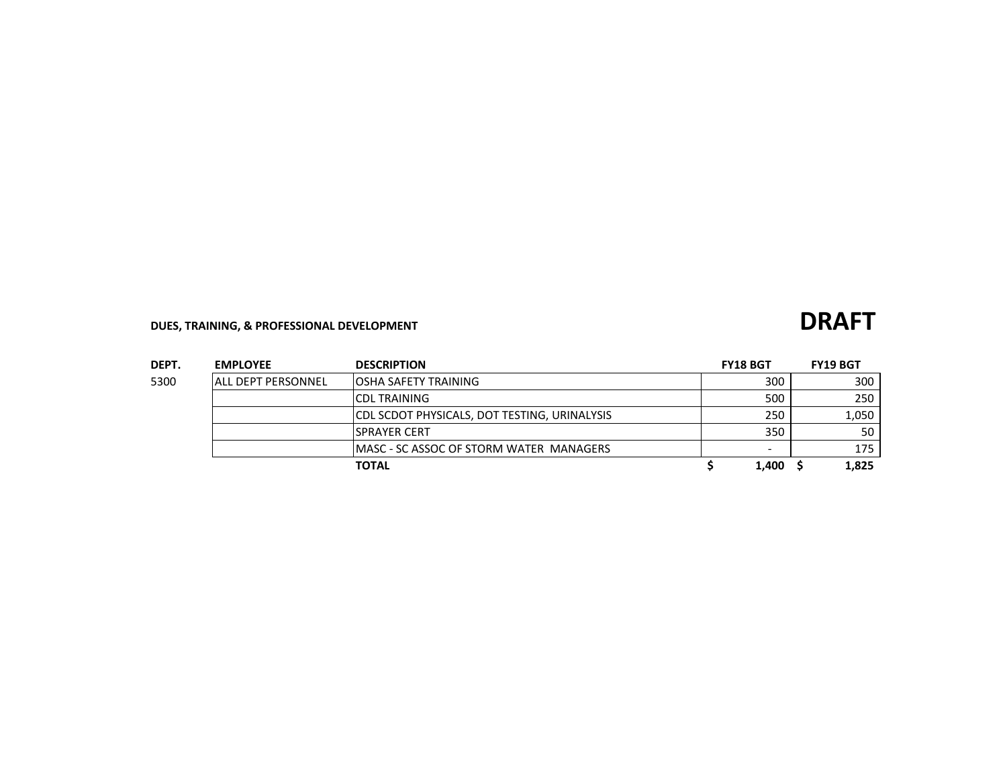## **DUES, TRAINING, & PROFESSIONAL DEVELOPMENT**

| DEPT. | <b>EMPLOYEE</b>           | <b>DESCRIPTION</b>                                  | <b>FY18 BGT</b>          | <b>FY19 BGT</b> |
|-------|---------------------------|-----------------------------------------------------|--------------------------|-----------------|
| 5300  | <b>ALL DEPT PERSONNEL</b> | <b>OSHA SAFETY TRAINING</b>                         | 300                      | 300             |
|       |                           | <b>ICDL TRAINING</b>                                | 500                      | 250             |
|       |                           | <b>CDL SCDOT PHYSICALS, DOT TESTING, URINALYSIS</b> | 250                      | 1.050           |
|       |                           | <b>ISPRAYER CERT</b>                                | 350                      | 50              |
|       |                           | <b>IMASC - SC ASSOC OF STORM WATER MANAGERS</b>     | $\overline{\phantom{0}}$ | 175             |
|       |                           | <b>TOTAL</b>                                        | 1.400                    | 1,825           |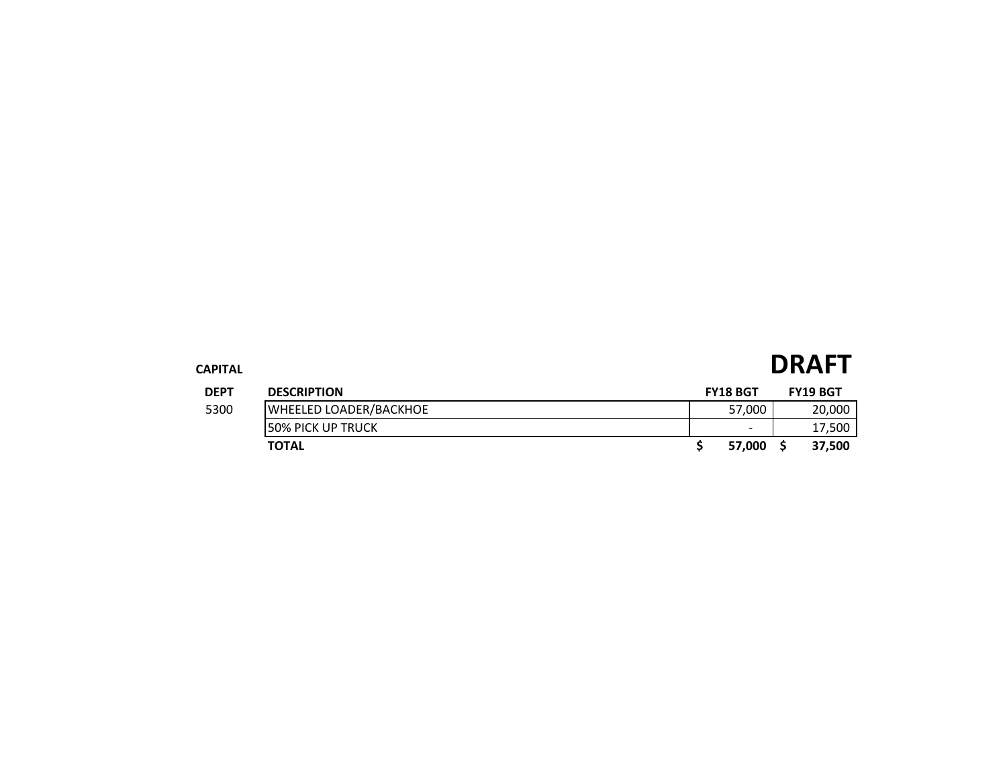### **CAPITAL DRAFT DEPT DESCRIPTION FY18 BGT FY19 BGT** The S300 WHEELED LOADER/BACKHOE **1999 120,000** 57,000 20,000 **50% PICK UP TRUCK** 17,500 **TOTAL \$ 57,000 \$ 37,500**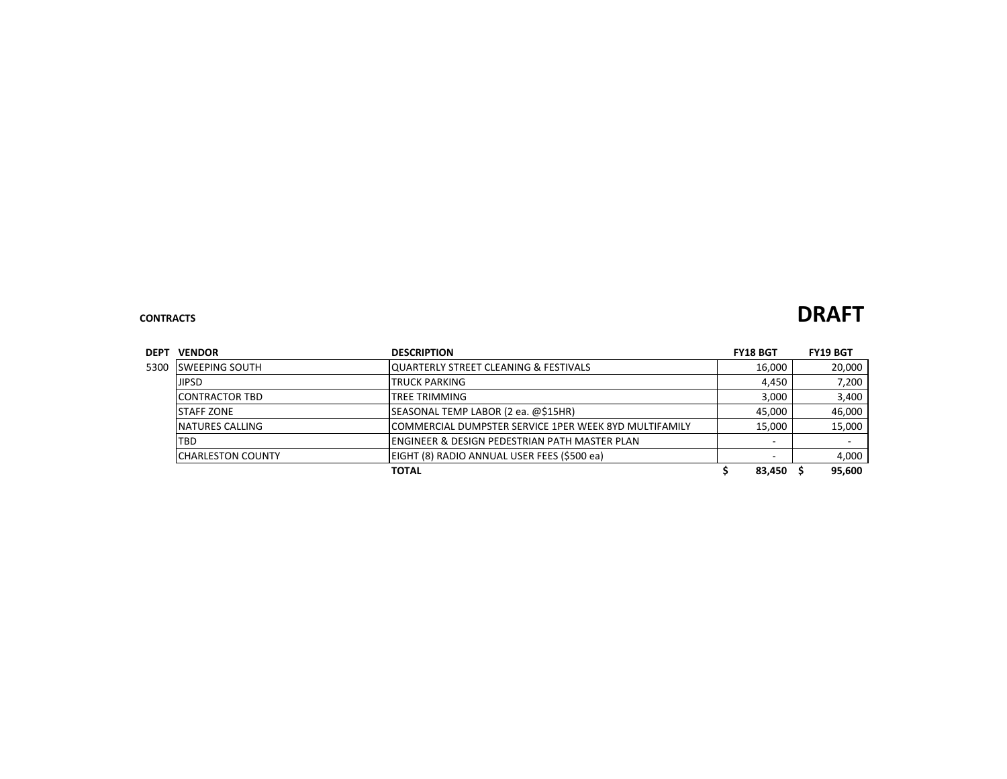### **CONTRACTS DRAFT**

| <b>DEPT</b> | <b>VENDOR</b>             | <b>DESCRIPTION</b>                                     | <b>FY18 BGT</b> |        | <b>FY19 BGT</b>          |
|-------------|---------------------------|--------------------------------------------------------|-----------------|--------|--------------------------|
| 5300        | ISWEEPING SOUTH           | IQUARTERLY STREET CLEANING & FESTIVALS                 | 16,000          |        | 20,000                   |
|             | <b>JIPSD</b>              | <b>TRUCK PARKING</b>                                   |                 | 4,450  | 7,200                    |
|             | <b>ICONTRACTOR TBD</b>    | TREE TRIMMING                                          |                 | 3,000  | 3,400                    |
|             | ISTAFF ZONE               | 45,000                                                 |                 | 46,000 |                          |
|             | <b>NATURES CALLING</b>    | ICOMMERCIAL DUMPSTER SERVICE 1PER WEEK 8YD MULTIFAMILY | 15,000          |        | 15,000                   |
|             | TBD                       | ENGINEER & DESIGN PEDESTRIAN PATH MASTER PLAN          |                 | -      | $\overline{\phantom{a}}$ |
|             | <b>ICHARLESTON COUNTY</b> |                                                        |                 | 4,000  |                          |
|             |                           | 83,450                                                 |                 | 95,600 |                          |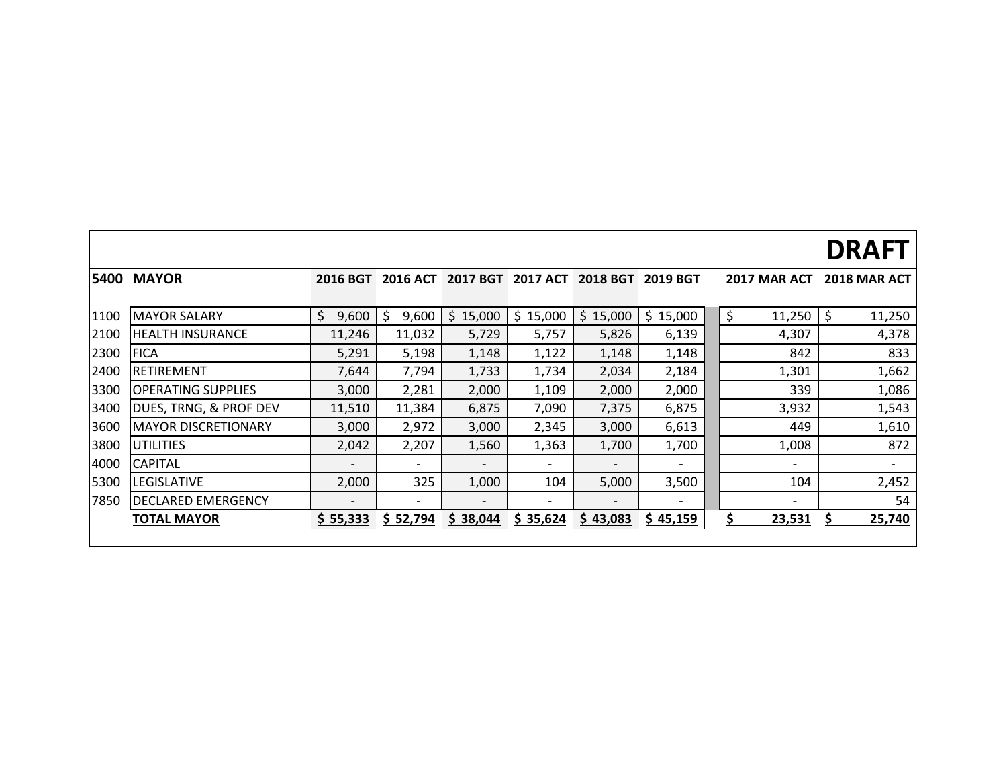|      |                            |                          |                 |                 |                          |                          |                          |                     | <b>DRAFT</b>        |
|------|----------------------------|--------------------------|-----------------|-----------------|--------------------------|--------------------------|--------------------------|---------------------|---------------------|
| 5400 | <b>MAYOR</b>               | <b>2016 BGT</b>          | <b>2016 ACT</b> | <b>2017 BGT</b> | <b>2017 ACT</b>          | <b>2018 BGT</b>          | <b>2019 BGT</b>          | <b>2017 MAR ACT</b> | <b>2018 MAR ACT</b> |
| 1100 | <b>MAYOR SALARY</b>        | \$<br>9,600              | 9,600<br>\$     | \$15,000        | \$15,000                 | \$15,000                 | \$15,000                 | $\zeta$<br>11,250   | \$<br>11,250        |
| 2100 | IHEALTH INSURANCE          | 11,246                   | 11,032          | 5,729           | 5,757                    | 5,826                    | 6,139                    | 4,307               | 4,378               |
| 2300 | <b>FICA</b>                | 5,291                    | 5,198           | 1,148           | 1,122                    | 1,148                    | 1,148                    | 842                 | 833                 |
| 2400 | RETIREMENT                 | 7,644                    | 7,794           | 1,733           | 1,734                    | 2,034                    | 2,184                    | 1,301               | 1,662               |
| 3300 | <b>OPERATING SUPPLIES</b>  | 3,000                    | 2,281           | 2,000           | 1,109                    | 2,000                    | 2,000                    | 339                 | 1,086               |
| 3400 | DUES, TRNG, & PROF DEV     | 11,510                   | 11,384          | 6,875           | 7,090                    | 7,375                    | 6,875                    | 3,932               | 1,543               |
| 3600 | <b>MAYOR DISCRETIONARY</b> | 3,000                    | 2,972           | 3,000           | 2,345                    | 3,000                    | 6,613                    | 449                 | 1,610               |
| 3800 | <b>UTILITIES</b>           | 2,042                    | 2,207           | 1,560           | 1,363                    | 1,700                    | 1,700                    | 1,008               | 872                 |
| 4000 | <b>CAPITAL</b>             |                          | -               |                 | $\overline{\phantom{a}}$ | $\overline{\phantom{a}}$ | $\overline{\phantom{a}}$ |                     |                     |
| 5300 | <b>LEGISLATIVE</b>         | 2,000                    | 325             | 1,000           | 104                      | 5,000                    | 3,500                    | 104                 | 2,452               |
| 7850 | <b>DECLARED EMERGENCY</b>  | $\overline{\phantom{0}}$ |                 |                 |                          | $\qquad \qquad$          | $\overline{\phantom{a}}$ |                     | 54                  |
|      | <b>TOTAL MAYOR</b>         | \$55,333                 | \$ 52,794       | \$38,044        | \$35,624                 | \$43,083                 | \$45,159                 | Ś<br>23,531         | 25,740              |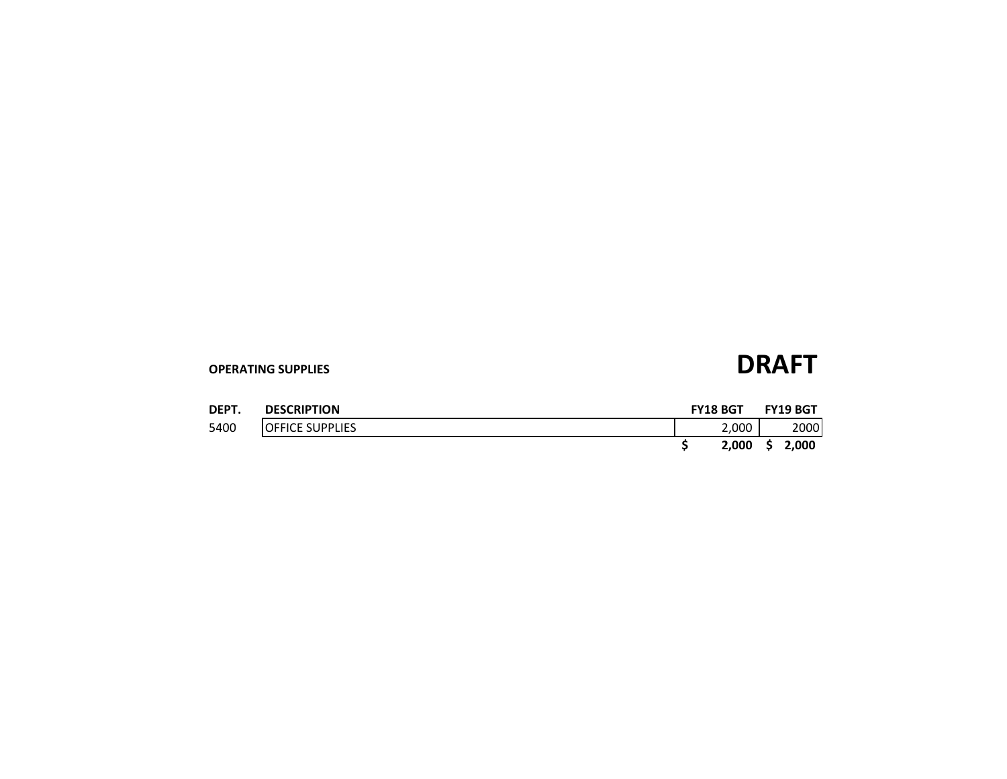| DEPT. | <b>DESCRIPTION</b>      | <b>FY18 BGT</b> | <b>FY19 BGT</b> |
|-------|-------------------------|-----------------|-----------------|
| 5400  | <b>IOFFICE SUPPLIES</b> | 2,000           | 2000            |
|       |                         | 2,000           | 2.000           |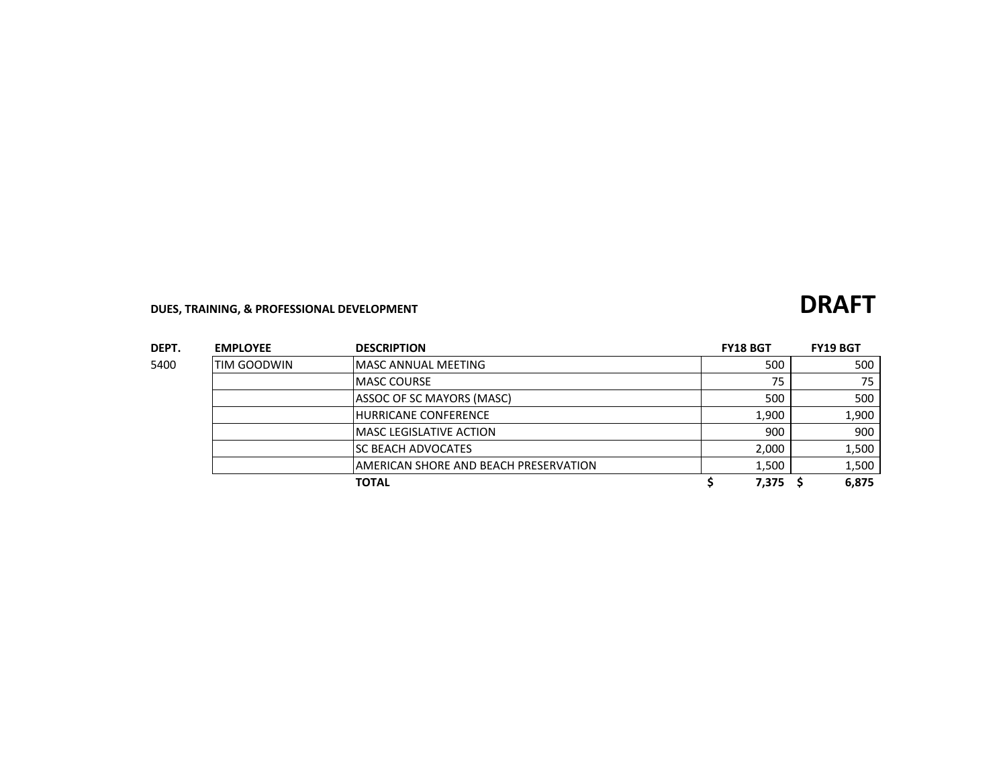## **DUES, TRAINING, & PROFESSIONAL DEVELOPMENT DRAFT**

| DEPT. | <b>EMPLOYEE</b>    | <b>DESCRIPTION</b>                     | <b>FY18 BGT</b> | <b>FY19 BGT</b> |
|-------|--------------------|----------------------------------------|-----------------|-----------------|
| 5400  | <b>TIM GOODWIN</b> | IMASC ANNUAL MEETING                   | 500             | 500             |
|       |                    | <b>IMASC COURSE</b>                    | 75              | 75              |
|       |                    | ASSOC OF SC MAYORS (MASC)              | 500             | 500             |
|       |                    | <b>HURRICANE CONFERENCE</b>            | 1,900           | 1,900           |
|       |                    | <b>IMASC LEGISLATIVE ACTION</b>        | 900             | 900             |
|       |                    | ISC BEACH ADVOCATES                    | 2,000           | 1,500           |
|       |                    | IAMERICAN SHORE AND BEACH PRESERVATION | 1,500           | 1,500           |
|       |                    | <b>TOTAL</b>                           | 7,375           | 6,875           |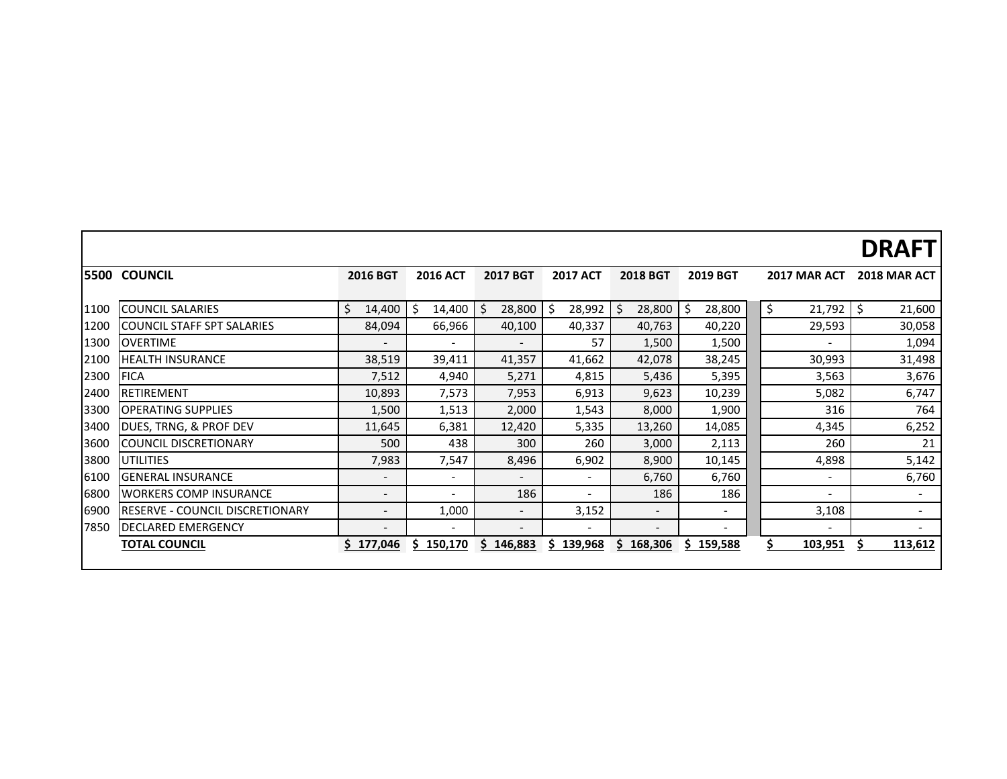|      |                                        |                          |                          |                          |                          |                          |                          |                          | <b>DRAFT</b>             |
|------|----------------------------------------|--------------------------|--------------------------|--------------------------|--------------------------|--------------------------|--------------------------|--------------------------|--------------------------|
|      | <b>5500 COUNCIL</b>                    | <b>2016 BGT</b>          | <b>2016 ACT</b>          | <b>2017 BGT</b>          | <b>2017 ACT</b>          | <b>2018 BGT</b>          | 2019 BGT                 | 2017 MAR ACT             | 2018 MAR ACT             |
| 1100 | <b>COUNCIL SALARIES</b>                | \$<br>14,400             | Ś<br>14,400              | 28,800<br>Ś              | \$.<br>28,992            | 28,800                   | 28,800<br>\$             | \$<br>21,792             | \$<br>21,600             |
| 1200 | COUNCIL STAFF SPT SALARIES             | 84,094                   | 66,966                   | 40,100                   | 40,337                   | 40,763                   | 40,220                   | 29,593                   | 30,058                   |
| 1300 | <b>OVERTIME</b>                        | $\qquad \qquad -$        | $\overline{\phantom{a}}$ | $\qquad \qquad -$        | 57                       | 1,500                    | 1,500                    | $\overline{\phantom{0}}$ | 1,094                    |
| 2100 | <b>HEALTH INSURANCE</b>                | 38,519                   | 39,411                   | 41,357                   | 41,662                   | 42,078                   | 38,245                   | 30,993                   | 31,498                   |
| 2300 | <b>FICA</b>                            | 7,512                    | 4,940                    | 5,271                    | 4,815                    | 5,436                    | 5,395                    | 3,563                    | 3,676                    |
| 2400 | <b>RETIREMENT</b>                      | 10,893                   | 7,573                    | 7,953                    | 6,913                    | 9,623                    | 10,239                   | 5,082                    | 6,747                    |
| 3300 | <b>IOPERATING SUPPLIES</b>             | 1,500                    | 1,513                    | 2,000                    | 1,543                    | 8,000                    | 1,900                    | 316                      | 764                      |
| 3400 | DUES, TRNG, & PROF DEV                 | 11,645                   | 6,381                    | 12,420                   | 5,335                    | 13,260                   | 14,085                   | 4,345                    | 6,252                    |
| 3600 | <b>ICOUNCIL DISCRETIONARY</b>          | 500                      | 438                      | 300                      | 260                      | 3,000                    | 2,113                    | 260                      | 21                       |
| 3800 | <b>UTILITIES</b>                       | 7,983                    | 7,547                    | 8,496                    | 6,902                    | 8,900                    | 10,145                   | 4,898                    | 5,142                    |
| 6100 | <b>GENERAL INSURANCE</b>               | $\overline{\phantom{a}}$ | $\overline{\phantom{a}}$ | $\overline{\phantom{a}}$ | $\overline{\phantom{a}}$ | 6,760                    | 6,760                    | $\overline{\phantom{a}}$ | 6,760                    |
| 6800 | <b>WORKERS COMP INSURANCE</b>          | $\overline{\phantom{a}}$ | $\overline{\phantom{a}}$ | 186                      | $\overline{\phantom{a}}$ | 186                      | 186                      | $\overline{\phantom{0}}$ | $\overline{\phantom{a}}$ |
| 6900 | <b>RESERVE - COUNCIL DISCRETIONARY</b> | $\overline{\phantom{a}}$ | 1,000                    | $\overline{\phantom{a}}$ | 3,152                    | $\overline{\phantom{a}}$ | $\overline{\phantom{a}}$ | 3,108                    | $\overline{\phantom{a}}$ |
| 7850 | <b>DECLARED EMERGENCY</b>              | $\overline{\phantom{a}}$ | $\overline{\phantom{a}}$ | $\overline{\phantom{a}}$ | $\overline{\phantom{a}}$ | $\overline{\phantom{a}}$ | $\overline{\phantom{a}}$ | $\overline{\phantom{0}}$ | $\overline{\phantom{0}}$ |
|      | <b>TOTAL COUNCIL</b>                   | \$177,046                | 150,170<br>S             | S.<br>146,883            | 139,968<br>S             | \$168,306                | \$159,588                | \$<br>103,951            | 113,612                  |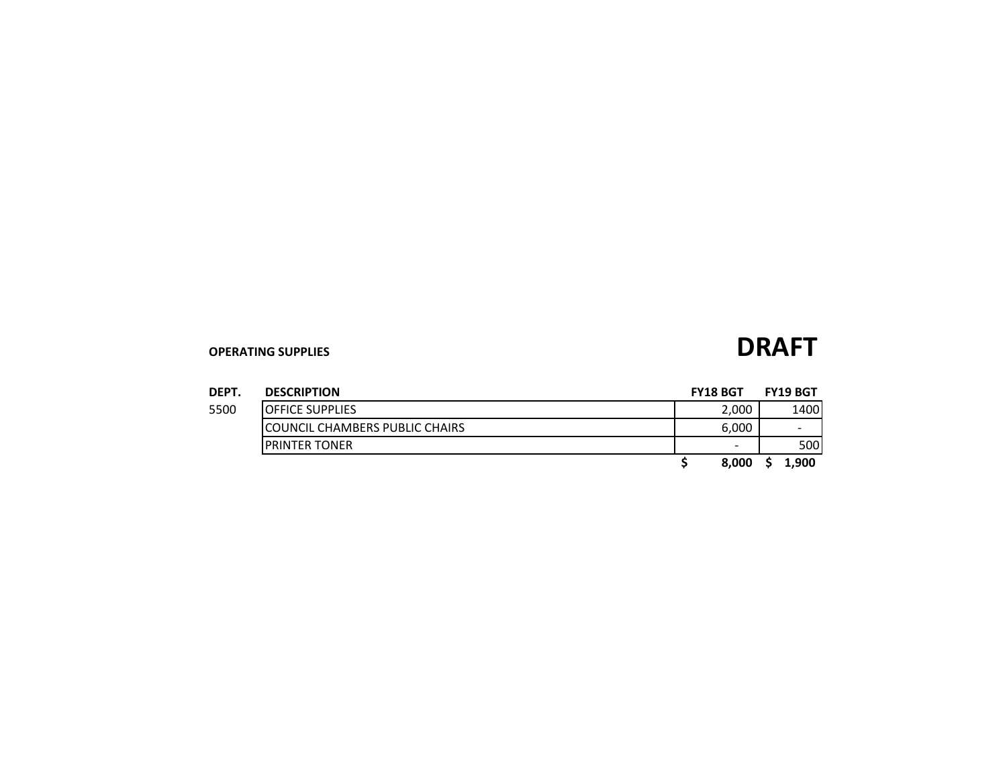| <b>DEPT</b> | <b>DESCRIPTION</b>              | <b>FY18 BGT</b> | <b>FY19 BGT</b>          |
|-------------|---------------------------------|-----------------|--------------------------|
| 5500        | <b>IOFFICE SUPPLIES</b>         | 2,000           | 1400                     |
|             | ICOUNCIL CHAMBERS PUBLIC CHAIRS | 6,000           | $\overline{\phantom{0}}$ |
|             | <b>IPRINTER TONER</b>           | -               | 500                      |
|             |                                 | 8.000           | 1.900                    |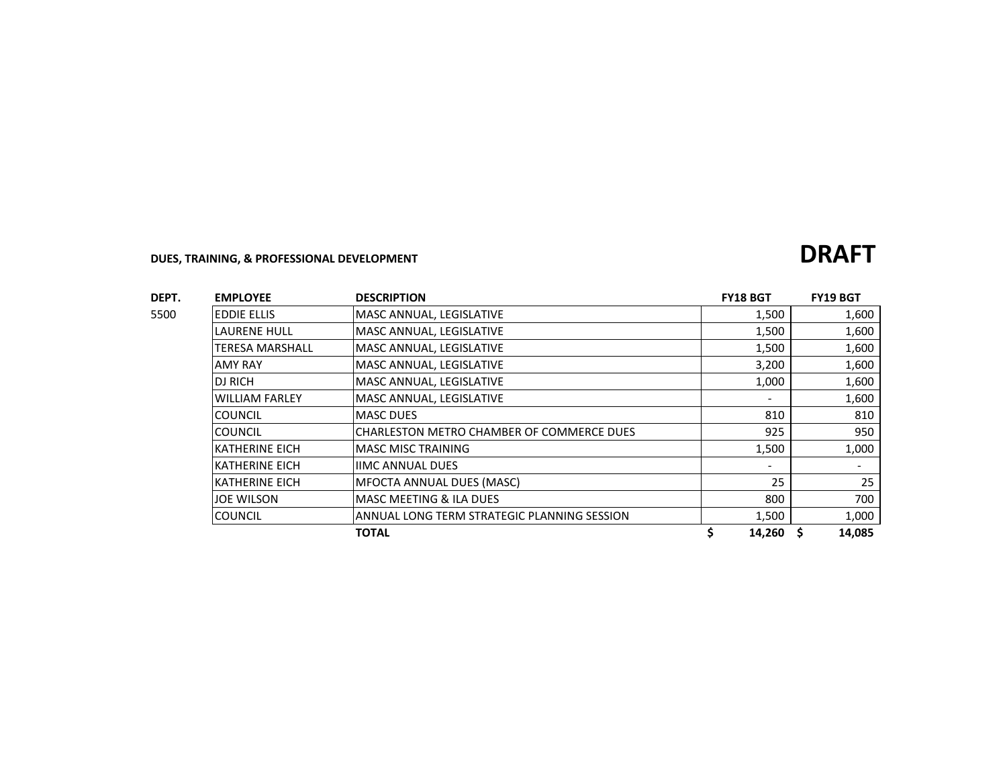### **DUES, TRAINING, & PROFESSIONAL DEVELOPMENT DRAFT**

### **DEPT. EMPLOYEE DESCRIPTION FY18 BGT FY19 BGT** 5500 EDDIE ELLIS MASC ANNUAL, LEGISLATIVE 1,500 1,500 1,500 1,600 LAURENE HULL MASC ANNUAL, LEGISLATIVE 1,500 1,500 1,600 TERESA MARSHALL MASC ANNUAL, LEGISLATIVE 1,500 1,600 AMY RAY **MASC ANNUAL, LEGISLATIVE 1,600** DJ RICH MASC ANNUAL, LEGISLATIVE 1,000 1,600 1,600 WILLIAM FARLEY MASC ANNUAL, LEGISLATIVE **1,600 1,600** COUNCIL MASC DUES 810 810 COUNCIL CHARLESTON METRO CHAMBER OF COMMERCE DUES 25 950 KATHERINE EICH MASC MISC TRAINING NEXT CONTROLLED TO A 1,500 1,000 1,000 KATHERINE EICH IIMC ANNUAL DUES AND ANNEXEMENT AND ALL CHANNEL OUTS KATHERINE EICH **MFOCTA ANNUAL DUES (MASC)** 25 25 JOE WILSON MASC MEETING & ILA DUES 800 700 COUNCIL ANNUAL LONG TERM STRATEGIC PLANNING SESSION 1,500 1,000 **TOTAL \$ 14,260 \$ 14,085**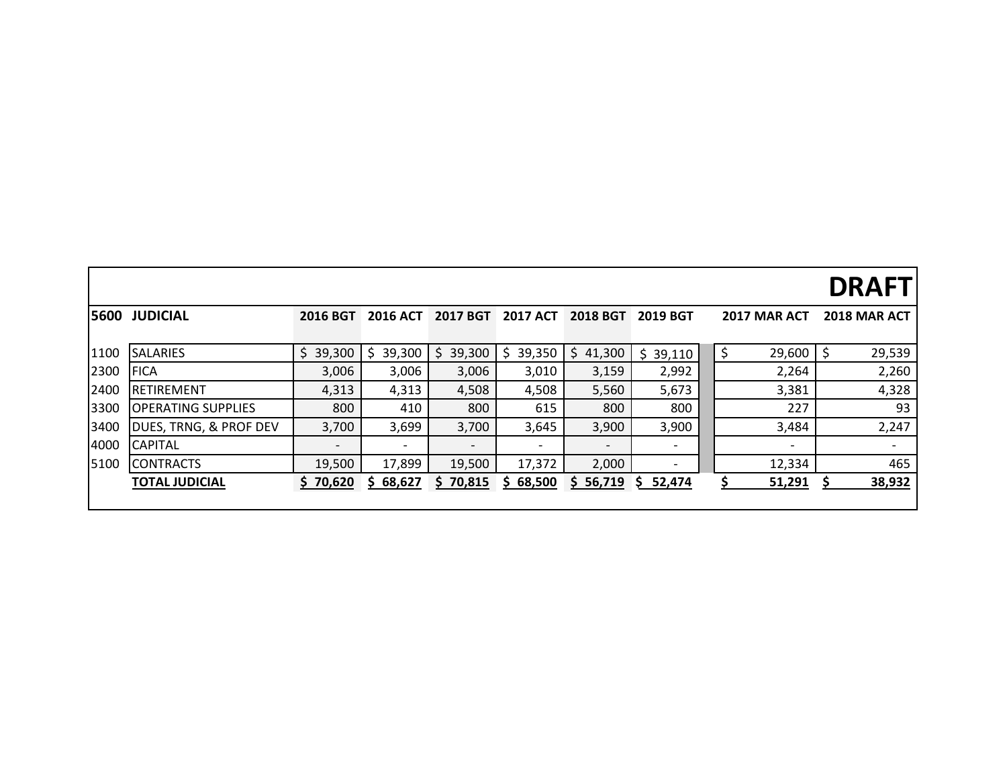# **DRAFT**

| 5600 | <b>JUDICIAL</b>                   | <b>2016 BGT</b> | <b>2016 ACT</b> | <b>2017 BGT</b> | <b>2017 ACT</b> | <b>2018 BGT</b> | <b>2019 BGT</b> | <b>2017 MAR ACT</b> |        | 2018 MAR ACT             |
|------|-----------------------------------|-----------------|-----------------|-----------------|-----------------|-----------------|-----------------|---------------------|--------|--------------------------|
|      |                                   |                 |                 |                 |                 |                 |                 |                     |        |                          |
| 1100 | <b>ISALARIES</b>                  | 39,300<br>S.    | 39,300<br>S     | 39,300<br>S.    | 39,350<br>S     | 41,300<br>S.    | 39,110          |                     | 29,600 | 29,539                   |
| 2300 | <b>FICA</b>                       | 3,006           | 3,006           | 3,006           | 3,010           | 3,159           | 2,992           |                     | 2,264  | 2,260                    |
| 2400 | <b>RETIREMENT</b>                 | 4,313           | 4,313           | 4,508           | 4,508           | 5,560           | 5,673           |                     | 3,381  | 4,328                    |
| 3300 | <b>OPERATING SUPPLIES</b>         | 800             | 410             | 800             | 615             | 800             | 800             |                     | 227    | 93                       |
| 3400 | <b>DUES, TRNG, &amp; PROF DEV</b> | 3,700           | 3,699           | 3,700           | 3,645           | 3,900           | 3,900           |                     | 3,484  | 2,247                    |
| 4000 | <b>ICAPITAL</b>                   |                 |                 |                 |                 |                 |                 |                     |        | $\overline{\phantom{a}}$ |
| 5100 | <b>CONTRACTS</b>                  | 19,500          | 17,899          | 19,500          | 17,372          | 2,000           |                 |                     | 12,334 | 465                      |
|      | <b>TOTAL JUDICIAL</b>             | \$70,620        | 68,627<br>S.    | \$70,815        | 68,500<br>S.    | \$56,719        | 52,474<br>S.    |                     | 51,291 | 38,932                   |
|      |                                   |                 |                 |                 |                 |                 |                 |                     |        |                          |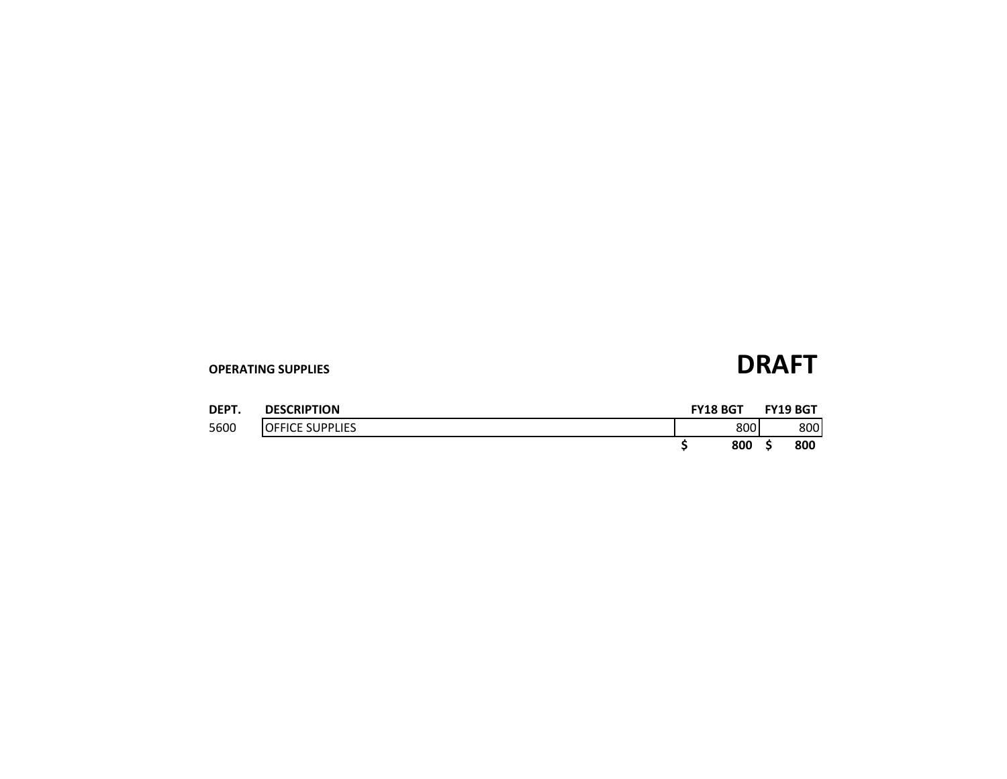| DEPT. | <b>DESCRIPTION</b>      | <b>FY18 BGT</b> |     | <b>FY19 BGT</b> |
|-------|-------------------------|-----------------|-----|-----------------|
| 5600  | <b>IOFFICE SUPPLIES</b> |                 | 800 | 800             |
|       |                         |                 | 800 | 800             |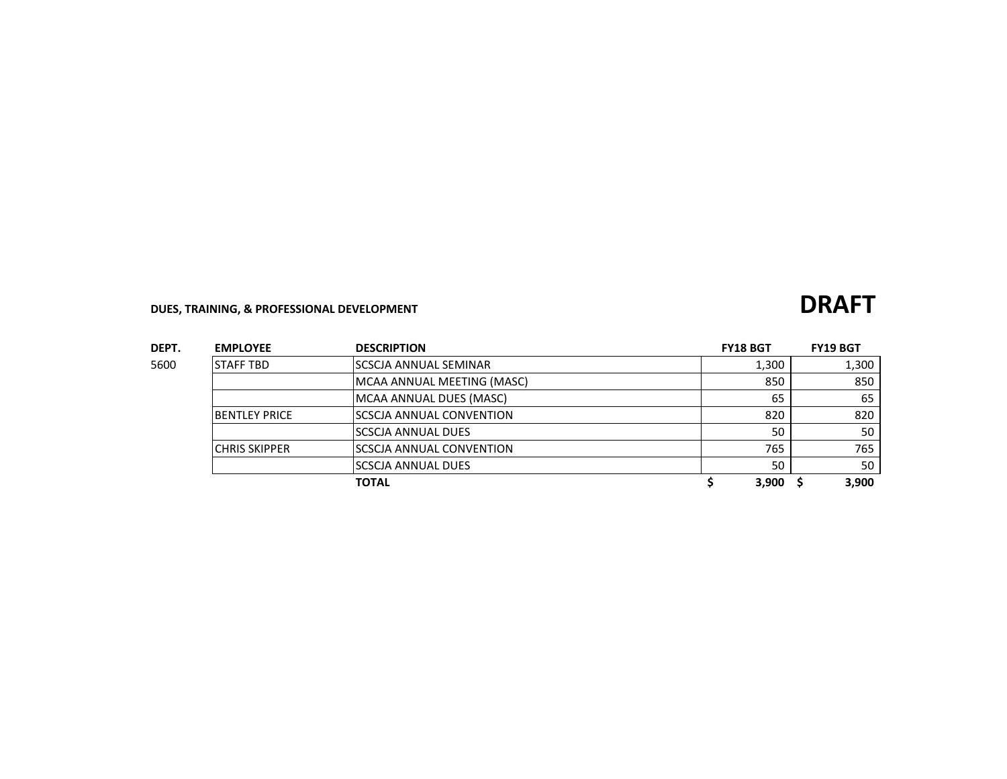## **DUES, TRAINING, & PROFESSIONAL DEVELOPMENT DRAFT**

| DEPT. | <b>EMPLOYEE</b>      | <b>DESCRIPTION</b>         | <b>FY18 BGT</b> | <b>FY19 BGT</b> |
|-------|----------------------|----------------------------|-----------------|-----------------|
| 5600  | <b>STAFF TBD</b>     | SCSCJA ANNUAL SEMINAR      | 1,300           | 1,300           |
|       |                      | MCAA ANNUAL MEETING (MASC) | 850             | 850             |
|       |                      | MCAA ANNUAL DUES (MASC)    | 65              | 65              |
|       | <b>BENTLEY PRICE</b> | ISCSCJA ANNUAL CONVENTION  | 820             | 820             |
|       |                      | <b>SCSCJA ANNUAL DUES</b>  | 50              | 50              |
|       | <b>CHRIS SKIPPER</b> | ISCSCJA ANNUAL CONVENTION  | 765             | 765             |
|       |                      | ISCSCJA ANNUAL DUES        | 50              | 50              |
|       |                      | <b>TOTAL</b>               | 3,900           | 3.900           |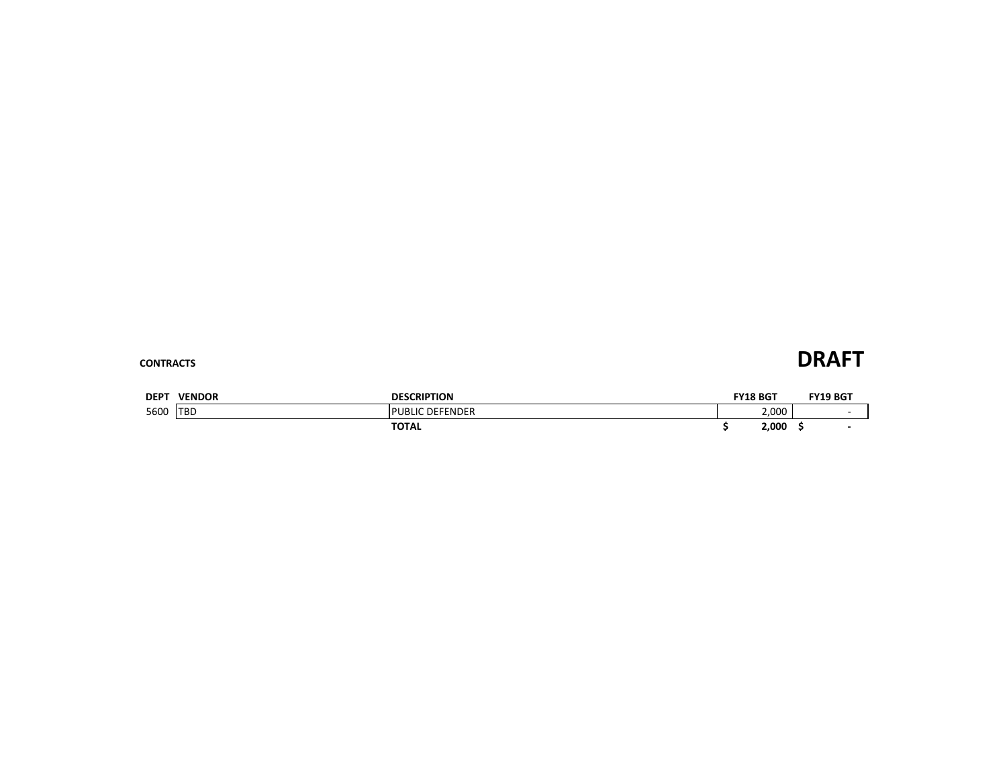### **CONTRACTS DRAFT**

| DEP <sup>-</sup> | <b>VENDOR</b> | <b>DESCRIPTION</b> | <b>FY18 BGT</b> | FY19 BGT |
|------------------|---------------|--------------------|-----------------|----------|
| 5600             | <b>TBD</b>    | DEFENDER<br>UBLIC  | 2.000           |          |
|                  |               | <b>TOTAL</b>       | 2,000           |          |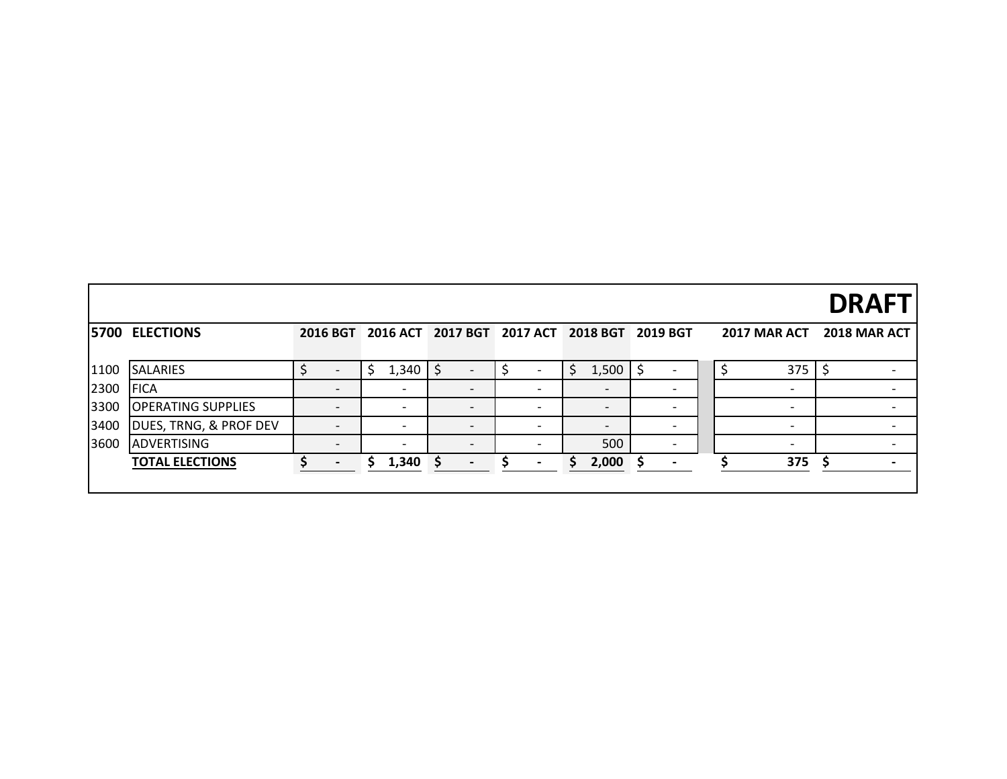|      |                           |                          |   |                          |   |                          |                          |                                              |                              |  |                          | <b>DRAFT</b> |
|------|---------------------------|--------------------------|---|--------------------------|---|--------------------------|--------------------------|----------------------------------------------|------------------------------|--|--------------------------|--------------|
|      | <b>5700 ELECTIONS</b>     |                          |   |                          |   |                          |                          | 2016 BGT 2016 ACT 2017 BGT 2017 ACT 2018 BGT | 2019 BGT                     |  | 2017 MAR ACT             | 2018 MAR ACT |
| 1100 | <b>SALARIES</b>           |                          |   | 1,340                    |   |                          |                          | \$<br>1,500                                  |                              |  | 375                      |              |
| 2300 | <b>FICA</b>               | $\overline{\phantom{a}}$ |   | $\overline{\phantom{a}}$ |   | $\overline{\phantom{0}}$ | $\overline{\phantom{a}}$ | $\overline{\phantom{0}}$                     | $\overline{\phantom{0}}$     |  | $\overline{\phantom{a}}$ |              |
| 3300 | <b>OPERATING SUPPLIES</b> | $\overline{\phantom{a}}$ |   | $\overline{\phantom{a}}$ |   | $\overline{\phantom{0}}$ | $\overline{\phantom{a}}$ | $\overline{\phantom{0}}$                     | $\overline{\phantom{0}}$     |  | $\overline{\phantom{a}}$ |              |
| 3400 | DUES, TRNG, & PROF DEV    | $\overline{\phantom{0}}$ |   | $\overline{\phantom{a}}$ |   | $\overline{\phantom{a}}$ | $\overline{\phantom{a}}$ | $\overline{\phantom{0}}$                     |                              |  | $\overline{\phantom{0}}$ |              |
| 3600 | <b>ADVERTISING</b>        | $\overline{\phantom{0}}$ |   | $\overline{\phantom{0}}$ |   | $\overline{\phantom{0}}$ |                          | 500                                          |                              |  | $\overline{\phantom{a}}$ |              |
|      | <b>TOTAL ELECTIONS</b>    | $\overline{\phantom{a}}$ | S | 1,340                    | S | $\blacksquare$           |                          | 2,000                                        | $\qquad \qquad \blacksquare$ |  | 375                      |              |
|      |                           |                          |   |                          |   |                          |                          |                                              |                              |  |                          |              |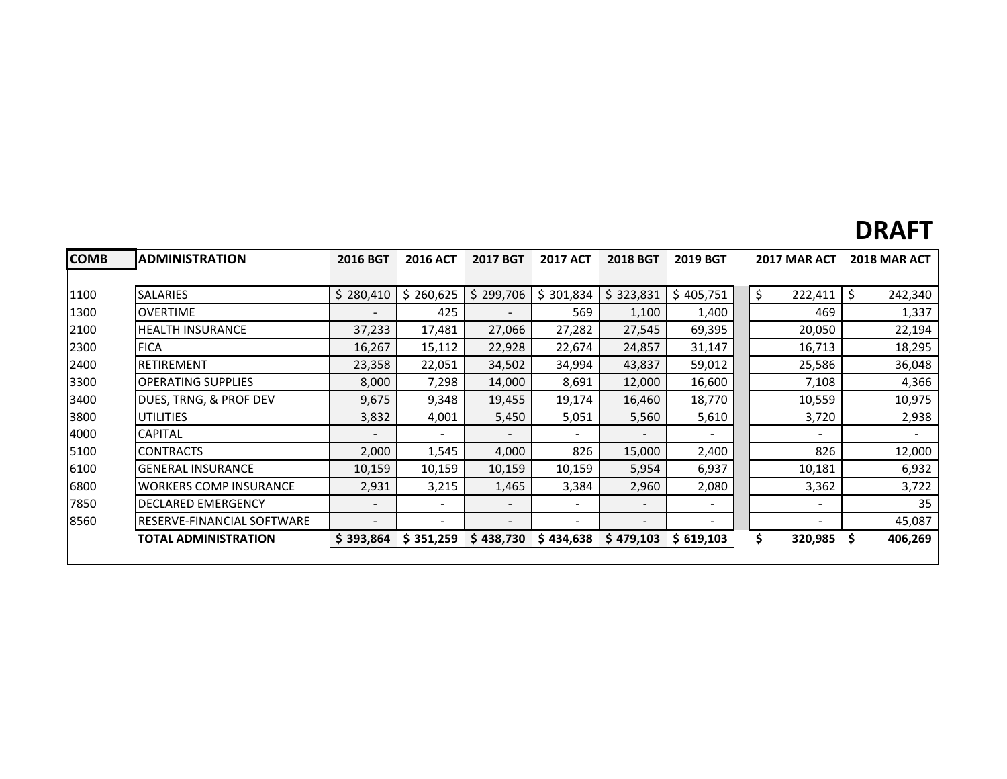## **DRAFT**

| <b>COMB</b> | <b>ADMINISTRATION</b>         | <b>2016 BGT</b>          | <b>2016 ACT</b>          | 2017 BGT                 | <b>2017 ACT</b> | <b>2018 BGT</b> | <b>2019 BGT</b>          | 2017 MAR ACT             | <b>2018 MAR ACT</b> |
|-------------|-------------------------------|--------------------------|--------------------------|--------------------------|-----------------|-----------------|--------------------------|--------------------------|---------------------|
|             |                               |                          |                          |                          |                 |                 |                          |                          |                     |
| 1100        | <b>SALARIES</b>               | \$280,410                | \$260,625                | \$299,706                | \$301,834       | \$323,831       | \$405,751                | \$<br>222,411            | 242,340<br>\$       |
| 1300        | <b>OVERTIME</b>               | $\overline{\phantom{a}}$ | 425                      |                          | 569             | 1,100           | 1,400                    | 469                      | 1,337               |
| 2100        | <b>HEALTH INSURANCE</b>       | 37,233                   | 17,481                   | 27,066                   | 27,282          | 27,545          | 69,395                   | 20,050                   | 22,194              |
| 2300        | <b>FICA</b>                   | 16,267                   | 15,112                   | 22,928                   | 22,674          | 24,857          | 31,147                   | 16,713                   | 18,295              |
| 2400        | <b>RETIREMENT</b>             | 23,358                   | 22,051                   | 34,502                   | 34,994          | 43,837          | 59,012                   | 25,586                   | 36,048              |
| 3300        | <b>OPERATING SUPPLIES</b>     | 8,000                    | 7,298                    | 14,000                   | 8,691           | 12,000          | 16,600                   | 7,108                    | 4,366               |
| 3400        | DUES, TRNG, & PROF DEV        | 9,675                    | 9,348                    | 19,455                   | 19,174          | 16,460          | 18,770                   | 10,559                   | 10,975              |
| 3800        | <b>UTILITIES</b>              | 3,832                    | 4,001                    | 5,450                    | 5,051           | 5,560           | 5,610                    | 3,720                    | 2,938               |
| 4000        | <b>CAPITAL</b>                | $\overline{\phantom{a}}$ | $\overline{\phantom{a}}$ | $\overline{\phantom{0}}$ |                 |                 |                          |                          |                     |
| 5100        | <b>CONTRACTS</b>              | 2,000                    | 1,545                    | 4,000                    | 826             | 15,000          | 2,400                    | 826                      | 12,000              |
| 6100        | <b>GENERAL INSURANCE</b>      | 10,159                   | 10,159                   | 10,159                   | 10,159          | 5,954           | 6,937                    | 10,181                   | 6,932               |
| 6800        | <b>WORKERS COMP INSURANCE</b> | 2,931                    | 3,215                    | 1,465                    | 3,384           | 2,960           | 2,080                    | 3,362                    | 3,722               |
| 7850        | <b>DECLARED EMERGENCY</b>     | $\overline{\phantom{a}}$ | $\overline{\phantom{a}}$ | $\overline{\phantom{0}}$ |                 | -               |                          | $\overline{\phantom{a}}$ | 35                  |
| 8560        | RESERVE-FINANCIAL SOFTWARE    | $\overline{\phantom{a}}$ | $\overline{\phantom{a}}$ | $\overline{\phantom{a}}$ | ۰               | $\qquad \qquad$ | $\overline{\phantom{a}}$ | ۰                        | 45,087              |
|             | TOTAL ADMINISTRATION          | \$393,864                | \$351,259                | \$438,730                | \$434,638       | \$479,103       | \$619,103                | 320,985                  | 406,269             |
|             |                               |                          |                          |                          |                 |                 |                          |                          |                     |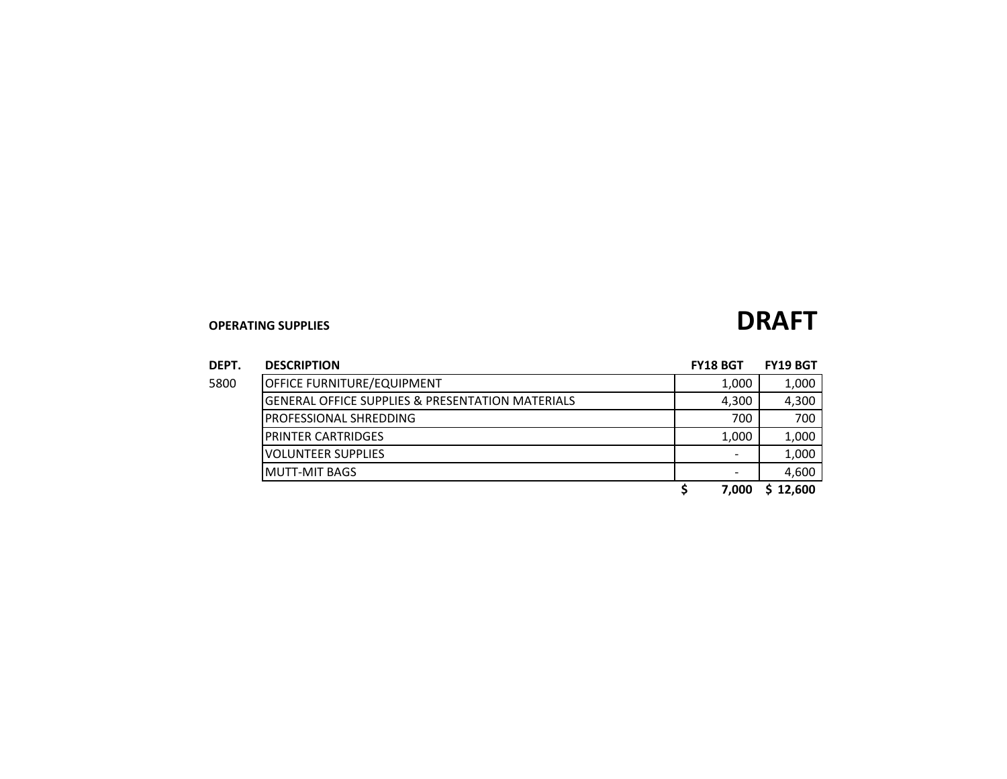| DEPT. | <b>DESCRIPTION</b>                               | <b>FY18 BGT</b> | <b>FY19 BGT</b> |
|-------|--------------------------------------------------|-----------------|-----------------|
| 5800  | <b>OFFICE FURNITURE/EQUIPMENT</b>                | 1,000           | 1,000           |
|       | GENERAL OFFICE SUPPLIES & PRESENTATION MATERIALS | 4,300           | 4,300           |
|       | <b>PROFESSIONAL SHREDDING</b>                    | 700             | 700             |
|       | <b>PRINTER CARTRIDGES</b>                        | 1.000           | 1,000           |
|       | <b>VOLUNTEER SUPPLIES</b>                        |                 | 1,000           |
|       | MUTT-MIT BAGS                                    |                 | 4,600           |

\$ 7,000 \$ 12,600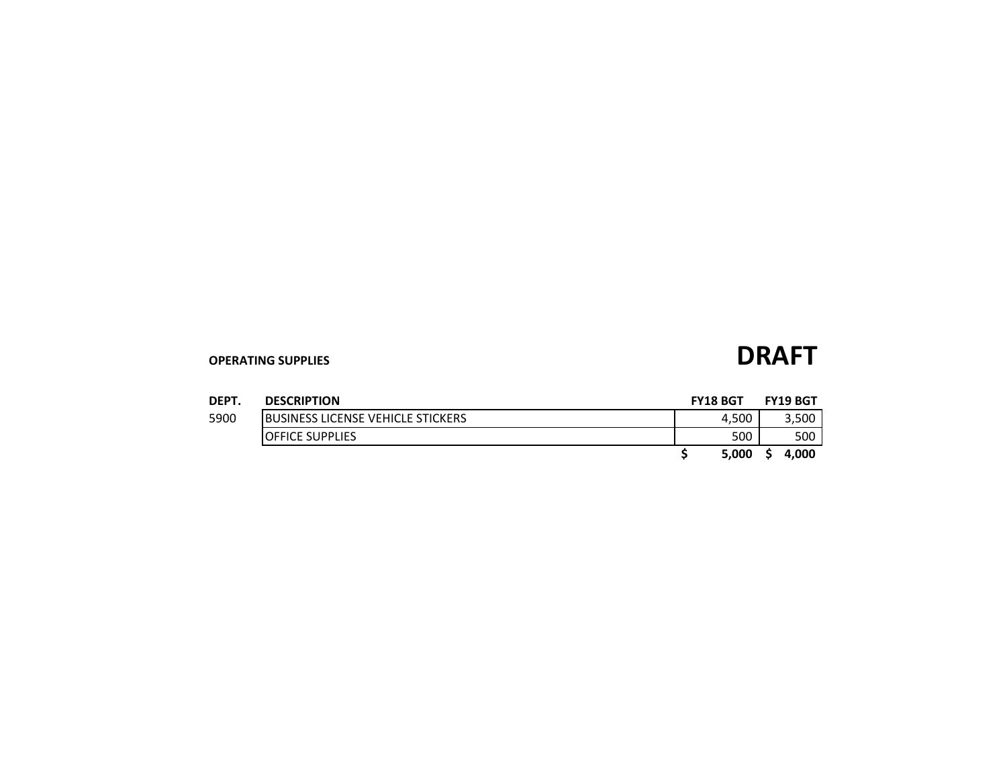| <b>DEPT</b> | <b>DESCRIPTION</b>                        | <b>FY18 BGT</b> | <b>FY19 BGT</b> |
|-------------|-------------------------------------------|-----------------|-----------------|
| 5900        | <b>IBUSINESS LICENSE VEHICLE STICKERS</b> | 4.500           | 3,500           |
|             | <b>OFFICE SUPPLIES</b>                    | 500             | 500             |
|             |                                           | 5.000           | 4.000           |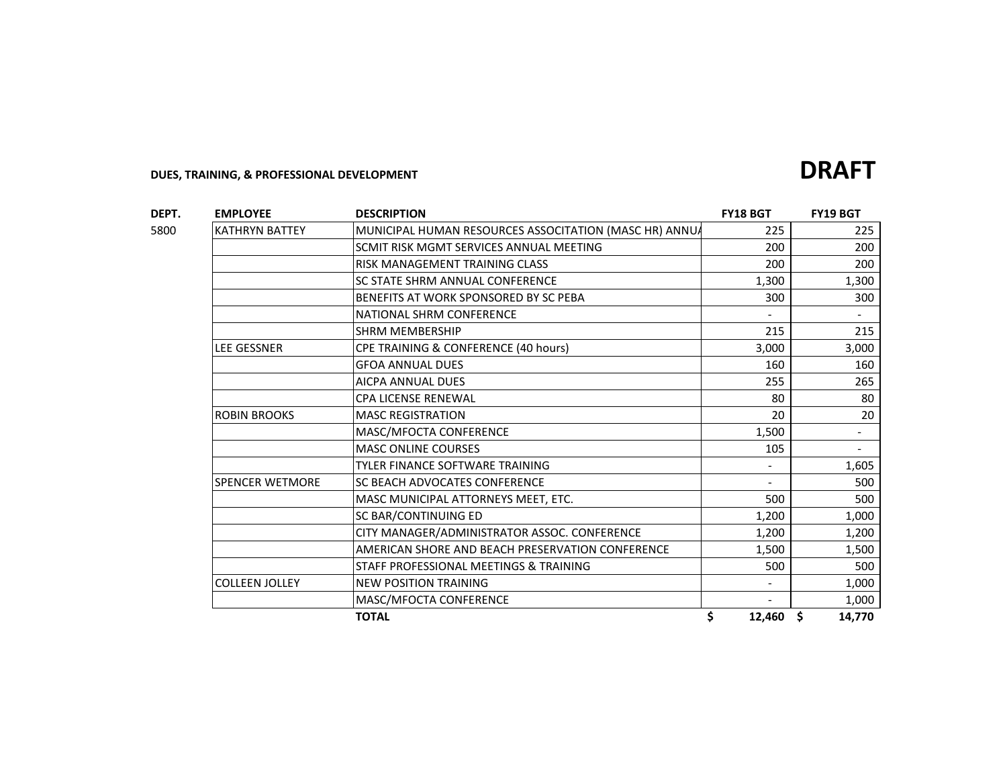### **DEPT. EMPLOYEE DESCRIPTION FY18 BGT FY19 BGT** 5800 KATHRYN BATTEY MUNICIPAL HUMAN RESOURCES ASSOCITATION (MASC HR) ANNUA 225 225 SCMIT RISK MGMT SERVICES ANNUAL MEETING **200** 200 200 200 RISK MANAGEMENT TRAINING CLASS 200 200 SC STATE SHRM ANNUAL CONFERENCE **1,300** 1,300 1,300 BENEFITS AT WORK SPONSORED BY SC PEBA 300 300 NATIONAL SHRM CONFERENCE And the state of the state of the state of the state of the state of the state of the state of the state of the state of the state of the state of the state of the state of the state of the state o SHRM MEMBERSHIP 215 LEE GESSNER CPE TRAINING & CONFERENCE (40 hours) 3,000 3,000 GFOA ANNUAL DUES 160 160 AICPA ANNUAL DUES 255 265 CPA LICENSE RENEWAL 80 80 ROBIN BROOKS MASC REGISTRATION 20 20 20 MASC/MFOCTA CONFERENCE 1,500 FOR SERVICE 1,500 FOR SERVICE 1,500 FOR SERVICE 1,500 FOR SERVICE 1,500 FOR SERVICE 1,500 FOR SERVICE 1,500 FOR SERVICE 1,500 FOR SERVICE 1,500 FOR SERVICE 1,500 FOR SERVICE 1,500 FOR SERVICE 1 MASC ONLINE COURSES **105 - 105 - 105 - 105 - 105 - 105 - 105 -** 105 - 105 - 105 - 105 - 105 - 105 - 105 - 105 - 105 - 105 - 105 - 105 - 105 - 105 - 105 - 105 - 105 - 105 - 105 - 105 - 105 - 105 - 105 - 105 - 105 - 105 - 10 TYLER FINANCE SOFTWARE TRAINING THE RESERVE THAT RESERVE THE RESERVE THAT A 1,605 SPENCER WETMORE SC BEACH ADVOCATES CONFERENCE AND THE SOURCE AND SOURCE THE SOURCE IS A SOURCE THE SOURCE IS A MASC MUNICIPAL ATTORNEYS MEET, ETC. The SOO SOO SOO SOO SOO SC BAR/CONTINUING ED 1,200 1,000 CITY MANAGER/ADMINISTRATOR ASSOC. CONFERENCE  $\vert$  1,200 | 1,200 AMERICAN SHORE AND BEACH PRESERVATION CONFERENCE | 1,500 | 1,500 STAFF PROFESSIONAL MEETINGS & TRAINING FOR THE SOLUTION OF SOLUTION AND SOLUTION OF SOLUTION AND SOLUTION OF SOLUTION COLLEEN JOLLEY NEW POSITION TRAINING NEWSLET AND RESERVE THE RESERVE TO A 1,000 MASC/MFOCTA CONFERENCE - 1,000 **TOTAL \$ 12,460 \$ 14,770**

**DUES, TRAINING, & PROFESSIONAL DEVELOPMENT DRAFT**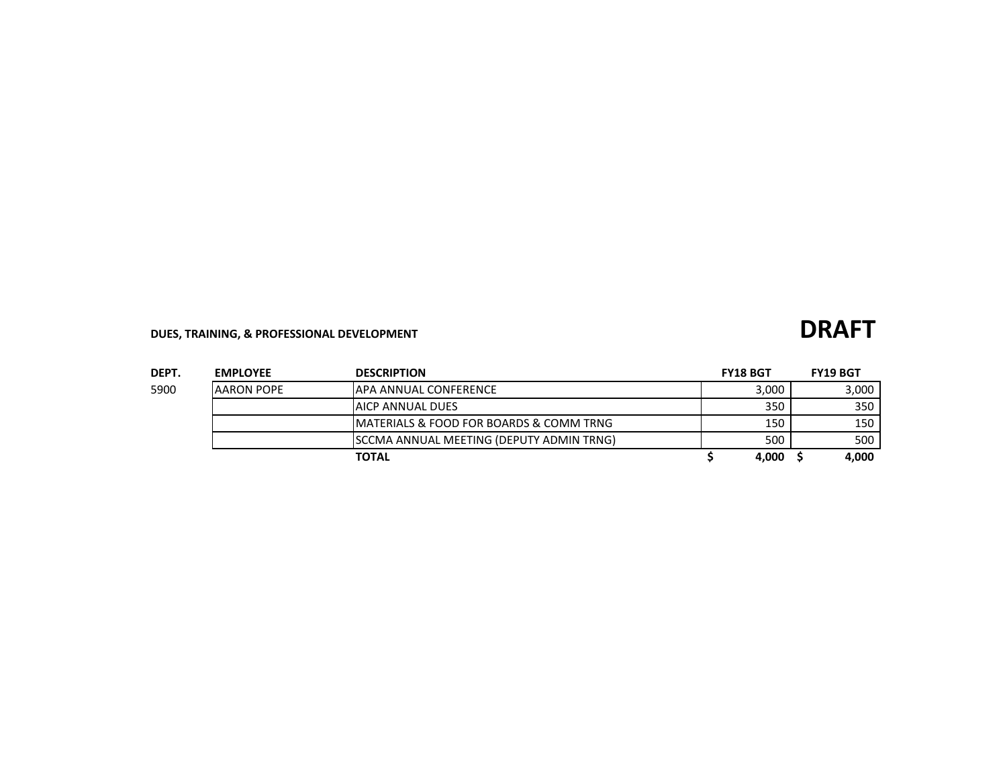## **DUES, TRAINING, & PROFESSIONAL DEVELOPMENT DRAFT**

| ۰, |  |  |
|----|--|--|
|    |  |  |
|    |  |  |
|    |  |  |

| DEPT. | <b>EMPLOYEE</b> | <b>DESCRIPTION</b>                                      | <b>FY18 BGT</b> | <b>FY19 BGT</b> |
|-------|-----------------|---------------------------------------------------------|-----------------|-----------------|
| 5900  | IAARON POPE     | IAPA ANNUAL CONFERENCE                                  | 3.000           | 3,000           |
|       |                 | <b>JAICP ANNUAL DUES</b>                                | 350             | 350             |
|       |                 | <b>IMATERIALS &amp; FOOD FOR BOARDS &amp; COMM TRNG</b> | 150             | 150             |
|       |                 | SCCMA ANNUAL MEETING (DEPUTY ADMIN TRNG)                | 500             | 500             |
|       |                 | <b>TOTAL</b>                                            | 4.000           | 4,000           |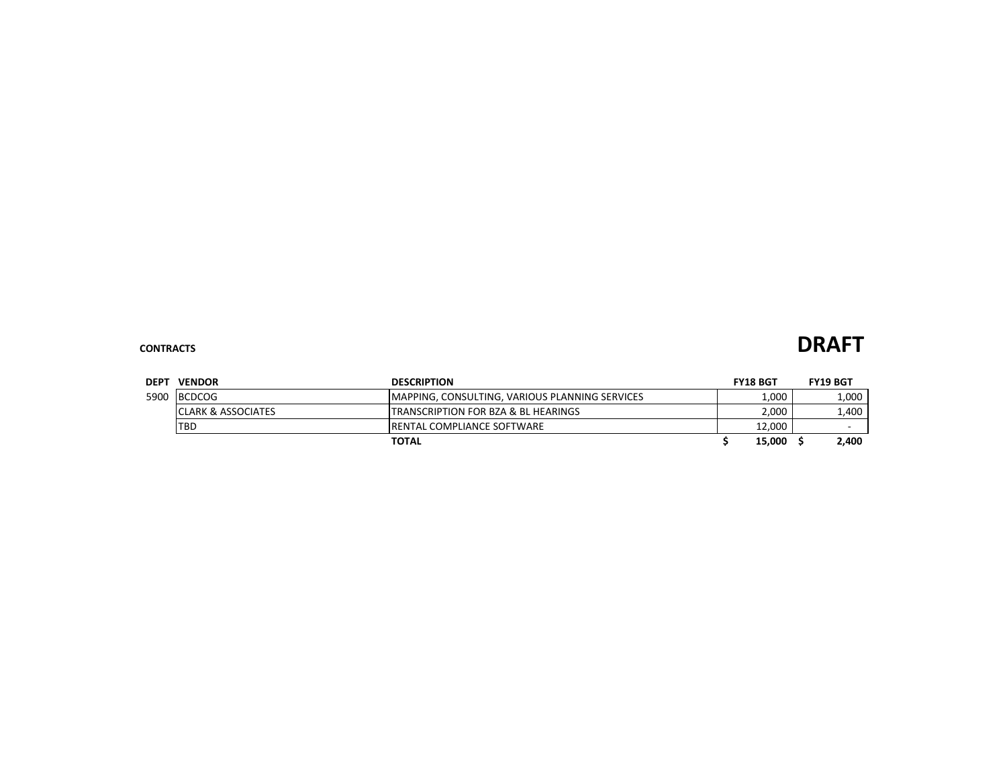### **CONTRACTS DRAFT**

| <b>DEPT</b> | <b>VENDOR</b>                 | <b>DESCRIPTION</b>                                    | <b>FY18 BGT</b> | <b>FY19 BGT</b> |
|-------------|-------------------------------|-------------------------------------------------------|-----------------|-----------------|
|             | 5900 BCDCOG                   | <b>MAPPING, CONSULTING, VARIOUS PLANNING SERVICES</b> | 1,000           | 1,000           |
|             | <b>CLARK &amp; ASSOCIATES</b> | <b>TRANSCRIPTION FOR BZA &amp; BL HEARINGS</b>        | 2,000           | 1,400           |
|             | <b>TBD</b>                    | <b>IRENTAL COMPLIANCE SOFTWARE</b>                    | 12.000          | -               |
|             |                               | <b>TOTAL</b>                                          | 15,000          | 2.400           |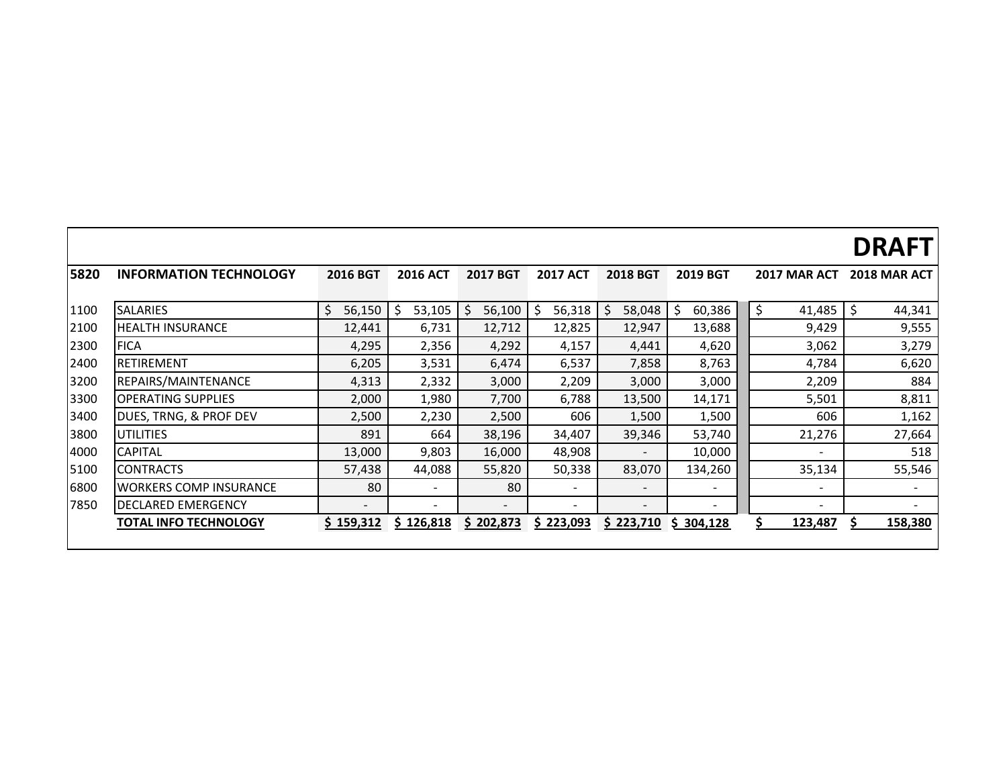|      |                               |                          |                 |                          |                          |                          |                          |                          | <b>DRAFT</b>   |
|------|-------------------------------|--------------------------|-----------------|--------------------------|--------------------------|--------------------------|--------------------------|--------------------------|----------------|
| 5820 | <b>INFORMATION TECHNOLOGY</b> | <b>2016 BGT</b>          | <b>2016 ACT</b> | <b>2017 BGT</b>          | <b>2017 ACT</b>          | <b>2018 BGT</b>          | <b>2019 BGT</b>          | 2017 MAR ACT             | 2018 MAR ACT   |
| 1100 | <b>SALARIES</b>               | \$<br>56,150             | \$<br>53,105    | $\zeta$<br>56,100        | \$<br>56,318             | \$<br>58,048             | \$<br>60,386             | \$<br>41,485             | Ŝ.<br>44,341   |
| 2100 | <b>HEALTH INSURANCE</b>       | 12,441                   | 6,731           | 12,712                   | 12,825                   | 12,947                   | 13,688                   | 9,429                    | 9,555          |
| 2300 | <b>FICA</b>                   | 4,295                    | 2,356           | 4,292                    | 4,157                    | 4,441                    | 4,620                    | 3,062                    | 3,279          |
| 2400 | <b>RETIREMENT</b>             | 6,205                    | 3,531           | 6,474                    | 6,537                    | 7,858                    | 8,763                    | 4,784                    | 6,620          |
| 3200 | REPAIRS/MAINTENANCE           | 4,313                    | 2,332           | 3,000                    | 2,209                    | 3,000                    | 3,000                    | 2,209                    | 884            |
| 3300 | <b>OPERATING SUPPLIES</b>     | 2,000                    | 1,980           | 7,700                    | 6,788                    | 13,500                   | 14,171                   | 5,501                    | 8,811          |
| 3400 | DUES, TRNG, & PROF DEV        | 2,500                    | 2,230           | 2,500                    | 606                      | 1,500                    | 1,500                    | 606                      | 1,162          |
| 3800 | <b>UTILITIES</b>              | 891                      | 664             | 38,196                   | 34,407                   | 39,346                   | 53,740                   | 21,276                   | 27,664         |
| 4000 | <b>CAPITAL</b>                | 13,000                   | 9,803           | 16,000                   | 48,908                   |                          | 10,000                   |                          | 518            |
| 5100 | <b>CONTRACTS</b>              | 57,438                   | 44,088          | 55,820                   | 50,338                   | 83,070                   | 134,260                  | 35,134                   | 55,546         |
| 6800 | <b>WORKERS COMP INSURANCE</b> | 80                       | -               | 80                       | $\overline{\phantom{a}}$ | $\overline{\phantom{a}}$ | $\overline{\phantom{0}}$ |                          |                |
| 7850 | <b>DECLARED EMERGENCY</b>     | $\overline{\phantom{0}}$ | ۰               | $\overline{\phantom{0}}$ | $\overline{\phantom{0}}$ | $\overline{\phantom{a}}$ | -                        | $\overline{\phantom{a}}$ |                |
|      | <b>TOTAL INFO TECHNOLOGY</b>  | \$159,312                | \$126,818       | \$202,873                | \$223,093                | \$223,710                | \$304,128                | \$.<br>123,487           | \$.<br>158,380 |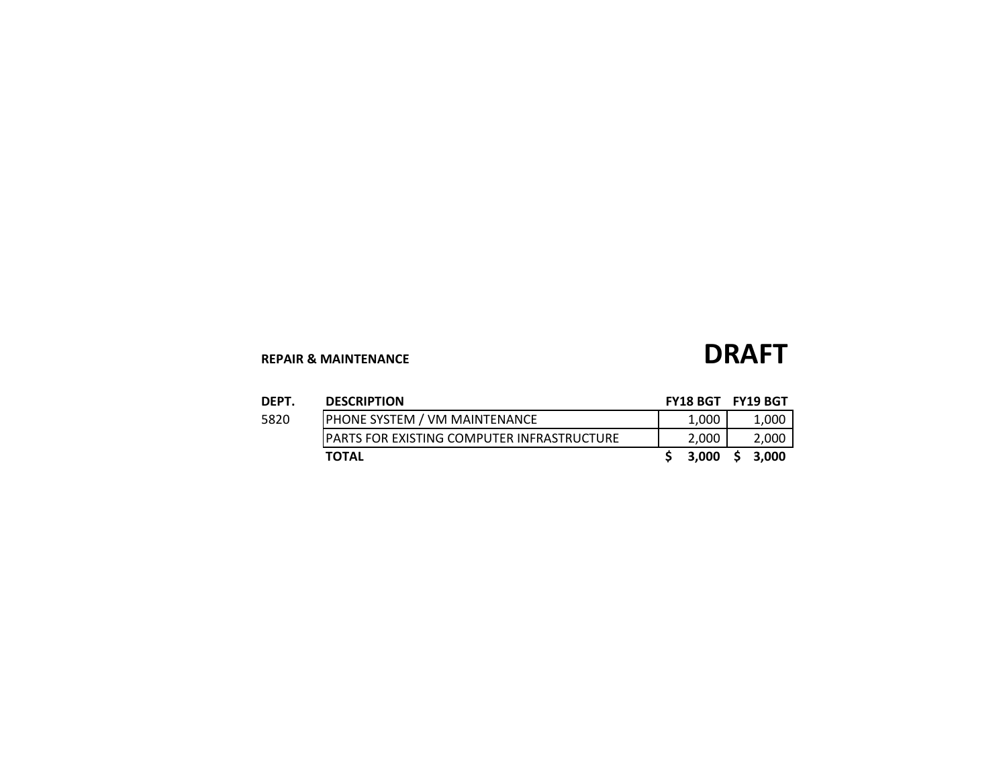## **REPAIR & MAINTENANCE DRAFT**

| DEPT. | <b>DESCRIPTION</b>                                 | <b>FY18 BGT FY19 BGT</b> |    |       |
|-------|----------------------------------------------------|--------------------------|----|-------|
| 5820  | <b>PHONE SYSTEM / VM MAINTENANCE</b>               | 1.000                    |    | 1,000 |
|       | <b>IPARTS FOR EXISTING COMPUTER INFRASTRUCTURE</b> | 2,000                    |    | 2,000 |
|       | <b>TOTAL</b>                                       | 3.000                    | -S | 3.000 |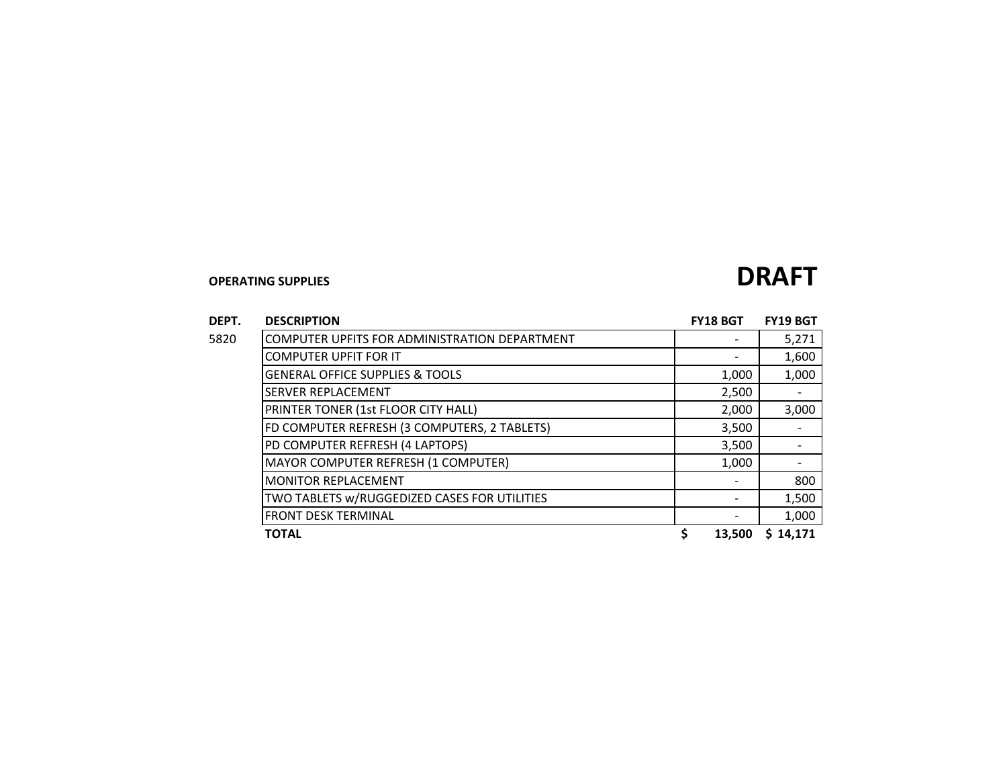| DEPT. | <b>DESCRIPTION</b> |
|-------|--------------------|
|       |                    |

| DEPT. | <b>DESCRIPTION</b>                            | <b>FY18 BGT</b> | <b>FY19 BGT</b> |
|-------|-----------------------------------------------|-----------------|-----------------|
| 5820  | COMPUTER UPFITS FOR ADMINISTRATION DEPARTMENT |                 | 5,271           |
|       | <b>COMPUTER UPFIT FOR IT</b>                  |                 | 1,600           |
|       | <b>GENERAL OFFICE SUPPLIES &amp; TOOLS</b>    | 1,000           | 1,000           |
|       | <b>SERVER REPLACEMENT</b>                     | 2,500           |                 |
|       | PRINTER TONER (1st FLOOR CITY HALL)           | 2,000           | 3,000           |
|       | FD COMPUTER REFRESH (3 COMPUTERS, 2 TABLETS)  | 3,500           |                 |
|       | PD COMPUTER REFRESH (4 LAPTOPS)               | 3,500           |                 |
|       | MAYOR COMPUTER REFRESH (1 COMPUTER)           | 1,000           |                 |
|       | <b>MONITOR REPLACEMENT</b>                    |                 | 800             |
|       | TWO TABLETS w/RUGGEDIZED CASES FOR UTILITIES  |                 | 1,500           |
|       | <b>FRONT DESK TERMINAL</b>                    |                 | 1,000           |
|       | <b>TOTAL</b>                                  | \$<br>13,500    | \$14.171        |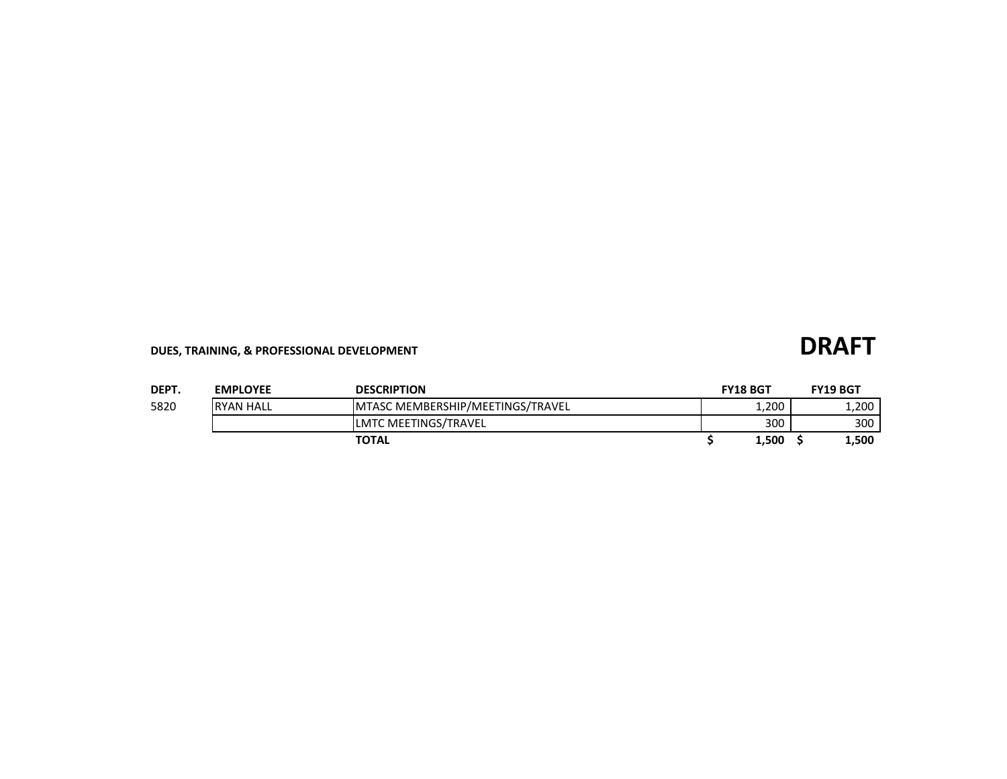## **DUES, TRAINING, & PROFESSIONAL DEVELOPMENT DRAFT**

| DEPT. | <b>EMPLOYEE</b>  | <b>DESCRIPTION</b>                | <b>FY18 BGT</b> | <b>FY19 BGT</b> |
|-------|------------------|-----------------------------------|-----------------|-----------------|
| 5820  | <b>RYAN HALL</b> | IMTASC MEMBERSHIP/MEETINGS/TRAVEL | 1,200           | 1,200           |
|       |                  | LMTC MEETINGS/TRAVEL              | 300             | 300             |
|       |                  | <b>TOTAL</b>                      | 1,500           | 1,500           |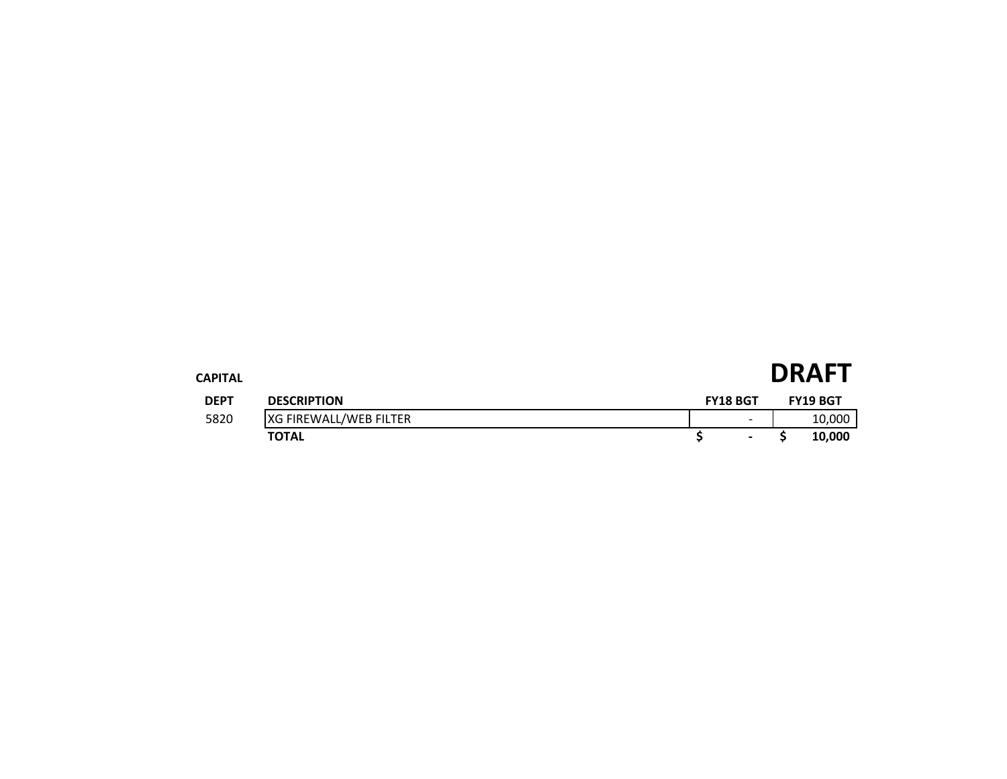| CAPITAL     |                               |                          | <b>DRAFT</b>    |
|-------------|-------------------------------|--------------------------|-----------------|
| <b>DEPT</b> | <b>DESCRIPTION</b>            | <b>FY18 BGT</b>          | <b>FY19 BGT</b> |
| 5820        | <b>XG FIREWALL/WEB FILTER</b> | $\overline{\phantom{0}}$ | 10,000          |
|             | <b>TOTAL</b>                  | $\blacksquare$           | 10,000          |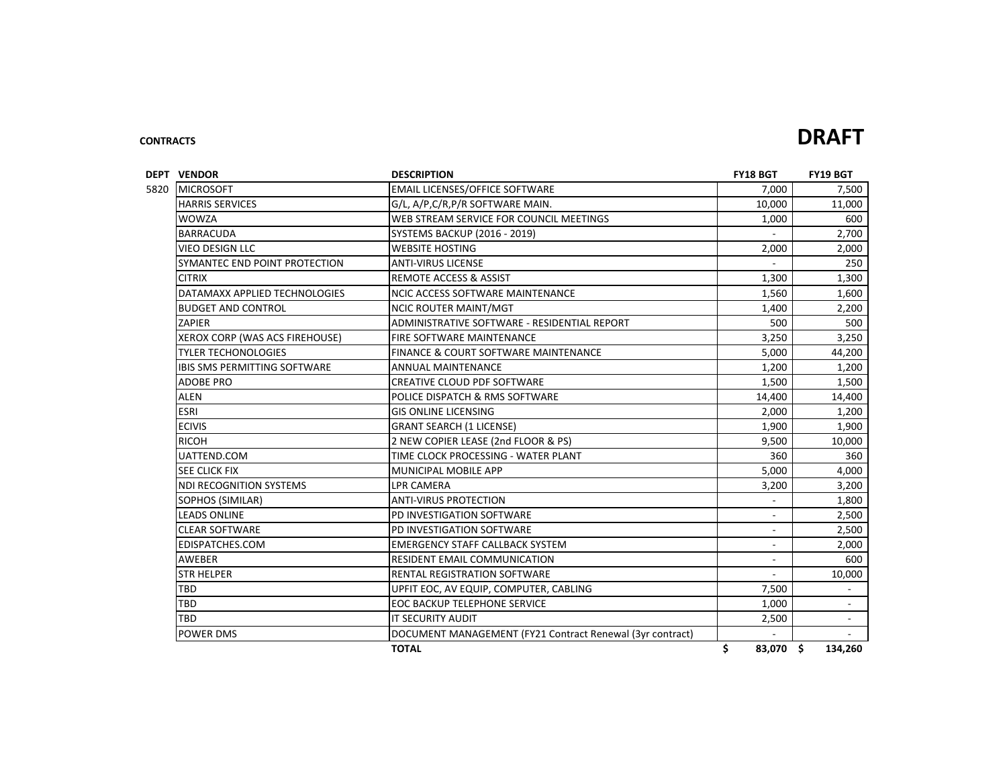### **CONTRACTS DRAFT**

| <b>DEPT VENDOR</b>                  | <b>FY18 BGT</b>                                           | <b>FY19 BGT</b>          |                          |
|-------------------------------------|-----------------------------------------------------------|--------------------------|--------------------------|
| <b>MICROSOFT</b>                    | <b>EMAIL LICENSES/OFFICE SOFTWARE</b>                     | 7,000                    | 7,500                    |
| <b>HARRIS SERVICES</b>              | G/L, A/P, C/R, P/R SOFTWARE MAIN.                         | 10,000                   | 11,000                   |
| <b>WOWZA</b>                        | WEB STREAM SERVICE FOR COUNCIL MEETINGS                   | 1,000                    | 600                      |
| <b>BARRACUDA</b>                    | SYSTEMS BACKUP (2016 - 2019)                              |                          | 2,700                    |
| <b>VIEO DESIGN LLC</b>              | <b>WEBSITE HOSTING</b>                                    | 2,000                    | 2,000                    |
| SYMANTEC END POINT PROTECTION       | <b>ANTI-VIRUS LICENSE</b>                                 |                          | 250                      |
| <b>CITRIX</b>                       | <b>REMOTE ACCESS &amp; ASSIST</b>                         | 1,300                    | 1,300                    |
| DATAMAXX APPLIED TECHNOLOGIES       | <b>NCIC ACCESS SOFTWARE MAINTENANCE</b>                   | 1,560                    | 1,600                    |
| <b>BUDGET AND CONTROL</b>           | <b>NCIC ROUTER MAINT/MGT</b>                              | 1,400                    | 2,200                    |
| ZAPIER                              | ADMINISTRATIVE SOFTWARE - RESIDENTIAL REPORT              | 500                      | 500                      |
| XEROX CORP (WAS ACS FIREHOUSE)      | <b>FIRE SOFTWARE MAINTENANCE</b>                          | 3,250                    | 3,250                    |
| <b>TYLER TECHONOLOGIES</b>          | <b>FINANCE &amp; COURT SOFTWARE MAINTENANCE</b>           | 5,000                    | 44,200                   |
| <b>IBIS SMS PERMITTING SOFTWARE</b> | <b>ANNUAL MAINTENANCE</b>                                 | 1,200                    | 1,200                    |
| <b>ADOBE PRO</b>                    | CREATIVE CLOUD PDF SOFTWARE                               | 1,500                    | 1,500                    |
| <b>ALEN</b>                         | POLICE DISPATCH & RMS SOFTWARE                            | 14,400                   | 14,400                   |
| <b>ESRI</b>                         | <b>GIS ONLINE LICENSING</b>                               | 2,000                    | 1,200                    |
| <b>ECIVIS</b>                       | <b>GRANT SEARCH (1 LICENSE)</b>                           | 1,900                    | 1,900                    |
| <b>RICOH</b>                        | 2 NEW COPIER LEASE (2nd FLOOR & PS)                       | 9,500                    | 10,000                   |
| UATTEND.COM                         | TIME CLOCK PROCESSING - WATER PLANT                       | 360                      | 360                      |
| <b>SEE CLICK FIX</b>                | MUNICIPAL MOBILE APP                                      | 5,000                    | 4,000                    |
| <b>NDI RECOGNITION SYSTEMS</b>      | <b>LPR CAMERA</b>                                         | 3,200                    | 3,200                    |
| SOPHOS (SIMILAR)                    | <b>ANTI-VIRUS PROTECTION</b>                              |                          | 1,800                    |
| <b>LEADS ONLINE</b>                 | PD INVESTIGATION SOFTWARE                                 |                          | 2,500                    |
| <b>CLEAR SOFTWARE</b>               | PD INVESTIGATION SOFTWARE                                 |                          | 2,500                    |
| EDISPATCHES.COM                     | EMERGENCY STAFF CALLBACK SYSTEM                           | $\blacksquare$           | 2,000                    |
| <b>AWEBER</b>                       | <b>RESIDENT EMAIL COMMUNICATION</b>                       | $\overline{\phantom{a}}$ | 600                      |
| <b>STR HELPER</b>                   | <b>RENTAL REGISTRATION SOFTWARE</b>                       | $\overline{a}$           | 10,000                   |
| <b>TBD</b>                          | UPFIT EOC, AV EQUIP, COMPUTER, CABLING                    | 7,500                    |                          |
| <b>TBD</b>                          | <b>EOC BACKUP TELEPHONE SERVICE</b>                       | 1,000                    |                          |
| <b>TBD</b>                          | <b>IT SECURITY AUDIT</b>                                  | 2,500                    | $\overline{\phantom{a}}$ |
| POWER DMS                           | DOCUMENT MANAGEMENT (FY21 Contract Renewal (3yr contract) |                          | $\overline{a}$           |
|                                     | <b>TOTAL</b>                                              | \$<br>83.070 \$          | 134,260                  |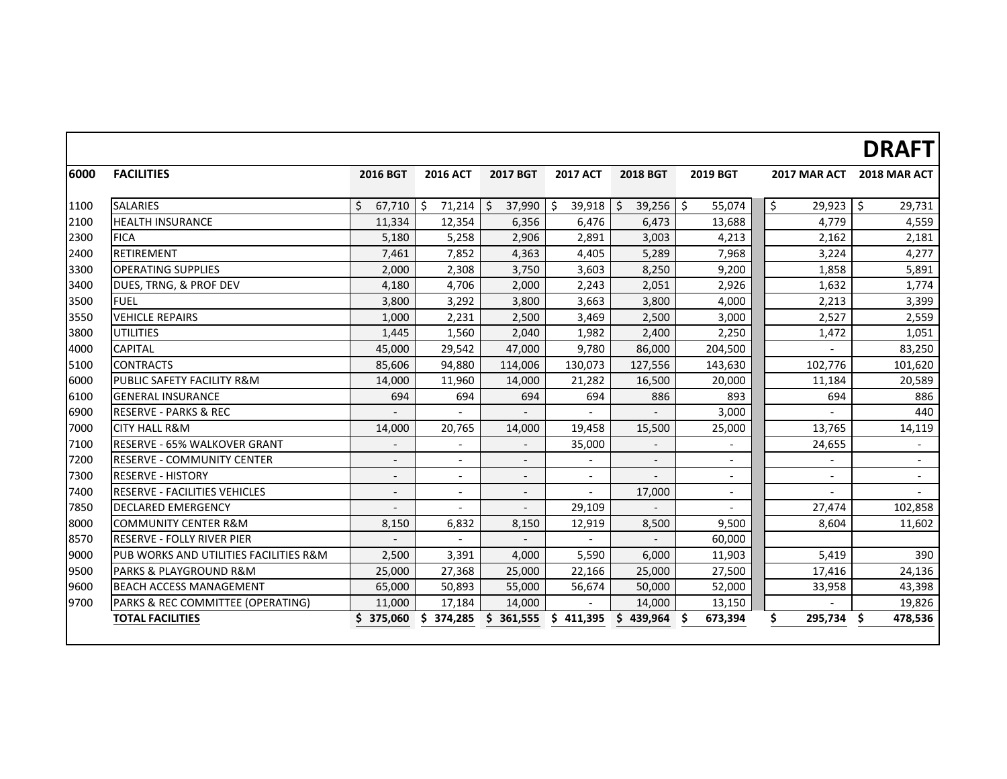# **DRAFT**

| 6000 | <b>FACILITIES</b>                      | 2016 BGT                 | <b>2016 ACT</b>          | <b>2017 BGT</b>          | <b>2017 ACT</b>          | <b>2018 BGT</b>                    | <b>2019 BGT</b>          | 2017 MAR ACT             | 2018 MAR ACT             |
|------|----------------------------------------|--------------------------|--------------------------|--------------------------|--------------------------|------------------------------------|--------------------------|--------------------------|--------------------------|
| 1100 | <b>SALARIES</b>                        | Ś.<br>$67,710$ \$        | 71,214                   | \$<br>37,990             | $\zeta$<br>39,918        | 39,256<br>$\overline{\phantom{0}}$ | \$<br>55,074             | $\zeta$<br>29,923        | l\$<br>29,731            |
| 2100 | <b>HEALTH INSURANCE</b>                | 11,334                   | 12,354                   | 6,356                    | 6,476                    | 6,473                              | 13,688                   | 4,779                    | 4,559                    |
| 2300 | <b>FICA</b>                            | 5,180                    | 5,258                    | 2,906                    | 2,891                    | 3,003                              | 4,213                    | 2,162                    | 2,181                    |
| 2400 | <b>RETIREMENT</b>                      | 7,461                    | 7,852                    | 4,363                    | 4,405                    | 5,289                              | 7,968                    | 3,224                    | 4,277                    |
| 3300 | <b>OPERATING SUPPLIES</b>              | 2,000                    | 2,308                    | 3,750                    | 3,603                    | 8,250                              | 9,200                    | 1,858                    | 5,891                    |
| 3400 | DUES, TRNG, & PROF DEV                 | 4,180                    | 4,706                    | 2,000                    | 2,243                    | 2,051                              | 2,926                    | 1,632                    | 1,774                    |
| 3500 | <b>FUEL</b>                            | 3,800                    | 3,292                    | 3,800                    | 3,663                    | 3,800                              | 4,000                    | 2,213                    | 3,399                    |
| 3550 | <b>VEHICLE REPAIRS</b>                 | 1,000                    | 2,231                    | 2,500                    | 3,469                    | 2,500                              | 3,000                    | 2,527                    | 2,559                    |
| 3800 | <b>UTILITIES</b>                       | 1,445                    | 1,560                    | 2,040                    | 1,982                    | 2,400                              | 2,250                    | 1,472                    | 1,051                    |
| 4000 | <b>CAPITAL</b>                         | 45,000                   | 29,542                   | 47,000                   | 9,780                    | 86,000                             | 204,500                  |                          | 83,250                   |
| 5100 | <b>CONTRACTS</b>                       | 85,606                   | 94,880                   | 114,006                  | 130,073                  | 127,556                            | 143,630                  | 102,776                  | 101,620                  |
| 6000 | <b>PUBLIC SAFETY FACILITY R&amp;M</b>  | 14,000                   | 11,960                   | 14,000                   | 21,282                   | 16,500                             | 20,000                   | 11,184                   | 20,589                   |
| 6100 | <b>GENERAL INSURANCE</b>               | 694                      | 694                      | 694                      | 694                      | 886                                | 893                      | 694                      | 886                      |
| 6900 | <b>RESERVE - PARKS &amp; REC</b>       |                          |                          |                          |                          |                                    | 3,000                    |                          | 440                      |
| 7000 | <b>CITY HALL R&amp;M</b>               | 14,000                   | 20,765                   | 14,000                   | 19,458                   | 15,500                             | 25,000                   | 13,765                   | 14,119                   |
| 7100 | <b>RESERVE - 65% WALKOVER GRANT</b>    | $\overline{\phantom{a}}$ | $\overline{\phantom{a}}$ |                          | 35,000                   | $\overline{\phantom{a}}$           |                          | 24,655                   |                          |
| 7200 | <b>RESERVE - COMMUNITY CENTER</b>      | $\blacksquare$           | $\overline{\phantom{a}}$ | $\overline{\phantom{a}}$ | $\overline{\phantom{a}}$ | $\overline{\phantom{a}}$           | $\overline{\phantom{0}}$ | $\blacksquare$           | $\overline{\phantom{0}}$ |
| 7300 | <b>RESERVE - HISTORY</b>               | $\overline{\phantom{a}}$ |                          |                          |                          |                                    |                          |                          |                          |
| 7400 | RESERVE - FACILITIES VEHICLES          | $\overline{\phantom{a}}$ |                          | $\overline{\phantom{a}}$ | $\overline{\phantom{a}}$ | 17,000                             | $\overline{\phantom{0}}$ | $\overline{\phantom{a}}$ |                          |
| 7850 | <b>DECLARED EMERGENCY</b>              | $\overline{\phantom{a}}$ | $\overline{\phantom{a}}$ |                          | 29,109                   | $\overline{\phantom{a}}$           |                          | 27,474                   | 102,858                  |
| 8000 | <b>COMMUNITY CENTER R&amp;M</b>        | 8,150                    | 6,832                    | 8,150                    | 12,919                   | 8,500                              | 9,500                    | 8,604                    | 11,602                   |
| 8570 | <b>IRESERVE - FOLLY RIVER PIER</b>     |                          |                          |                          |                          |                                    | 60,000                   |                          |                          |
| 9000 | PUB WORKS AND UTILITIES FACILITIES R&M | 2,500                    | 3,391                    | 4,000                    | 5,590                    | 6,000                              | 11,903                   | 5,419                    | 390                      |
| 9500 | <b>IPARKS &amp; PLAYGROUND R&amp;M</b> | 25,000                   | 27,368                   | 25,000                   | 22,166                   | 25,000                             | 27,500                   | 17,416                   | 24,136                   |
| 9600 | <b>BEACH ACCESS MANAGEMENT</b>         | 65,000                   | 50,893                   | 55,000                   | 56,674                   | 50,000                             | 52,000                   | 33,958                   | 43,398                   |
| 9700 | PARKS & REC COMMITTEE (OPERATING)      | 11,000                   | 17,184                   | 14,000                   |                          | 14,000                             | 13,150                   |                          | 19,826                   |
|      | <b>TOTAL FACILITIES</b>                | 375,060                  | \$.<br>374,285           | Ś.<br>361,555            | Ŝ<br>411,395             | Ś.<br>439,964                      | 673,394                  | \$<br>295,734            | 478,536<br>Ŝ.            |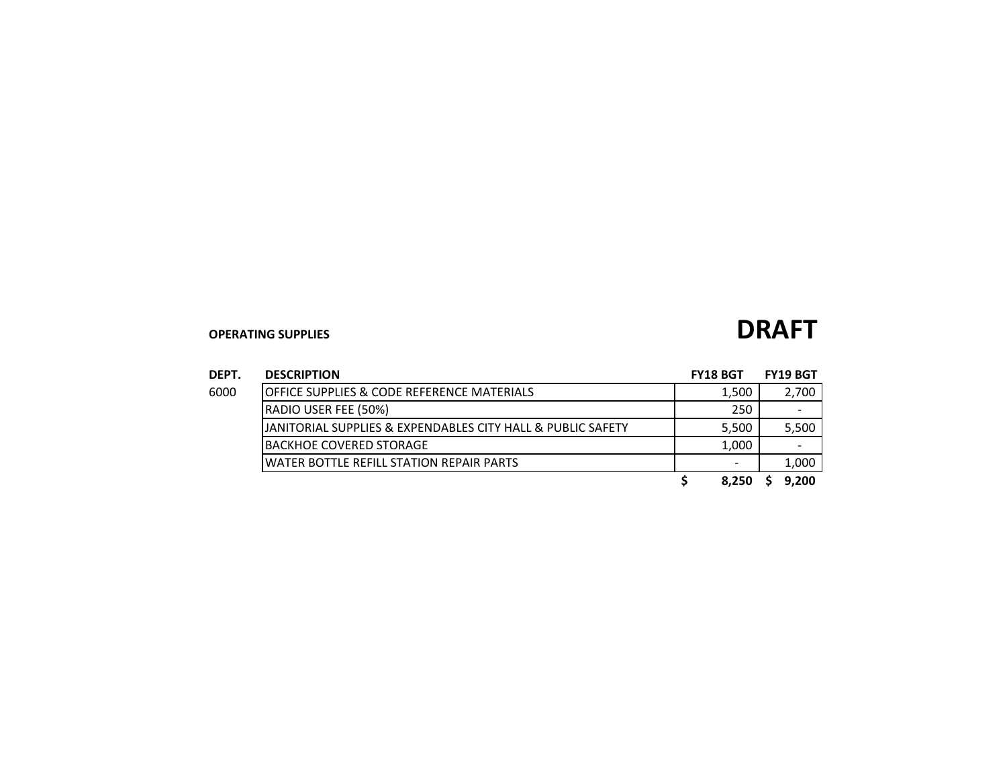| DEPT. | <b>DESCRIPTION</b>                                          | <b>FY18 BGT</b> | <b>FY19 BGT</b> |
|-------|-------------------------------------------------------------|-----------------|-----------------|
| 6000  | <b>OFFICE SUPPLIES &amp; CODE REFERENCE MATERIALS</b>       | 1,500           | 2,700           |
|       | RADIO USER FEE (50%)                                        | 250             |                 |
|       | JANITORIAL SUPPLIES & EXPENDABLES CITY HALL & PUBLIC SAFETY | 5,500           | 5,500           |
|       | IBACKHOE COVERED STORAGE                                    | 1,000           |                 |
|       | WATER BOTTLE REFILL STATION REPAIR PARTS                    |                 | 1,000           |
|       |                                                             | 8.250           | 9,200           |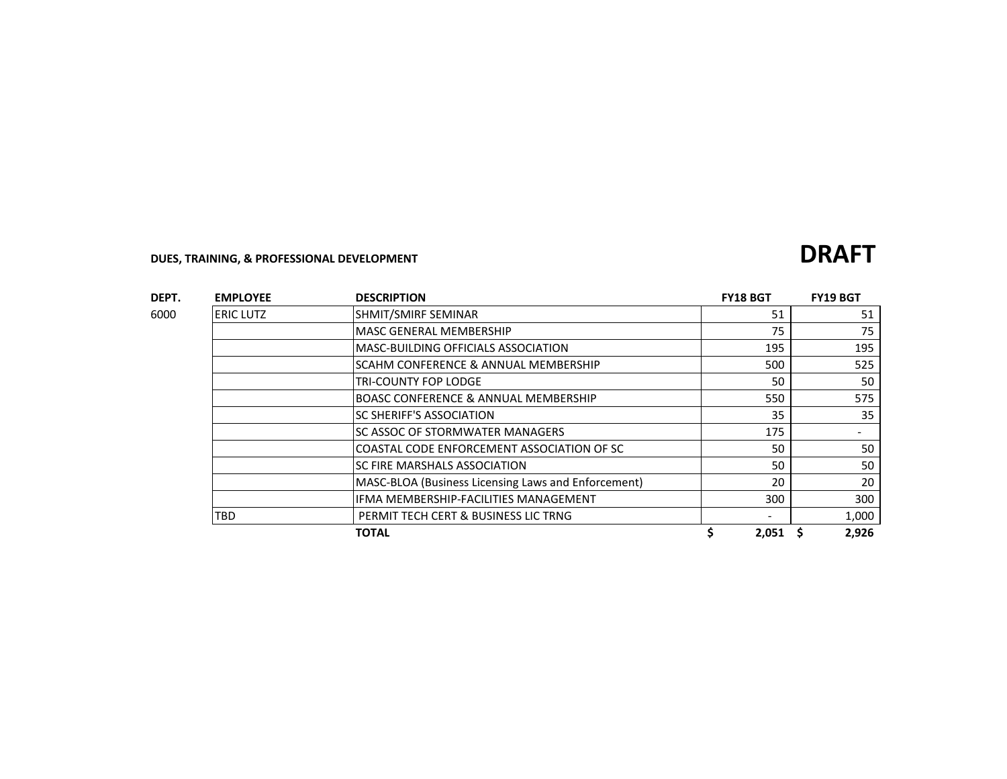## **DUES, TRAINING, & PROFESSIONAL DEVELOPMENT DRAFT**

| DEPT. | <b>EMPLOYEE</b>  | <b>DESCRIPTION</b>                                  | <b>FY18 BGT</b> | <b>FY19 BGT</b> |       |
|-------|------------------|-----------------------------------------------------|-----------------|-----------------|-------|
| 6000  | <b>ERIC LUTZ</b> | SHMIT/SMIRF SEMINAR                                 | 51              |                 | 51    |
|       |                  | <b>MASC GENERAL MEMBERSHIP</b>                      | 75              |                 | 75    |
|       |                  | <b>MASC-BUILDING OFFICIALS ASSOCIATION</b>          | 195             |                 | 195   |
|       |                  | SCAHM CONFERENCE & ANNUAL MEMBERSHIP                | 500             |                 | 525   |
|       |                  | TRI-COUNTY FOP LODGE                                | 50              |                 | 50    |
|       |                  | <b>BOASC CONFERENCE &amp; ANNUAL MEMBERSHIP</b>     | 550             |                 | 575   |
|       |                  | SC SHERIFF'S ASSOCIATION                            | 35              |                 | 35    |
|       |                  | SC ASSOC OF STORMWATER MANAGERS                     | 175             |                 |       |
|       |                  | COASTAL CODE ENFORCEMENT ASSOCIATION OF SC          | 50              |                 | 50    |
|       |                  | SC FIRE MARSHALS ASSOCIATION                        | 50              |                 | 50    |
|       |                  | MASC-BLOA (Business Licensing Laws and Enforcement) | 20              |                 | 20    |
|       |                  | IFMA MEMBERSHIP-FACILITIES MANAGEMENT               | 300             |                 | 300   |
|       | TBD              | PERMIT TECH CERT & BUSINESS LIC TRNG                |                 |                 | 1,000 |
|       |                  | <b>TOTAL</b>                                        | 2,051           |                 | 2,926 |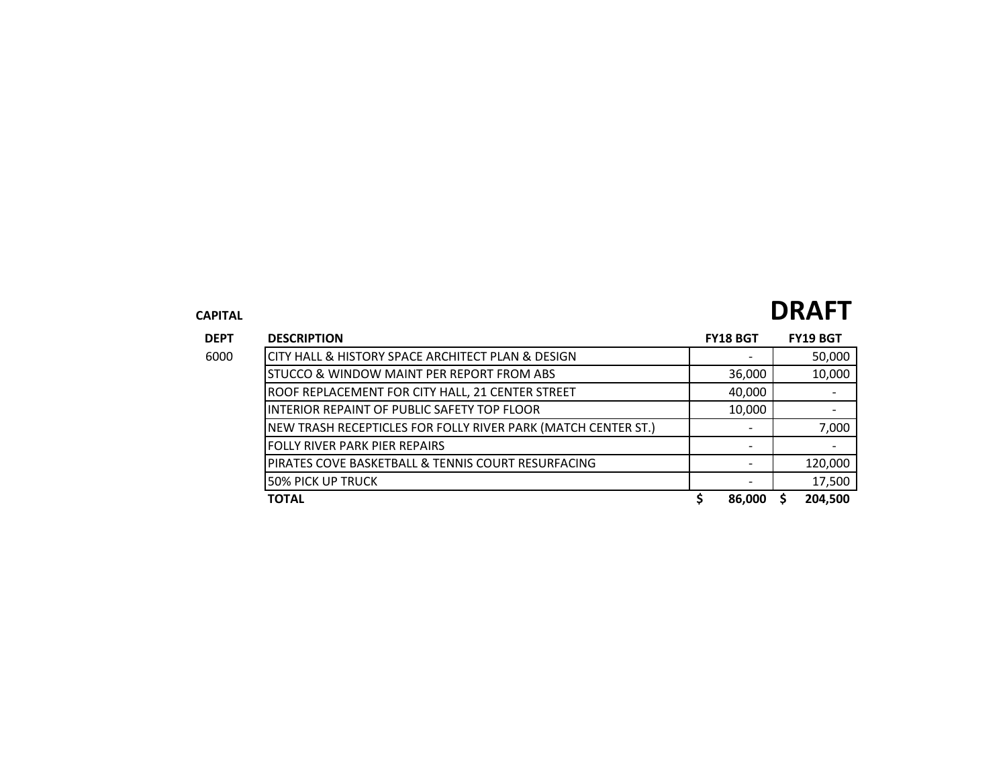# **CAPITAL DRAFT**

| <b>DEPT</b> | <b>DESCRIPTION</b>                                            | <b>FY18 BGT</b> | <b>FY19 BGT</b> |
|-------------|---------------------------------------------------------------|-----------------|-----------------|
| 6000        | CITY HALL & HISTORY SPACE ARCHITECT PLAN & DESIGN             |                 | 50,000          |
|             | STUCCO & WINDOW MAINT PER REPORT FROM ABS                     | 36,000          | 10,000          |
|             | ROOF REPLACEMENT FOR CITY HALL, 21 CENTER STREET              | 40,000          |                 |
|             | INTERIOR REPAINT OF PUBLIC SAFETY TOP FLOOR                   | 10,000          |                 |
|             | NEW TRASH RECEPTICLES FOR FOLLY RIVER PARK (MATCH CENTER ST.) |                 | 7,000           |
|             | <b>FOLLY RIVER PARK PIER REPAIRS</b>                          |                 |                 |
|             | PIRATES COVE BASKETBALL & TENNIS COURT RESURFACING            |                 | 120,000         |
|             | <b>50% PICK UP TRUCK</b>                                      |                 | 17,500          |
|             | <b>TOTAL</b>                                                  | 86,000          | 204,500         |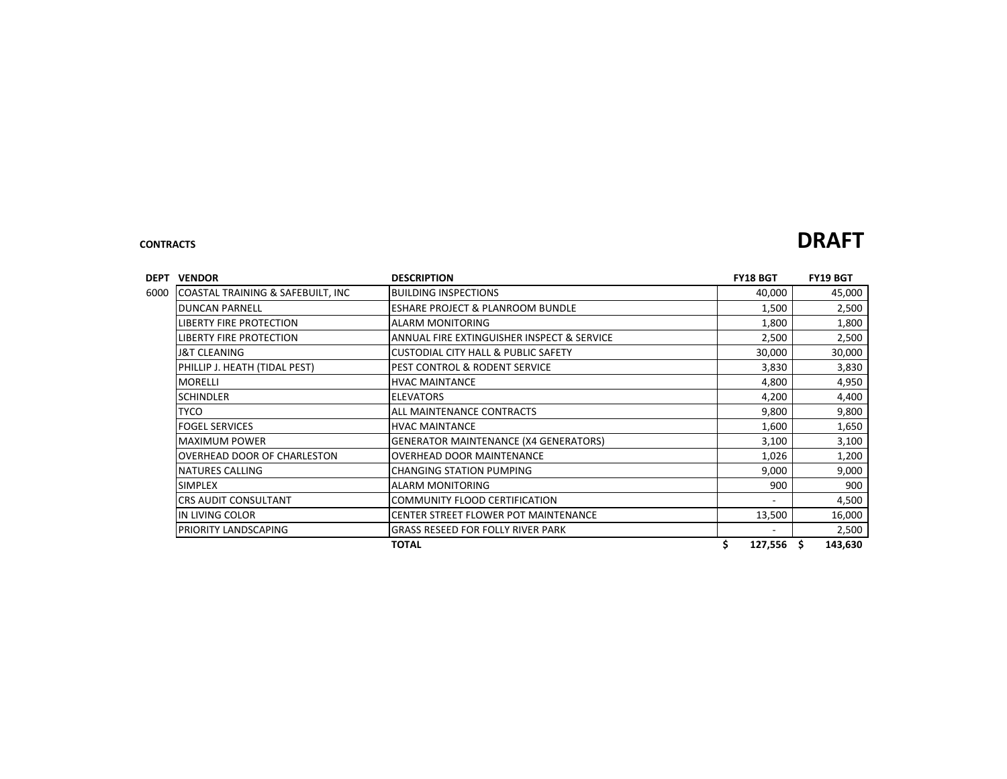### **CONTRACTS DRAFT**

| DEPT<br><b>VENDOR</b>                     | <b>DESCRIPTION</b>                             | <b>FY18 BGT</b> | <b>FY19 BGT</b> |
|-------------------------------------------|------------------------------------------------|-----------------|-----------------|
| COASTAL TRAINING & SAFEBUILT, INC<br>6000 | <b>BUILDING INSPECTIONS</b>                    | 40,000          | 45,000          |
| <b>DUNCAN PARNELL</b>                     | <b>ESHARE PROJECT &amp; PLANROOM BUNDLE</b>    | 1,500           | 2,500           |
| LIBERTY FIRE PROTECTION                   | ALARM MONITORING                               | 1,800           | 1,800           |
| LIBERTY FIRE PROTECTION                   | ANNUAL FIRE EXTINGUISHER INSPECT & SERVICE     | 2,500           | 2,500           |
| <b>J&amp;T CLEANING</b>                   | <b>CUSTODIAL CITY HALL &amp; PUBLIC SAFETY</b> | 30,000          | 30,000          |
| PHILLIP J. HEATH (TIDAL PEST)             | PEST CONTROL & RODENT SERVICE                  | 3,830           | 3,830           |
| <b>MORELLI</b>                            | <b>HVAC MAINTANCE</b>                          | 4,800           | 4,950           |
| <b>SCHINDLER</b>                          | <b>ELEVATORS</b>                               | 4,200           | 4,400           |
| <b>TYCO</b>                               | ALL MAINTENANCE CONTRACTS                      | 9,800           | 9,800           |
| <b>FOGEL SERVICES</b>                     | <b>HVAC MAINTANCE</b>                          | 1,600           | 1,650           |
| <b>MAXIMUM POWER</b>                      | <b>GENERATOR MAINTENANCE (X4 GENERATORS)</b>   | 3,100           | 3,100           |
| OVERHEAD DOOR OF CHARLESTON               | <b>OVERHEAD DOOR MAINTENANCE</b>               | 1,026           | 1,200           |
| NATURES CALLING                           | <b>CHANGING STATION PUMPING</b>                | 9,000           | 9,000           |
| <b>SIMPLEX</b>                            | <b>ALARM MONITORING</b>                        | 900             | 900             |
| <b>CRS AUDIT CONSULTANT</b>               | COMMUNITY FLOOD CERTIFICATION                  |                 | 4,500           |
| IN LIVING COLOR                           | CENTER STREET FLOWER POT MAINTENANCE           | 13,500          | 16,000          |
| PRIORITY LANDSCAPING                      | <b>GRASS RESEED FOR FOLLY RIVER PARK</b>       |                 | 2,500           |
|                                           | <b>TOTAL</b>                                   | \$<br>127,556   | \$.<br>143,630  |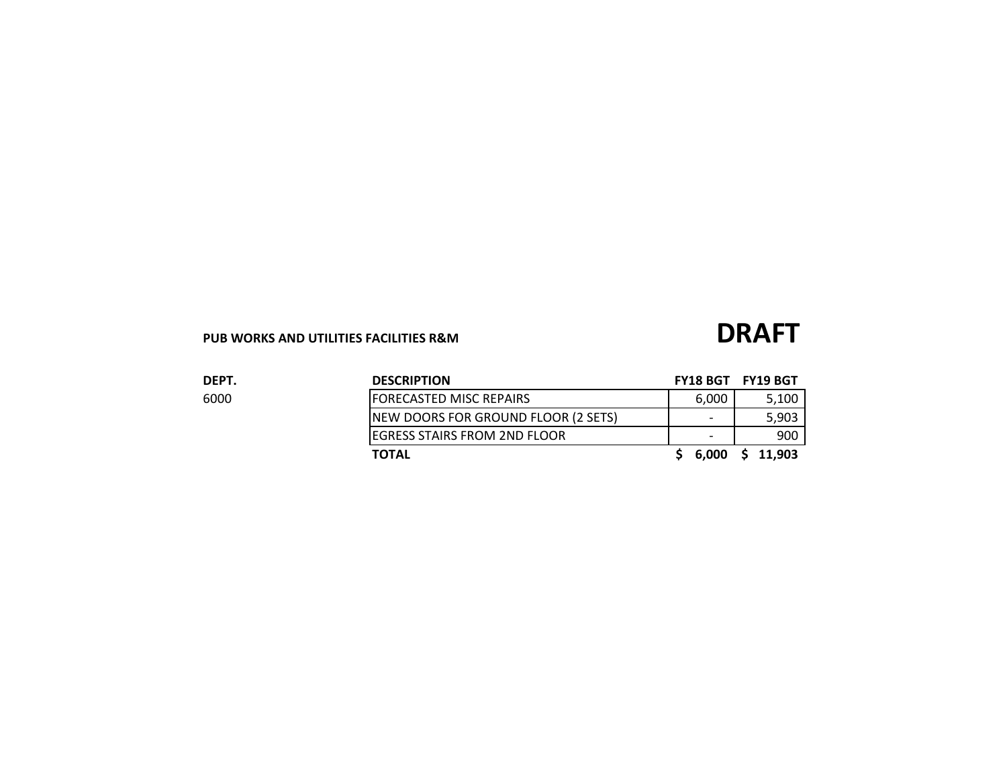## PUB WORKS AND UTILITIES FACILITIES R&M<br> **DRAFT**

| DEPT. | <b>DESCRIPTION</b>                  |                          | FY18 BGT FY19 BGT |
|-------|-------------------------------------|--------------------------|-------------------|
| 6000  | <b>FORECASTED MISC REPAIRS</b>      | 6,000                    | 5,100             |
|       | NEW DOORS FOR GROUND FLOOR (2 SETS) | $\overline{\phantom{0}}$ | 5.903             |
|       | IEGRESS STAIRS FROM 2ND FLOOR       | $\overline{\phantom{a}}$ | 900               |
|       | <b>TOTAL</b>                        | 6,000                    | \$11,903          |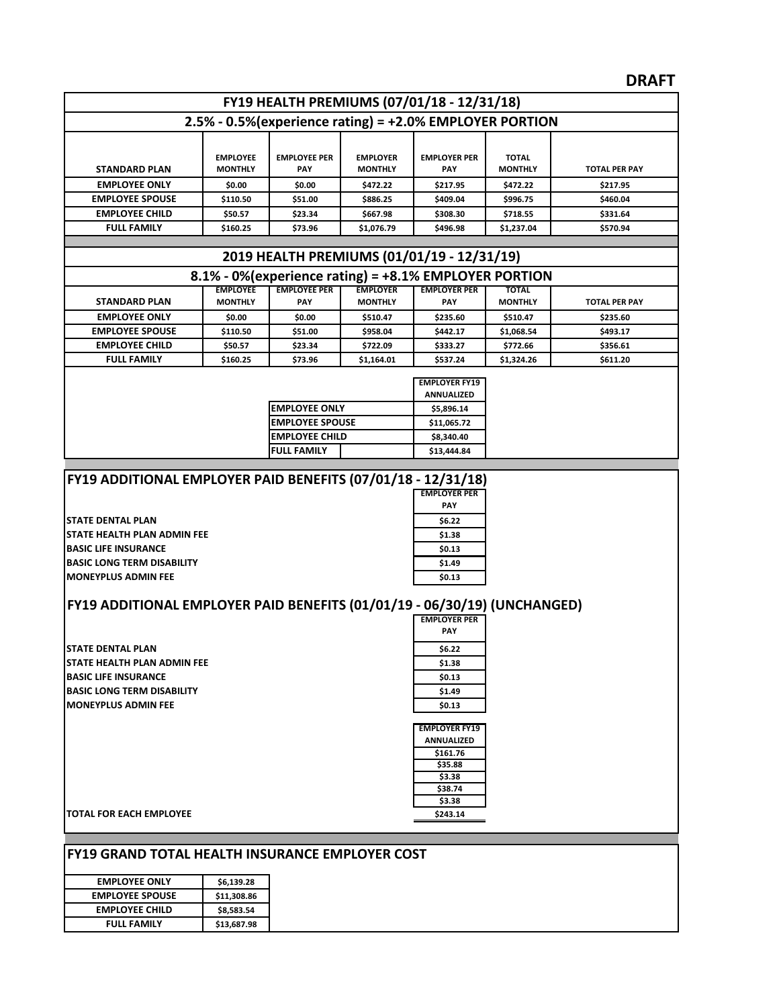### **DRAFT**

|                                                                          |                                   |                                   |                                   |                                                          |                                | ייש                  |
|--------------------------------------------------------------------------|-----------------------------------|-----------------------------------|-----------------------------------|----------------------------------------------------------|--------------------------------|----------------------|
|                                                                          |                                   |                                   |                                   | FY19 HEALTH PREMIUMS (07/01/18 - 12/31/18)               |                                |                      |
|                                                                          |                                   |                                   |                                   | 2.5% - 0.5% (experience rating) = +2.0% EMPLOYER PORTION |                                |                      |
|                                                                          |                                   |                                   |                                   |                                                          |                                |                      |
|                                                                          | <b>EMPLOYEE</b>                   | <b>EMPLOYEE PER</b>               | <b>EMPLOYER</b>                   | <b>EMPLOYER PER</b>                                      | <b>TOTAL</b>                   |                      |
| <b>STANDARD PLAN</b>                                                     | <b>MONTHLY</b>                    | PAY                               | <b>MONTHLY</b>                    | PAY                                                      | <b>MONTHLY</b>                 | <b>TOTAL PER PAY</b> |
| <b>EMPLOYEE ONLY</b>                                                     | \$0.00                            | \$0.00                            | \$472.22                          | \$217.95                                                 | \$472.22                       | \$217.95             |
| <b>EMPLOYEE SPOUSE</b>                                                   | \$110.50                          | \$51.00                           | \$886.25                          | \$409.04                                                 | \$996.75                       | \$460.04             |
| <b>EMPLOYEE CHILD</b>                                                    | \$50.57                           | \$23.34                           | \$667.98                          | \$308.30                                                 | \$718.55                       | \$331.64             |
| <b>FULL FAMILY</b>                                                       | \$160.25                          | \$73.96                           | \$1,076.79                        | \$496.98                                                 | \$1,237.04                     | \$570.94             |
|                                                                          |                                   |                                   |                                   |                                                          |                                |                      |
|                                                                          |                                   |                                   |                                   | 2019 HEALTH PREMIUMS (01/01/19 - 12/31/19)               |                                |                      |
|                                                                          |                                   |                                   |                                   | 8.1% - 0% (experience rating) = +8.1% EMPLOYER PORTION   |                                |                      |
| <b>STANDARD PLAN</b>                                                     | <b>EMPLOYEE</b><br><b>MONTHLY</b> | <b>EMPLOYEE PER</b><br><b>PAY</b> | <b>EMPLOYER</b><br><b>MONTHLY</b> | <b>EMPLOYER PER</b><br><b>PAY</b>                        | <b>TOTAL</b><br><b>MONTHLY</b> |                      |
| <b>EMPLOYEE ONLY</b>                                                     |                                   |                                   |                                   |                                                          |                                | <b>TOTAL PER PAY</b> |
| <b>EMPLOYEE SPOUSE</b>                                                   | \$0.00<br>\$110.50                | \$0.00<br>\$51.00                 | \$510.47<br>\$958.04              | \$235.60<br>\$442.17                                     | \$510.47<br>\$1,068.54         | \$235.60<br>\$493.17 |
| <b>EMPLOYEE CHILD</b>                                                    | \$50.57                           | \$23.34                           | \$722.09                          | \$333.27                                                 | \$772.66                       | \$356.61             |
| <b>FULL FAMILY</b>                                                       | \$160.25                          | \$73.96                           | \$1,164.01                        | \$537.24                                                 | \$1,324.26                     | \$611.20             |
|                                                                          |                                   |                                   |                                   |                                                          |                                |                      |
|                                                                          |                                   |                                   |                                   | <b>EMPLOYER FY19</b>                                     |                                |                      |
|                                                                          |                                   | <b>EMPLOYEE ONLY</b>              |                                   | <b>ANNUALIZED</b><br>\$5,896.14                          |                                |                      |
|                                                                          |                                   | <b>EMPLOYEE SPOUSE</b>            |                                   | \$11,065.72                                              |                                |                      |
|                                                                          |                                   | <b>EMPLOYEE CHILD</b>             |                                   | \$8,340.40                                               |                                |                      |
|                                                                          |                                   | FULL FAMILY                       |                                   | \$13,444.84                                              |                                |                      |
|                                                                          |                                   |                                   |                                   |                                                          |                                |                      |
| FY19 ADDITIONAL EMPLOYER PAID BENEFITS (07/01/18 - 12/31/18)             |                                   |                                   |                                   |                                                          |                                |                      |
|                                                                          |                                   |                                   |                                   | <b>EMPLOYER PER</b>                                      |                                |                      |
|                                                                          |                                   |                                   |                                   | PAY                                                      |                                |                      |
| <b>STATE DENTAL PLAN</b>                                                 |                                   |                                   |                                   | \$6.22                                                   |                                |                      |
| STATE HEALTH PLAN ADMIN FEE                                              |                                   |                                   |                                   | \$1.38                                                   |                                |                      |
| <b>BASIC LIFE INSURANCE</b><br><b>BASIC LONG TERM DISABILITY</b>         |                                   |                                   |                                   | \$0.13<br>\$1.49                                         |                                |                      |
| <b>MONEYPLUS ADMIN FEE</b>                                               |                                   |                                   |                                   | \$0.13                                                   |                                |                      |
|                                                                          |                                   |                                   |                                   |                                                          |                                |                      |
| FY19 ADDITIONAL EMPLOYER PAID BENEFITS (01/01/19 - 06/30/19) (UNCHANGED) |                                   |                                   |                                   |                                                          |                                |                      |
|                                                                          |                                   |                                   |                                   | <b>EMPLOYER PER</b>                                      |                                |                      |
|                                                                          |                                   |                                   |                                   | <b>PAY</b>                                               |                                |                      |
| <b>ISTATE DENTAL PLAN</b>                                                |                                   |                                   |                                   | S6.22                                                    |                                |                      |
| <b>STATE HEALTH PLAN ADMIN FEE</b>                                       |                                   |                                   |                                   | \$1.38                                                   |                                |                      |
| <b>BASIC LIFE INSURANCE</b>                                              |                                   |                                   |                                   | \$0.13                                                   |                                |                      |
| <b>BASIC LONG TERM DISABILITY</b>                                        |                                   |                                   |                                   | \$1.49                                                   |                                |                      |
| <b>MONEYPLUS ADMIN FEE</b>                                               |                                   |                                   |                                   | \$0.13                                                   |                                |                      |
|                                                                          |                                   |                                   |                                   | <b>EMPLOYER FY19</b>                                     |                                |                      |
|                                                                          |                                   |                                   |                                   | <b>ANNUALIZED</b>                                        |                                |                      |
|                                                                          |                                   |                                   |                                   | \$161.76                                                 |                                |                      |
|                                                                          |                                   |                                   |                                   | \$35.88<br>\$3.38                                        |                                |                      |
|                                                                          |                                   |                                   |                                   | \$38.74                                                  |                                |                      |
|                                                                          |                                   |                                   |                                   | \$3.38                                                   |                                |                      |
| <b>TOTAL FOR EACH EMPLOYEE</b>                                           |                                   |                                   |                                   | \$243.14                                                 |                                |                      |
|                                                                          |                                   |                                   |                                   |                                                          |                                |                      |
|                                                                          |                                   |                                   |                                   |                                                          |                                |                      |
| <b>FY19 GRAND TOTAL HEALTH INSURANCE EMPLOYER COST</b>                   |                                   |                                   |                                   |                                                          |                                |                      |

| <b>EMPLOYEE ONLY</b>   | \$6,139.28  |
|------------------------|-------------|
| <b>EMPLOYEE SPOUSE</b> | \$11,308.86 |
| <b>EMPLOYEE CHILD</b>  | \$8,583.54  |
| <b>FULL FAMILY</b>     | \$13,687.98 |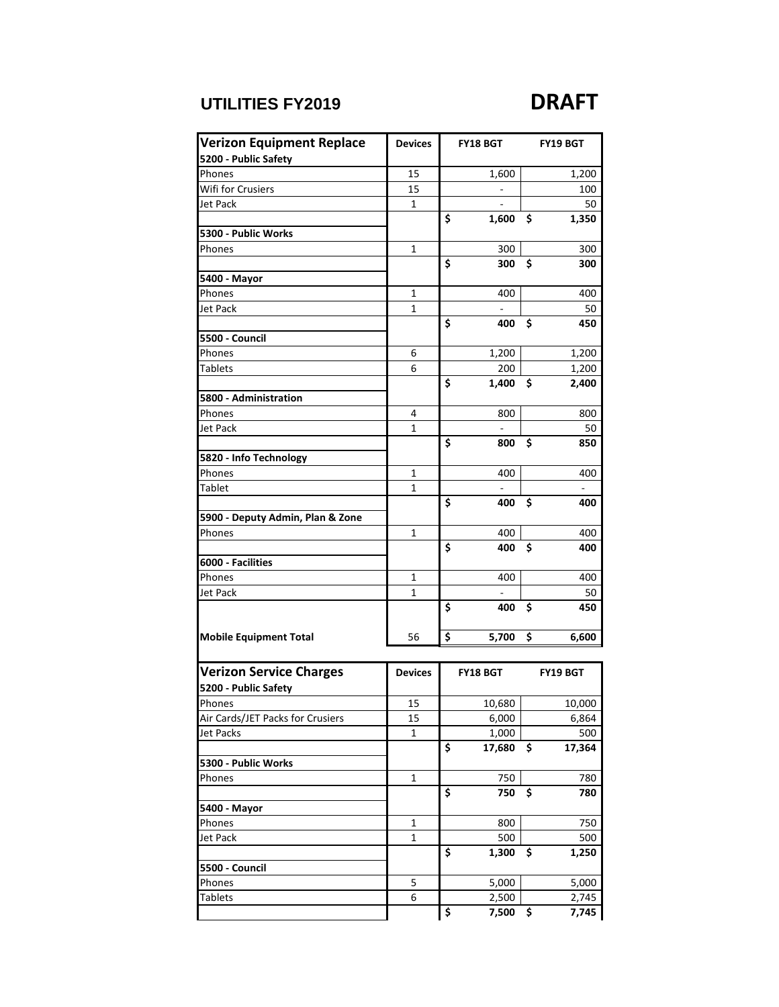### **UTILITIES FY2019 DRAFT**

| <b>Verizon Equipment Replace</b> | <b>Devices</b> | <b>FY18 BGT</b> |                          |    | <b>FY19 BGT</b>          |
|----------------------------------|----------------|-----------------|--------------------------|----|--------------------------|
| 5200 - Public Safety             |                |                 |                          |    |                          |
| Phones                           | 15             |                 | 1,600                    |    | 1,200                    |
| Wifi for Crusiers                | 15             |                 | $\overline{\phantom{0}}$ |    | 100                      |
| Jet Pack                         | 1              |                 |                          |    | 50                       |
|                                  |                | Ś               | 1,600                    | \$ | 1,350                    |
| 5300 - Public Works              |                |                 |                          |    |                          |
| Phones                           | 1              |                 | 300                      |    | 300                      |
|                                  |                | \$              | 300                      | \$ | 300                      |
| 5400 - Mayor                     |                |                 |                          |    |                          |
| Phones                           | 1              |                 | 400                      |    | 400                      |
| Jet Pack                         | 1              |                 |                          |    | 50                       |
|                                  |                | \$              | 400                      | \$ | 450                      |
| 5500 - Council                   |                |                 |                          |    |                          |
| Phones                           | 6              |                 | 1,200                    |    | 1,200                    |
| Tablets                          | 6              |                 | 200                      |    | 1,200                    |
|                                  |                | \$              | 1,400                    | \$ | 2,400                    |
| 5800 - Administration            |                |                 |                          |    |                          |
| Phones                           | 4              |                 | 800                      |    | 800                      |
| Jet Pack                         | 1              |                 |                          |    | 50                       |
|                                  |                | \$              | 800                      | \$ | 850                      |
| 5820 - Info Technology           |                |                 |                          |    |                          |
| Phones                           | 1              |                 | 400                      |    | 400                      |
| Tablet                           | 1              |                 |                          |    | $\overline{\phantom{a}}$ |
|                                  |                | \$              | 400                      | \$ | 400                      |
| 5900 - Deputy Admin, Plan & Zone |                |                 |                          |    |                          |
| Phones                           | 1              |                 | 400                      |    | 400                      |
|                                  |                | \$              | 400                      | \$ | 400                      |
| 6000 - Facilities                |                |                 |                          |    |                          |
| Phones                           | 1              |                 | 400                      |    | 400                      |
| Jet Pack                         | 1              |                 |                          |    | 50                       |
|                                  |                | \$              | 400                      | \$ | 450                      |
|                                  |                |                 |                          |    |                          |
| <b>Mobile Equipment Total</b>    | 56             | \$              | 5,700                    | \$ | 6,600                    |
|                                  |                |                 |                          |    |                          |
| <b>Verizon Service Charges</b>   | <b>Devices</b> |                 | <b>FY18 BGT</b>          |    | <b>FY19 BGT</b>          |
| 5200 - Public Safety             |                |                 |                          |    |                          |
| Phones                           | 15             |                 | 10,680                   |    | 10,000                   |
| Air Cards/JET Packs for Crusiers | 15             |                 | 6,000                    |    | 6,864                    |
| <b>Jet Packs</b>                 | 1              |                 | 1,000                    |    | 500                      |
|                                  |                | \$              | 17,680                   | \$ | 17,364                   |
| 5300 - Public Works              |                |                 |                          |    |                          |
| Phones                           | $\mathbf{1}$   |                 | 750                      |    | 780                      |
|                                  |                | \$              | 750                      | \$ | 780                      |
| 5400 - Mayor                     |                |                 |                          |    |                          |
| Phones                           | $\mathbf{1}$   |                 | 800                      |    | 750                      |
| Jet Pack                         |                |                 |                          |    |                          |
|                                  | 1              | \$              | 500<br>1,300             | \$ | 500                      |
|                                  |                |                 |                          |    | 1,250                    |
| 5500 - Council<br>Phones         | 5              |                 |                          |    |                          |
| <b>Tablets</b>                   | 6              |                 | 5,000<br>2,500           |    | 5,000<br>2,745           |
|                                  |                | \$              | 7,500                    | \$ | 7,745                    |
|                                  |                |                 |                          |    |                          |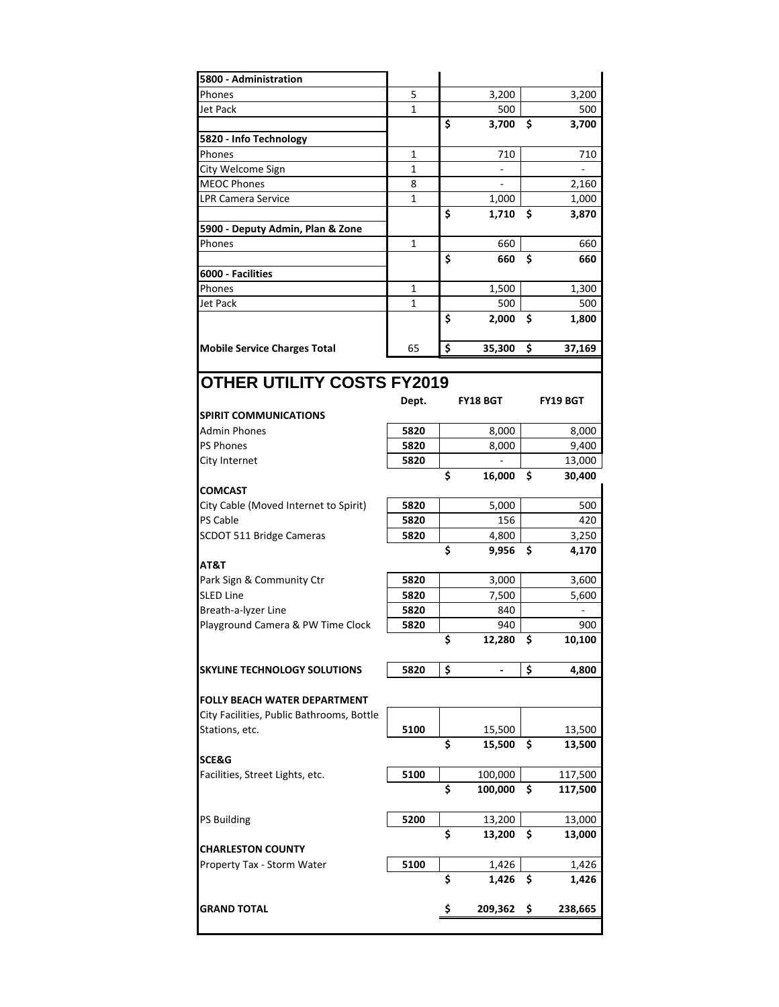| 5800 - Administration                     |              |    |                 |    |                 |
|-------------------------------------------|--------------|----|-----------------|----|-----------------|
| Phones                                    | 5            |    | 3,200           |    | 3,200           |
| Jet Pack                                  | 1            |    | 500             |    | 500             |
|                                           |              | \$ | 3,700           | \$ | 3,700           |
| 5820 - Info Technology                    |              |    |                 |    |                 |
| Phones                                    | 1            |    | 710             |    | 710             |
| City Welcome Sign                         | 1            |    |                 |    |                 |
| <b>MEOC Phones</b>                        | 8            |    |                 |    | 2,160           |
| <b>LPR Camera Service</b>                 | 1            |    | 1,000           |    | 1,000           |
|                                           |              | Ś  | 1,710           | \$ | 3,870           |
| 5900 - Deputy Admin, Plan & Zone          |              |    |                 |    |                 |
| Phones                                    | 1            |    | 660             |    | 660             |
|                                           |              | \$ | 660             | Ś  | 660             |
| 6000 - Facilities                         |              |    |                 |    |                 |
| Phones                                    | 1            |    | 1,500           |    | 1,300           |
| Jet Pack                                  | $\mathbf{1}$ |    | 500             |    | 500             |
|                                           |              | \$ | 2,000           | \$ | 1,800           |
|                                           |              |    |                 |    |                 |
| <b>Mobile Service Charges Total</b>       | 65           | \$ | 35,300          | \$ | 37,169          |
|                                           |              |    |                 |    |                 |
| <b>OTHER UTILITY COSTS FY2019</b>         |              |    |                 |    |                 |
|                                           | Dept.        |    | <b>FY18 BGT</b> |    | <b>FY19 BGT</b> |
| <b>SPIRIT COMMUNICATIONS</b>              |              |    |                 |    |                 |
| Admin Phones                              | 5820         |    | 8,000           |    | 8,000           |
| <b>PS Phones</b>                          | 5820         |    | 8,000           |    | 9,400           |
| City Internet                             | 5820         |    |                 |    | 13,000          |
|                                           |              | \$ | 16,000          | \$ | 30,400          |
| <b>COMCAST</b>                            |              |    |                 |    |                 |
| City Cable (Moved Internet to Spirit)     | 5820         |    | 5,000           |    | 500             |
| <b>PS Cable</b>                           | 5820         |    | 156             |    | 420             |
| SCDOT 511 Bridge Cameras                  | 5820         |    | 4,800           |    | 3,250           |
|                                           |              | \$ | 9,956           | Ś  | 4,170           |
| AT&T                                      |              |    |                 |    |                 |
| Park Sign & Community Ctr                 | 5820         |    | 3,000           |    | 3,600           |
| <b>SLED Line</b>                          | 5820         |    | 7,500           |    | 5,600           |
| Breath-a-lyzer Line                       | 5820         |    | 840             |    |                 |
| Playground Camera & PW Time Clock         | 5820         |    | 940             |    | 900             |
|                                           |              | \$ | 12,280          | \$ | 10,100          |
|                                           |              |    |                 |    |                 |
|                                           |              |    |                 |    |                 |
| <b>SKYLINE TECHNOLOGY SOLUTIONS</b>       | 5820         | \$ |                 | \$ | 4,800           |
|                                           |              |    |                 |    |                 |
| <b>FOLLY BEACH WATER DEPARTMENT</b>       |              |    |                 |    |                 |
| City Facilities, Public Bathrooms, Bottle |              |    |                 |    |                 |
| Stations, etc.                            | 5100         |    | 15,500          |    | 13,500          |
|                                           |              | \$ | 15,500          | \$ | 13,500          |
| SCE&G                                     |              |    |                 |    |                 |
| Facilities, Street Lights, etc.           | 5100         |    | 100,000         |    | 117,500         |
|                                           |              | \$ | 100,000         | \$ | 117,500         |
| <b>PS Building</b>                        | 5200         |    |                 |    |                 |
|                                           |              | \$ | 13,200          |    | 13,000          |
| <b>CHARLESTON COUNTY</b>                  |              |    | 13,200          | \$ | 13,000          |
|                                           | 5100         |    | 1,426           |    |                 |
| Property Tax - Storm Water                |              | \$ |                 | \$ | 1,426<br>1,426  |
|                                           |              |    | 1,426           |    |                 |
| <b>GRAND TOTAL</b>                        |              | \$ | 209,362         | \$ | 238,665         |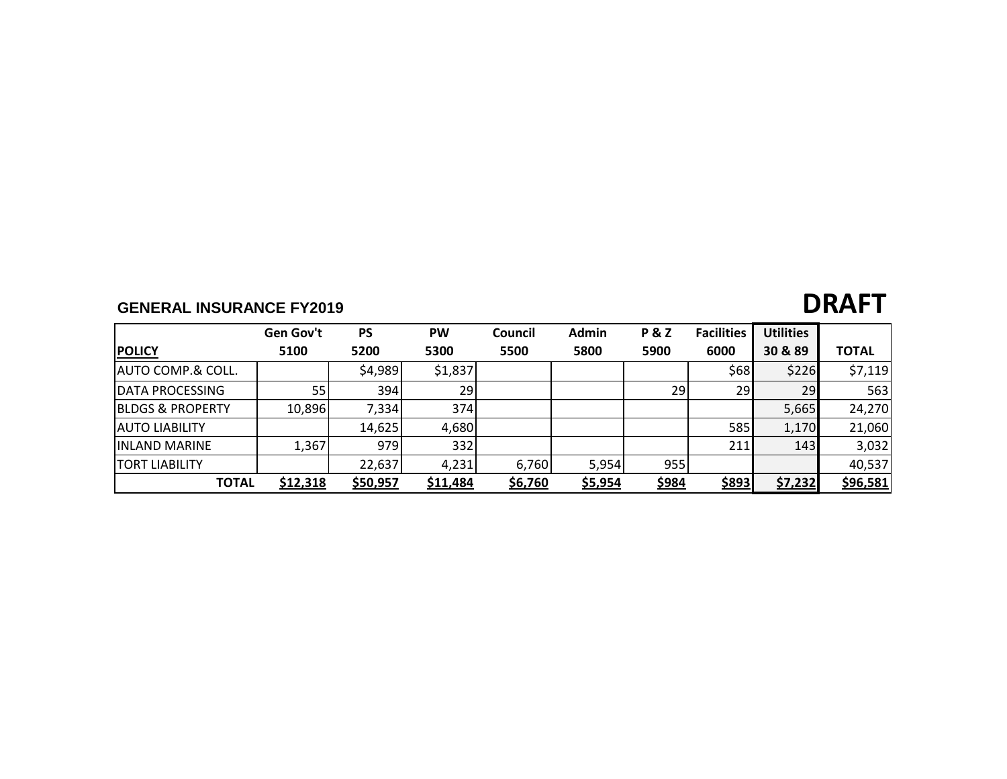## **GENERAL INSURANCE FY2019 DRAFT**

|                               | <b>Gen Gov't</b> | <b>PS</b> | <b>PW</b> | Council | <b>Admin</b> | <b>P&amp;Z</b> | <b>Facilities</b> | <b>Utilities</b> |              |
|-------------------------------|------------------|-----------|-----------|---------|--------------|----------------|-------------------|------------------|--------------|
| <b>POLICY</b>                 | 5100             | 5200      | 5300      | 5500    | 5800         | 5900           | 6000              | 30 & 89          | <b>TOTAL</b> |
| <b>JAUTO COMP.&amp; COLL.</b> |                  | \$4,989   | \$1,837   |         |              |                | \$68              | \$226            | \$7,119      |
| <b>DATA PROCESSING</b>        | 55               | 394       | 29        |         |              | 29             | 29                | 29               | 563          |
| <b>BLDGS &amp; PROPERTY</b>   | 10,896           | 7,334     | 374l      |         |              |                |                   | 5,665            | 24,270       |
| <b>JAUTO LIABILITY</b>        |                  | 14,625    | 4,680     |         |              |                | 585               | 1,170            | 21,060       |
| <b>IINLAND MARINE</b>         | 1,367            | 979       | 332       |         |              |                | 211               | 143              | 3,032        |
| <b>TORT LIABILITY</b>         |                  | 22,637    | 4,231     | 6,760   | 5,954        | 955            |                   |                  | 40,537       |
| <b>TOTAL</b>                  | \$12,318         | \$50,957  | \$11,484  | \$6,760 | \$5,954      | \$984          | \$893             | \$7,232          | \$96,581     |